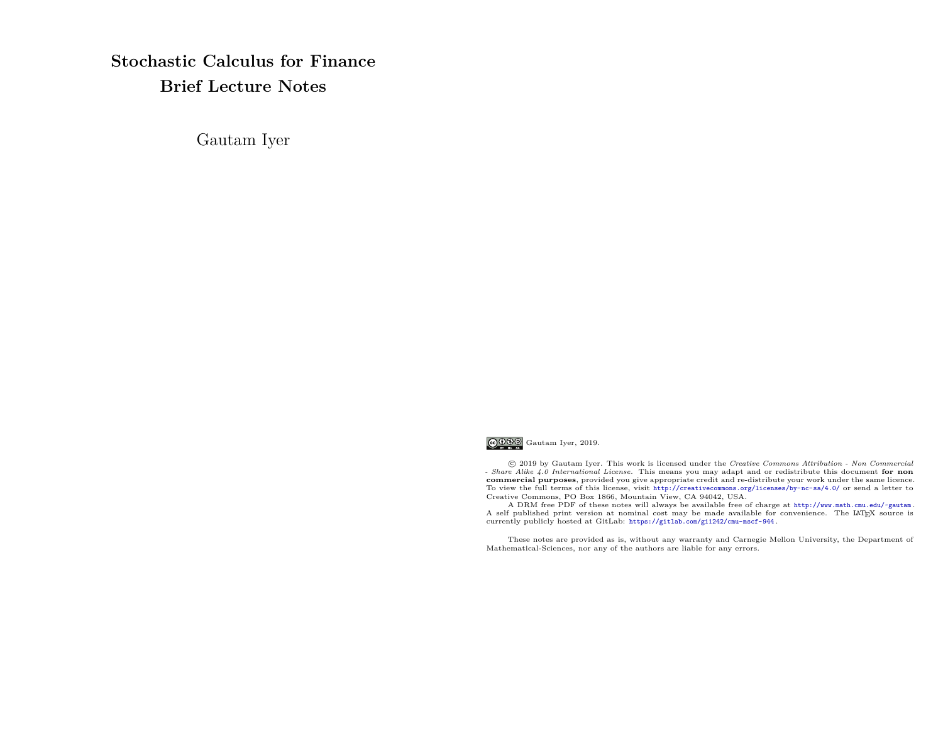**Stochastic Calculus for Finance Brief Lecture Notes**

Gautam Iyer



 c 2019 by Gautam Iyer. This work is licensed under the *Creative Commons Attribution - Non Commercial - Share Alike 4.0 International License.* This means you may adapt and or redistribute this document **for non commercial purposes**, provided you give appropriate credit and re-distribute your work under the same licence. To view the full terms of this license, visit <http://creativecommons.org/licenses/by-nc-sa/4.0/> or send a letter to Creative Commons, PO Box 1866, Mountain View, CA 94042, USA.

A DRM free PDF of these notes will always be available free of charge at <http://www.math.cmu.edu/~gautam> . A self published print version at nominal cost may be made available for convenience. The LATEX source is currently publicly hosted at GitLab: <https://gitlab.com/gi1242/cmu-mscf-944> .

These notes are provided as is, without any warranty and Carnegie Mellon University, the Department of Mathematical-Sciences, nor any of the authors are liable for any errors.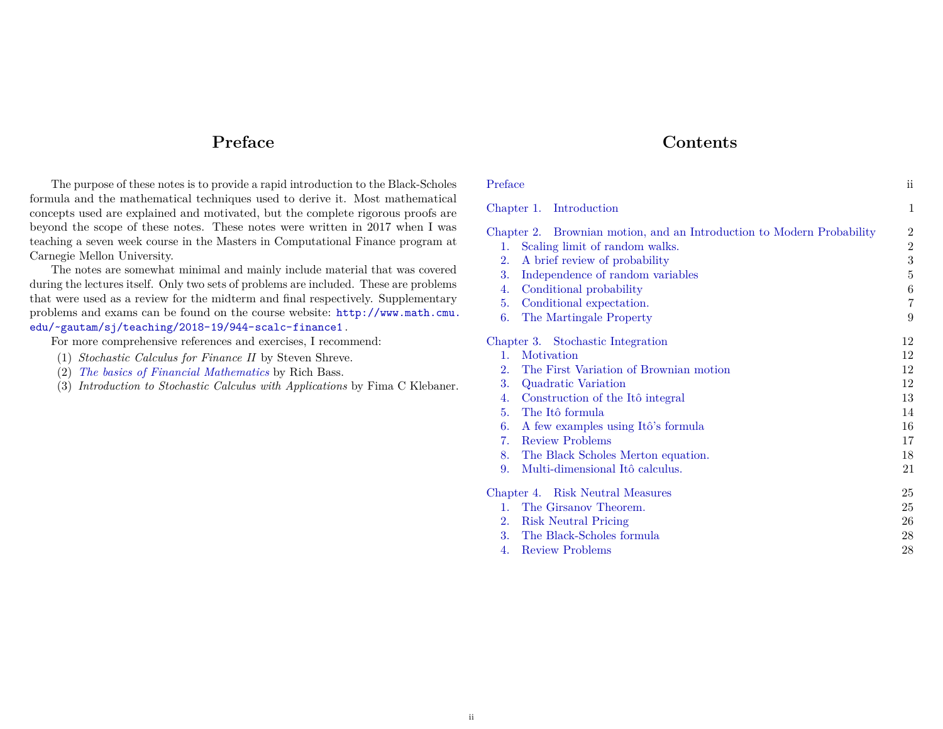# **Preface**

**Contents**

<span id="page-1-0"></span>The purpose of these notes is to provide a rapid introduction to the Black-Scholes formula and the mathematical techniques used to derive it. Most mathematical concepts used are explained and motivated, but the complete rigorous proofs are beyond the scope of these notes. These notes were written in 2017 when I was teaching a seven week course in the Masters in Computational Finance program at Carnegie Mellon University.

The notes are somewhat minimal and mainly include material that was covered during the lectures itself. Only two sets of problems are included. These are problems that were used as a review for the midterm and final respectively. Supplementary problems and exams can be found on the course website: [http://www.math.cmu.](http://www.math.cmu.edu/~gautam/sj/teaching/2018-19/944-scalc-finance1) [edu/~gautam/sj/teaching/2018-19/944-scalc-finance1](http://www.math.cmu.edu/~gautam/sj/teaching/2018-19/944-scalc-finance1) .

For more comprehensive references and exercises, I recommend:

- (1) *Stochastic Calculus for Finance II* by Steven Shreve.
- (2) *[The basics of Financial Mathematics](http://bass.math.uconn.edu/finlmath.pdf)* by Rich Bass.
- (3) *Introduction to Stochastic Calculus with Applications* by Fima C Klebaner.

| Preface     |                                                                       | ii.              |
|-------------|-----------------------------------------------------------------------|------------------|
|             | Chapter 1. Introduction                                               | $\mathbf{1}$     |
|             | Chapter 2. Brownian motion, and an Introduction to Modern Probability |                  |
| $1_{\cdot}$ | Scaling limit of random walks.                                        | $\,2$            |
| 2.          | A brief review of probability                                         | $\boldsymbol{3}$ |
| 3.          | Independence of random variables                                      | $\bf 5$          |
| 4.          | Conditional probability                                               | 6                |
| 5.          | Conditional expectation.                                              | $\overline{7}$   |
| 6.          | The Martingale Property                                               | 9                |
|             | Chapter 3. Stochastic Integration                                     | 12               |
| 1.          | Motivation                                                            | 12               |
| 2.          | The First Variation of Brownian motion                                | 12               |
| 3.          | Quadratic Variation                                                   | 12               |
| 4.          | Construction of the Itô integral                                      | 13               |
| 5.          | The Itô formula                                                       | 14               |
| 6.          | A few examples using Itô's formula                                    | 16               |
| 7.          | <b>Review Problems</b>                                                | 17               |
| 8.          | The Black Scholes Merton equation.                                    | 18               |
| 9.          | Multi-dimensional Itô calculus.                                       | 21               |
|             | Chapter 4. Risk Neutral Measures                                      |                  |
| 1.          | The Girsanov Theorem.                                                 | 25               |
| 2.          | <b>Risk Neutral Pricing</b>                                           | 26               |
| 3.          | The Black-Scholes formula                                             | 28               |
| 4.          | <b>Review Problems</b>                                                | 28               |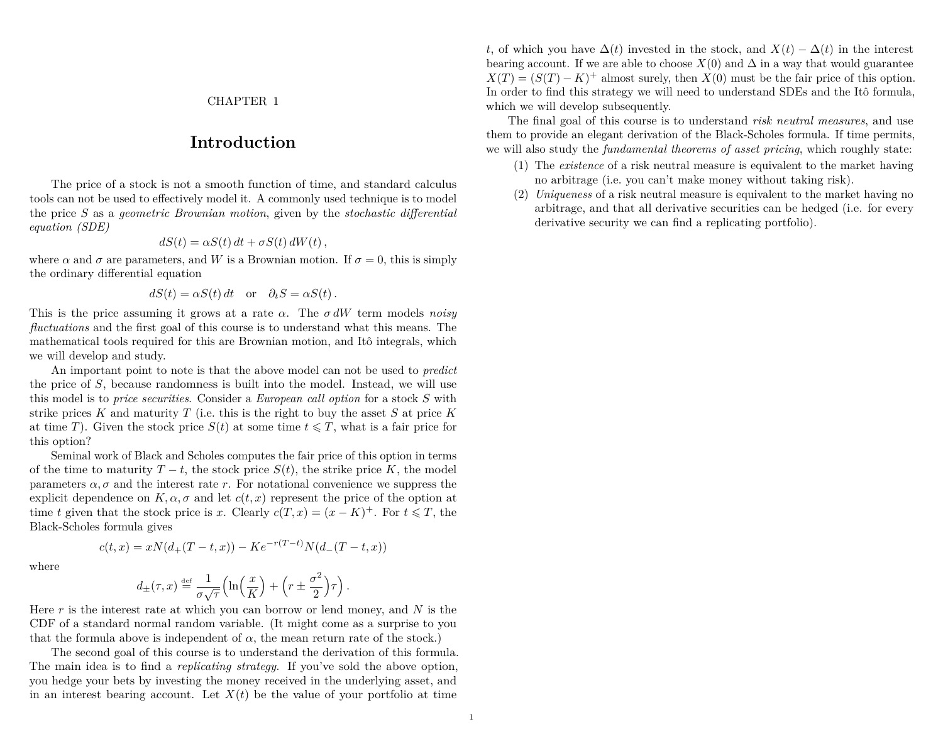#### CHAPTER 1

# **Introduction**

<span id="page-2-0"></span>The price of a stock is not a smooth function of time, and standard calculus tools can not be used to effectively model it. A commonly used technique is to model the price *S* as a *geometric Brownian motion*, given by the *stochastic differential equation (SDE)*

$$
dS(t) = \alpha S(t) dt + \sigma S(t) dW(t),
$$

where  $\alpha$  and  $\sigma$  are parameters, and W is a Brownian motion. If  $\sigma = 0$ , this is simply the ordinary differential equation

$$
dS(t) = \alpha S(t) dt \quad \text{or} \quad \partial_t S = \alpha S(t).
$$

This is the price assuming it grows at a rate *α*. The *σ dW* term models *noisy fluctuations* and the first goal of this course is to understand what this means. The mathematical tools required for this are Brownian motion, and Itô integrals, which we will develop and study.

An important point to note is that the above model can not be used to *predict* the price of *S*, because randomness is built into the model. Instead, we will use this model is to *price securities*. Consider a *European call option* for a stock *S* with strike prices *K* and maturity *T* (i.e. this is the right to buy the asset *S* at price *K* at time *T*). Given the stock price  $S(t)$  at some time  $t \leq T$ , what is a fair price for this option?

Seminal work of Black and Scholes computes the fair price of this option in terms of the time to maturity  $T - t$ , the stock price  $S(t)$ , the strike price  $K$ , the model parameters  $\alpha$ ,  $\sigma$  and the interest rate *r*. For notational convenience we suppress the explicit dependence on  $K, \alpha, \sigma$  and let  $c(t, x)$  represent the price of the option at time *t* given that the stock price is *x*. Clearly  $c(T, x) = (x - K)^{+}$ . For  $t \leq T$ , the Black-Scholes formula gives

where

$$
c(t,x) = xN(d_{+}(T-t,x)) - Ke^{-r(T-t)}N(d_{-}(T-t,x))
$$

$$
d_{\pm}(\tau,x) \stackrel{\text{def}}{=} \frac{1}{\sigma\sqrt{\tau}} \Big(\ln\Big(\frac{x}{K}\Big) + \Big(r \pm \frac{\sigma^2}{2}\Big)\tau\Big).
$$

Here *r* is the interest rate at which you can borrow or lend money, and *N* is the CDF of a standard normal random variable. (It might come as a surprise to you that the formula above is independent of  $\alpha$ , the mean return rate of the stock.)

The second goal of this course is to understand the derivation of this formula. The main idea is to find a *replicating strategy*. If you've sold the above option, you hedge your bets by investing the money received in the underlying asset, and in an interest bearing account. Let  $X(t)$  be the value of your portfolio at time *t*, of which you have  $\Delta(t)$  invested in the stock, and  $X(t) - \Delta(t)$  in the interest bearing account. If we are able to choose  $X(0)$  and  $\Delta$  in a way that would guarantee  $X(T) = (S(T) - K)^+$  almost surely, then  $X(0)$  must be the fair price of this option. In order to find this strategy we will need to understand SDEs and the Itô formula, which we will develop subsequently.

The final goal of this course is to understand *risk neutral measures*, and use them to provide an elegant derivation of the Black-Scholes formula. If time permits, we will also study the *fundamental theorems of asset pricing*, which roughly state:

- (1) The *existence* of a risk neutral measure is equivalent to the market having no arbitrage (i.e. you can't make money without taking risk).
- (2) *Uniqueness* of a risk neutral measure is equivalent to the market having no arbitrage, and that all derivative securities can be hedged (i.e. for every derivative security we can find a replicating portfolio).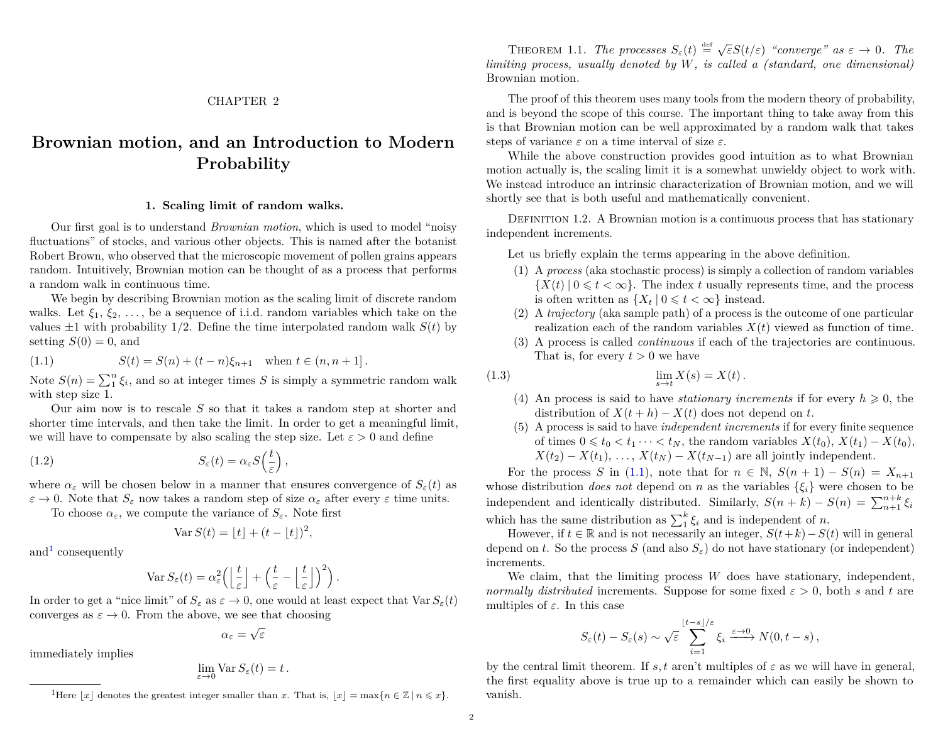## CHAPTER 2

# <span id="page-3-0"></span>**Brownian motion, and an Introduction to Modern Probability**

#### **1. Scaling limit of random walks.**

<span id="page-3-1"></span>Our first goal is to understand *Brownian motion*, which is used to model "noisy fluctuations" of stocks, and various other objects. This is named after the botanist Robert Brown, who observed that the microscopic movement of pollen grains appears random. Intuitively, Brownian motion can be thought of as a process that performs a random walk in continuous time.

We begin by describing Brownian motion as the scaling limit of discrete random walks. Let  $\xi_1, \xi_2, \ldots$ , be a sequence of i.i.d. random variables which take on the values  $\pm 1$  with probability 1/2. Define the time interpolated random walk  $S(t)$  by setting  $S(0) = 0$ , and

<span id="page-3-3"></span>(1.1) 
$$
S(t) = S(n) + (t - n)\xi_{n+1} \text{ when } t \in (n, n+1].
$$

Note  $S(n) = \sum_{i=1}^{n} \xi_i$ , and so at integer times *S* is simply a symmetric random walk with step size 1.

Our aim now is to rescale *S* so that it takes a random step at shorter and shorter time intervals, and then take the limit. In order to get a meaningful limit, we will have to compensate by also scaling the step size. Let  $\varepsilon > 0$  and define

(1.2) 
$$
S_{\varepsilon}(t) = \alpha_{\varepsilon} S\left(\frac{t}{\varepsilon}\right),
$$

where  $\alpha_{\varepsilon}$  will be chosen below in a manner that ensures convergence of  $S_{\varepsilon}(t)$  as  $\varepsilon \to 0$ . Note that  $S_{\varepsilon}$  now takes a random step of size  $\alpha_{\varepsilon}$  after every  $\varepsilon$  time units.

To choose  $\alpha_{\varepsilon}$ , we compute the variance of  $S_{\varepsilon}$ . Note first

$$
Var S(t) = \lfloor t \rfloor + (t - \lfloor t \rfloor)^2,
$$

and<sup>[1](#page-3-2)</sup> consequently

immediately implies

$$
\operatorname{Var} S_{\varepsilon}(t) = \alpha_{\varepsilon}^{2} \left( \left\lfloor \frac{t}{\varepsilon} \right\rfloor + \left( \frac{t}{\varepsilon} - \left\lfloor \frac{t}{\varepsilon} \right\rfloor \right)^{2} \right).
$$

In order to get a "nice limit" of  $S_{\varepsilon}$  as  $\varepsilon \to 0$ , one would at least expect that  $\text{Var } S_{\varepsilon}(t)$ converges as  $\varepsilon \to 0$ . From the above, we see that choosing

$$
\alpha_\varepsilon=\sqrt{\varepsilon}
$$

$$
\lim_{\varepsilon \to 0} \text{Var}\, S_{\varepsilon}(t) = t \, .
$$

<span id="page-3-4"></span>**THEOREM 1.1.** *The processes*  $S_{\varepsilon}(t) \stackrel{\text{def}}{=} \sqrt{\varepsilon}S(t/\varepsilon)$  "converge" as  $\varepsilon \to 0$ . *The limiting process, usually denoted by W, is called a (standard, one dimensional)* Brownian motion*.*

The proof of this theorem uses many tools from the modern theory of probability, and is beyond the scope of this course. The important thing to take away from this is that Brownian motion can be well approximated by a random walk that takes steps of variance *ε* on a time interval of size *ε*.

While the above construction provides good intuition as to what Brownian motion actually is, the scaling limit it is a somewhat unwieldy object to work with. We instead introduce an intrinsic characterization of Brownian motion, and we will shortly see that is both useful and mathematically convenient.

Definition 1.2. A Brownian motion is a continuous process that has stationary independent increments.

Let us briefly explain the terms appearing in the above definition.

- (1) A *process* (aka stochastic process) is simply a collection of random variables  ${X(t) | 0 \leq t < \infty}$ . The index *t* usually represents time, and the process is often written as  $\{X_t | 0 \leq t < \infty\}$  instead.
- (2) A *trajectory* (aka sample path) of a process is the outcome of one particular realization each of the random variables  $X(t)$  viewed as function of time.
- <span id="page-3-5"></span>(3) A process is called *continuous* if each of the trajectories are continuous. That is, for every  $t > 0$  we have

$$
\lim_{s \to t} X(s) = X(t).
$$

- (4) An process is said to have *stationary increments* if for every  $h \geq 0$ , the distribution of  $X(t + h) - X(t)$  does not depend on *t*.
- (5) A process is said to have *independent increments* if for every finite sequence of times  $0 \leq t_0 < t_1 \cdots < t_N$ , the random variables  $X(t_0)$ ,  $X(t_1) - X(t_0)$ ,  $X(t_2) - X(t_1), \ldots, X(t_N) - X(t_{N-1})$  are all jointly independent.

For the process *S* in [\(1.1\)](#page-3-3), note that for  $n \in \mathbb{N}$ ,  $S(n+1) - S(n) = X_{n+1}$ whose distribution *does not* depend on *n* as the variables  $\{\xi_i\}$  were chosen to be independent and identically distributed. Similarly,  $S(n + k) - S(n) = \sum_{n+1}^{n+k} \xi_i$ which has the same distribution as  $\sum_{i=1}^{k} \xi_i$  and is independent of *n*.

However, if *t* ∈ R and is not necessarily an integer,  $S(t+k) - S(t)$  will in general depend on *t*. So the process *S* (and also  $S_{\varepsilon}$ ) do not have stationary (or independent) increments.

We claim, that the limiting process *W* does have stationary, independent, *normally distributed* increments. Suppose for some fixed  $\varepsilon > 0$ , both *s* and *t* are multiples of  $\varepsilon$ . In this case

$$
S_{\varepsilon}(t) - S_{\varepsilon}(s) \sim \sqrt{\varepsilon} \sum_{i=1}^{\lfloor t-s \rfloor/\varepsilon} \xi_i \xrightarrow{\varepsilon \to 0} N(0, t-s),
$$

by the central limit theorem. If  $s, t$  aren't multiples of  $\varepsilon$  as we will have in general, the first equality above is true up to a remainder which can easily be shown to vanish.

<span id="page-3-2"></span><sup>&</sup>lt;sup>1</sup>Here  $|x|$  denotes the greatest integer smaller than *x*. That is,  $|x| = \max\{n \in \mathbb{Z} \mid n \leq x\}.$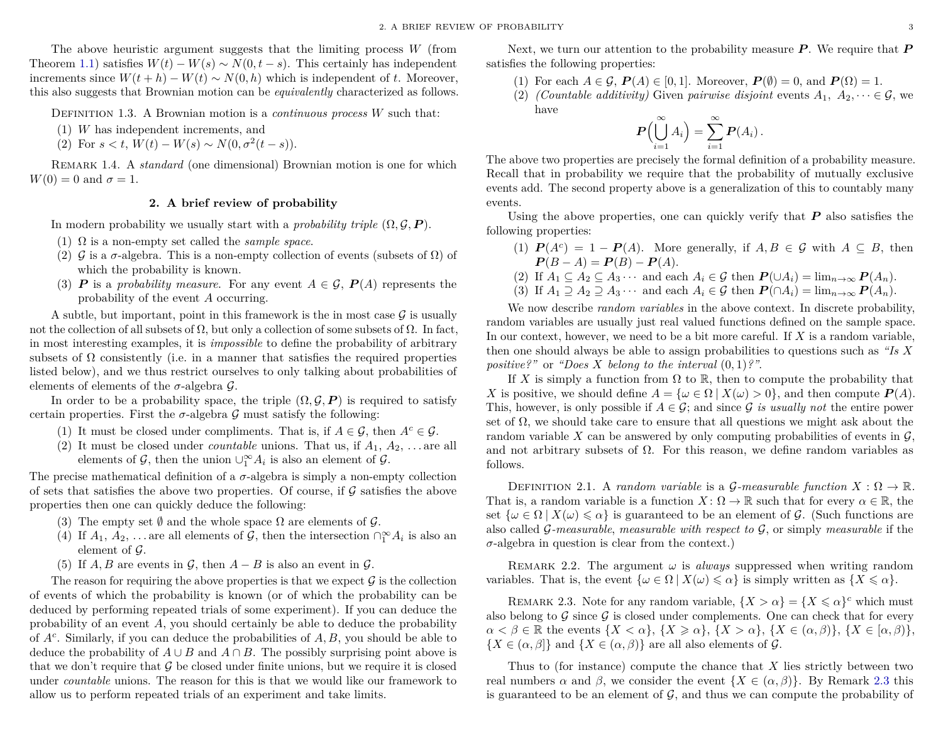The above heuristic argument suggests that the limiting process *W* (from Theorem [1.1\)](#page-3-4) satisfies  $W(t) - W(s) \sim N(0, t - s)$ . This certainly has independent increments since  $W(t + h) - W(t) \sim N(0, h)$  which is independent of *t*. Moreover, this also suggests that Brownian motion can be *equivalently* characterized as follows.

Definition 1.3. A Brownian motion is a *continuous process W* such that:

- (1) *W* has independent increments, and
- (2) For  $s < t$ ,  $W(t) W(s) \sim N(0, \sigma^2(t s)).$

Remark 1.4. A *standard* (one dimensional) Brownian motion is one for which  $W(0) = 0$  and  $\sigma = 1$ .

#### **2. A brief review of probability**

<span id="page-4-0"></span>In modern probability we usually start with a *probability triple*  $(\Omega, \mathcal{G}, P)$ .

- (1) Ω is a non-empty set called the *sample space*.
- (2)  $\mathcal G$  is a  $\sigma$ -algebra. This is a non-empty collection of events (subsets of  $\Omega$ ) of which the probability is known.
- (3) *P* is a *probability measure*. For any event  $A \in \mathcal{G}$ ,  $P(A)$  represents the probability of the event *A* occurring.

A subtle, but important, point in this framework is the in most case  $\mathcal G$  is usually not the collection of all subsets of  $\Omega$ , but only a collection of some subsets of  $\Omega$ . In fact, in most interesting examples, it is *impossible* to define the probability of arbitrary subsets of  $\Omega$  consistently (i.e. in a manner that satisfies the required properties listed below), and we thus restrict ourselves to only talking about probabilities of elements of elements of the  $\sigma$ -algebra  $\mathcal{G}$ .

In order to be a probability space, the triple  $(\Omega, \mathcal{G}, P)$  is required to satisfy certain properties. First the  $\sigma$ -algebra  $\mathcal G$  must satisfy the following:

- (1) It must be closed under compliments. That is, if  $A \in \mathcal{G}$ , then  $A^c \in \mathcal{G}$ .
- (2) It must be closed under *countable* unions. That us, if  $A_1, A_2, \ldots$  are all elements of  $\mathcal{G}$ , then the union  $\cup_1^{\infty} A_i$  is also an element of  $\mathcal{G}$ .

The precise mathematical definition of a  $\sigma$ -algebra is simply a non-empty collection of sets that satisfies the above two properties. Of course, if  $\mathcal G$  satisfies the above properties then one can quickly deduce the following:

- (3) The empty set  $\emptyset$  and the whole space  $\Omega$  are elements of  $\mathcal{G}$ .
- (4) If  $A_1, A_2, \ldots$  are all elements of  $\mathcal{G}$ , then the intersection  $\bigcap_{1}^{\infty} A_i$  is also an element of  $\mathcal{G}$ .
- (5) If  $A, B$  are events in  $G$ , then  $A B$  is also an event in  $G$ .

The reason for requiring the above properties is that we expect  $\mathcal G$  is the collection of events of which the probability is known (or of which the probability can be deduced by performing repeated trials of some experiment). If you can deduce the probability of an event *A*, you should certainly be able to deduce the probability of *A<sup>c</sup>* . Similarly, if you can deduce the probabilities of *A, B*, you should be able to deduce the probability of  $A \cup B$  and  $A \cap B$ . The possibly surprising point above is that we don't require that  $\mathcal G$  be closed under finite unions, but we require it is closed under *countable* unions. The reason for this is that we would like our framework to allow us to perform repeated trials of an experiment and take limits.

Next, we turn our attention to the probability measure *P* . We require that *P* satisfies the following properties:

- (1) For each  $A \in \mathcal{G}$ ,  $P(A) \in [0, 1]$ . Moreover,  $P(\emptyset) = 0$ , and  $P(\Omega) = 1$ .
- (2) *(Countable additivity)* Given *pairwise disjoint* events  $A_1, A_2, \dots \in \mathcal{G}$ , we have

$$
\boldsymbol{P}\Bigl(\bigcup_{i=1}^{\infty} A_i\Bigr) = \sum_{i=1}^{\infty} \boldsymbol{P}(A_i) \, .
$$

The above two properties are precisely the formal definition of a probability measure. Recall that in probability we require that the probability of mutually exclusive events add. The second property above is a generalization of this to countably many events.

Using the above properties, one can quickly verify that *P* also satisfies the following properties:

- (1)  $P(A^c) = 1 P(A)$ . More generally, if  $A, B \in \mathcal{G}$  with  $A \subseteq B$ , then  $P(B - A) = P(B) - P(A).$
- (2) If  $A_1 \subseteq A_2 \subseteq A_3 \cdots$  and each  $A_i \in \mathcal{G}$  then  $P(\cup A_i) = \lim_{n \to \infty} P(A_n)$ .
- (3) If  $A_1 \supseteq A_2 \supseteq A_3 \cdots$  and each  $A_i \in \mathcal{G}$  then  $P(\bigcap A_i) = \lim_{n \to \infty} P(A_n)$ .

We now describe *random variables* in the above context. In discrete probability, random variables are usually just real valued functions defined on the sample space. In our context, however, we need to be a bit more careful. If *X* is a random variable, then one should always be able to assign probabilities to questions such as *"Is X positive?"* or *"Does X belong to the interval* (0*,* 1)*?"*.

If X is simply a function from  $\Omega$  to  $\mathbb{R}$ , then to compute the probability that *X* is positive, we should define  $A = {\omega \in \Omega \mid X(\omega) > 0}$ , and then compute  $P(A)$ . This, however, is only possible if  $A \in \mathcal{G}$ ; and since  $\mathcal{G}$  *is usually not* the entire power set of  $\Omega$ , we should take care to ensure that all questions we might ask about the random variable X can be answered by only computing probabilities of events in  $\mathcal{G}$ , and not arbitrary subsets of  $\Omega$ . For this reason, we define random variables as follows.

DEFINITION 2.1. A *random variable* is a *G*-measurable function  $X : \Omega \to \mathbb{R}$ . That is, a random variable is a function  $X: \Omega \to \mathbb{R}$  such that for every  $\alpha \in \mathbb{R}$ , the set  $\{\omega \in \Omega \mid X(\omega) \leq \alpha\}$  is guaranteed to be an element of G. (Such functions are also called G*-measurable*, *measurable with respect to* G, or simply *measurable* if the  $\sigma$ -algebra in question is clear from the context.)

REMARK 2.2. The argument  $\omega$  is *always* suppressed when writing random variables. That is, the event  $\{\omega \in \Omega \mid X(\omega) \leq \alpha\}$  is simply written as  $\{X \leq \alpha\}$ .

<span id="page-4-1"></span>REMARK 2.3. Note for any random variable,  $\{X > \alpha\} = \{X \leq \alpha\}^c$  which must also belong to G since G is closed under complements. One can check that for every  $\alpha < \beta \in \mathbb{R}$  the events  $\{X < \alpha\}, \{X \geq \alpha\}, \{X > \alpha\}, \{X \in (\alpha, \beta)\}, \{X \in [\alpha, \beta)\}\$  ${X \in (\alpha, \beta]}$  and  ${X \in (\alpha, \beta)}$  are all also elements of G.

Thus to (for instance) compute the chance that *X* lies strictly between two real numbers  $\alpha$  and  $\beta$ , we consider the event  $\{X \in (\alpha, \beta)\}\$ . By Remark [2.3](#page-4-1) this is guaranteed to be an element of  $\mathcal{G}$ , and thus we can compute the probability of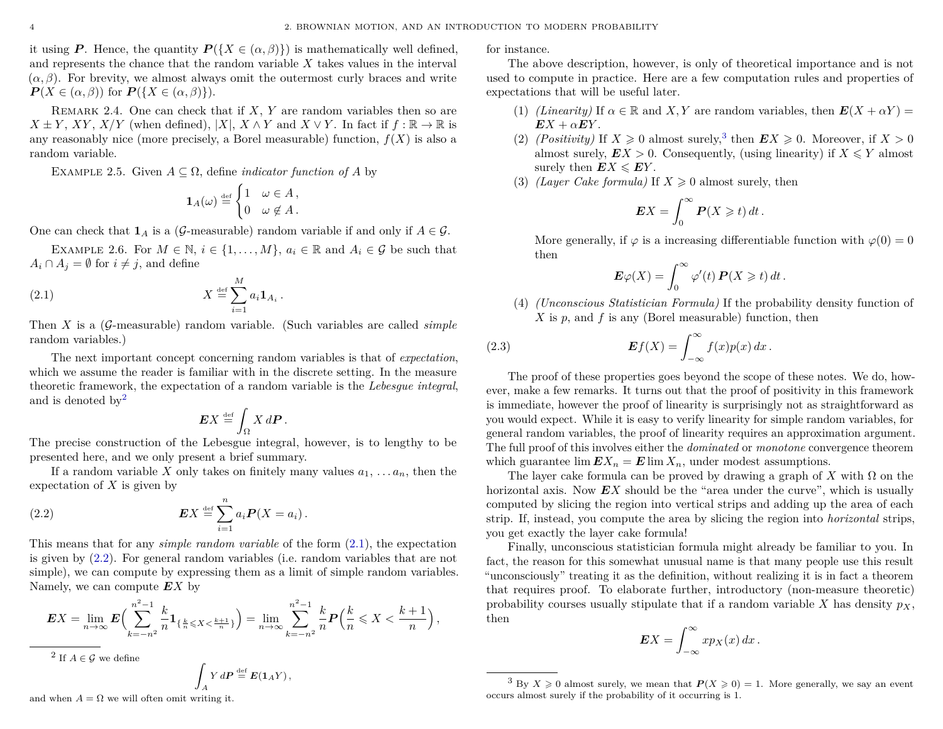it using *P*. Hence, the quantity  $P({X \in (\alpha, \beta)}$  is mathematically well defined, and represents the chance that the random variable *X* takes values in the interval  $(\alpha, \beta)$ . For brevity, we almost always omit the outermost curly braces and write  $P(X \in (\alpha, \beta))$  for  $P({X \in (\alpha, \beta)}).$ 

Remark 2.4. One can check that if *X*, *Y* are random variables then so are  $X \pm Y$ , *XY*, *X/Y* (when defined),  $|X|$ , *X*  $\wedge$ *Y* and *X*  $\vee$ *Y*. In fact if  $f : \mathbb{R} \to \mathbb{R}$  is any reasonably nice (more precisely, a Borel measurable) function,  $f(X)$  is also a random variable.

EXAMPLE 2.5. Given  $A \subseteq \Omega$ , define *indicator function of* A by

$$
\mathbf{1}_A(\omega) \stackrel{\text{def}}{=} \begin{cases} 1 & \omega \in A \,, \\ 0 & \omega \notin A \,. \end{cases}
$$

One can check that  $\mathbf{1}_A$  is a (G-measurable) random variable if and only if  $A \in \mathcal{G}$ .

EXAMPLE 2.6. For  $M \in \mathbb{N}$ ,  $i \in \{1, ..., M\}$ ,  $a_i \in \mathbb{R}$  and  $A_i \in \mathcal{G}$  be such that  $A_i \cap A_j = \emptyset$  for  $i \neq j$ , and define

(2.1) *X* def = X *M i*=1 *ai***1***A<sup>i</sup>*

Then *X* is a (G-measurable) random variable. (Such variables are called *simple* random variables.)

<span id="page-5-1"></span>*.*

The next important concept concerning random variables is that of *expectation*, which we assume the reader is familiar with in the discrete setting. In the measure theoretic framework, the expectation of a random variable is the *Lebesgue integral*, and is denoted by  $2^2$  $2^2$ 

<span id="page-5-2"></span>
$$
\boldsymbol{E} X \stackrel{\text{def}}{=} \int_{\Omega} X d\boldsymbol{P}.
$$

The precise construction of the Lebesgue integral, however, is to lengthy to be presented here, and we only present a brief summary.

If a random variable *X* only takes on finitely many values  $a_1, \ldots, a_n$ , then the expectation of *X* is given by

(2.2) 
$$
\boldsymbol{E} X \stackrel{\text{def}}{=} \sum_{i=1}^{n} a_i \boldsymbol{P}(X = a_i).
$$

This means that for any *simple random variable* of the form [\(2.1\)](#page-5-1), the expectation is given by [\(2.2\)](#page-5-2). For general random variables (i.e. random variables that are not simple), we can compute by expressing them as a limit of simple random variables. Namely, we can compute *EX* by

$$
EX = \lim_{n \to \infty} E\Big(\sum_{k=-n^2}^{n^2-1} \frac{k}{n} 1_{\{\frac{k}{n} \le X \le \frac{k+1}{n}\}}\Big) = \lim_{n \to \infty} \sum_{k=-n^2}^{n^2-1} \frac{k}{n} P\Big(\frac{k}{n} \le X \le \frac{k+1}{n}\Big),
$$

<span id="page-5-0"></span> $2$  If  $A \in \mathcal{G}$  we define

$$
\int_A Y dP \stackrel{\text{def}}{=} E(1_A Y),
$$

and when  $A = \Omega$  we will often omit writing it.

for instance.

The above description, however, is only of theoretical importance and is not used to compute in practice. Here are a few computation rules and properties of expectations that will be useful later.

- (1) *(Linearity)* If  $\alpha \in \mathbb{R}$  and X, Y are random variables, then  $E(X + \alpha Y) =$  $EX + \alpha EY$ .
- (2) *(Positivity)* If  $X \ge 0$  almost surely,<sup>[3](#page-5-3)</sup> then  $EX \ge 0$ . Moreover, if  $X > 0$ almost surely,  $EX > 0$ . Consequently, (using linearity) if  $X \leq Y$  almost surely then  $EX \leqslant EY$ .
- (3) *(Layer Cake formula)* If  $X \geq 0$  almost surely, then

$$
EX = \int_0^\infty P(X \geqslant t) dt.
$$

More generally, if  $\varphi$  is a increasing differentiable function with  $\varphi(0) = 0$ then

<span id="page-5-4"></span>
$$
\mathbf{E}\varphi(X) = \int_0^\infty \varphi'(t) \, \mathbf{P}(X \geq t) \, dt \, .
$$

(4) *(Unconscious Statistician Formula)* If the probability density function of *X* is *p*, and *f* is any (Borel measurable) function, then

(2.3) 
$$
\mathbf{E}f(X) = \int_{-\infty}^{\infty} f(x)p(x) dx.
$$

The proof of these properties goes beyond the scope of these notes. We do, however, make a few remarks. It turns out that the proof of positivity in this framework is immediate, however the proof of linearity is surprisingly not as straightforward as you would expect. While it is easy to verify linearity for simple random variables, for general random variables, the proof of linearity requires an approximation argument. The full proof of this involves either the *dominated* or *monotone* convergence theorem which guarantee  $\lim E X_n = E \lim X_n$ , under modest assumptions.

The layer cake formula can be proved by drawing a graph of  $X$  with  $\Omega$  on the horizontal axis. Now EX should be the "area under the curve", which is usually computed by slicing the region into vertical strips and adding up the area of each strip. If, instead, you compute the area by slicing the region into *horizontal* strips, you get exactly the layer cake formula!

Finally, unconscious statistician formula might already be familiar to you. In fact, the reason for this somewhat unusual name is that many people use this result "unconsciously" treating it as the definition, without realizing it is in fact a theorem that requires proof. To elaborate further, introductory (non-measure theoretic) probability courses usually stipulate that if a random variable  $X$  has density  $p_X$ , then

$$
EX = \int_{-\infty}^{\infty} x p_X(x) \, dx \, .
$$

<span id="page-5-3"></span><sup>&</sup>lt;sup>3</sup> By  $X \ge 0$  almost surely, we mean that  $P(X \ge 0) = 1$ . More generally, we say an event occurs almost surely if the probability of it occurring is 1.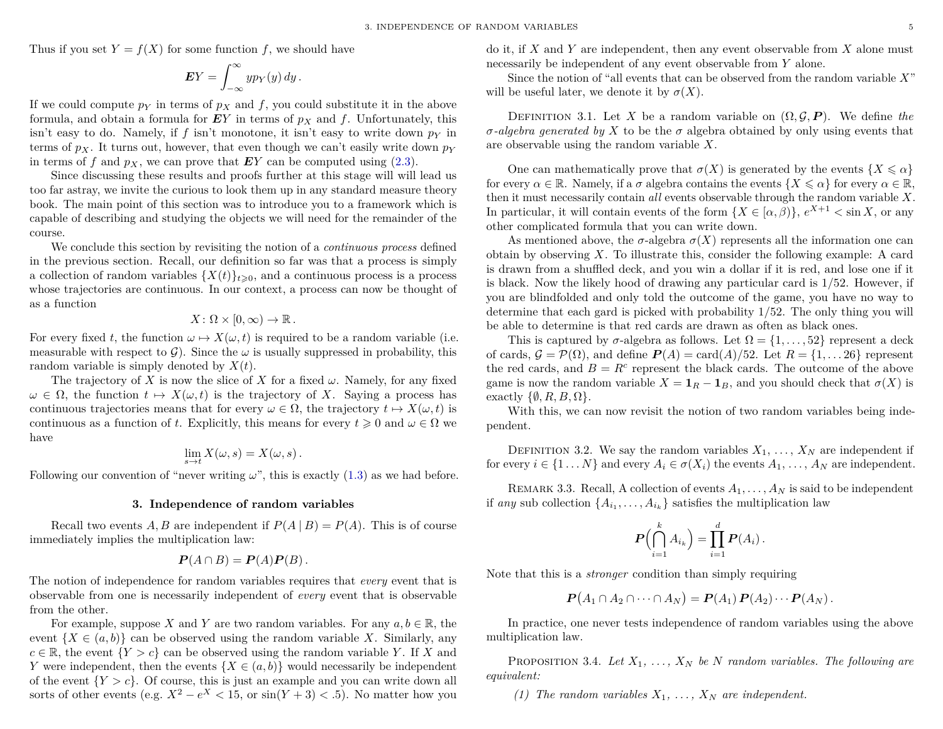Thus if you set  $Y = f(X)$  for some function f, we should have

$$
EY = \int_{-\infty}^{\infty} y p_Y(y) \, dy \, .
$$

If we could compute  $p_Y$  in terms of  $p_X$  and f, you could substitute it in the above formula, and obtain a formula for  $EY$  in terms of  $p_X$  and f. Unfortunately, this isn't easy to do. Namely, if  $f$  isn't monotone, it isn't easy to write down  $p<sub>Y</sub>$  in terms of  $p_X$ . It turns out, however, that even though we can't easily write down  $p_Y$ in terms of *f* and  $p_X$ , we can prove that  $EY$  can be computed using [\(2.3\)](#page-5-4).

Since discussing these results and proofs further at this stage will will lead us too far astray, we invite the curious to look them up in any standard measure theory book. The main point of this section was to introduce you to a framework which is capable of describing and studying the objects we will need for the remainder of the course.

We conclude this section by revisiting the notion of a *continuous process* defined in the previous section. Recall, our definition so far was that a process is simply a collection of random variables  $\{X(t)\}_{t\geq0}$ , and a continuous process is a process whose trajectories are continuous. In our context, a process can now be thought of as a function

$$
X\colon\Omega\times[0,\infty)\to\mathbb{R}.
$$

For every fixed t, the function  $\omega \mapsto X(\omega, t)$  is required to be a random variable (i.e. measurable with respect to  $\mathcal{G}$ ). Since the  $\omega$  is usually suppressed in probability, this random variable is simply denoted by *X*(*t*).

The trajectory of *X* is now the slice of *X* for a fixed  $\omega$ . Namely, for any fixed  $\omega \in \Omega$ , the function  $t \mapsto X(\omega, t)$  is the trajectory of *X*. Saying a process has continuous trajectories means that for every  $\omega \in \Omega$ , the trajectory  $t \mapsto X(\omega, t)$  is continuous as a function of *t*. Explicitly, this means for every  $t \geq 0$  and  $\omega \in \Omega$  we have

$$
\lim_{s \to t} X(\omega, s) = X(\omega, s) .
$$

Following our convention of "never writing  $\omega$ ", this is exactly [\(1.3\)](#page-3-5) as we had before.

#### **3. Independence of random variables**

<span id="page-6-0"></span>Recall two events *A*, *B* are independent if  $P(A | B) = P(A)$ . This is of course immediately implies the multiplication law:

$$
\boldsymbol{P}(A \cap B) = \boldsymbol{P}(A)\boldsymbol{P}(B).
$$

The notion of independence for random variables requires that *every* event that is observable from one is necessarily independent of *every* event that is observable from the other.

For example, suppose *X* and *Y* are two random variables. For any  $a, b \in \mathbb{R}$ , the event  $\{X \in (a, b)\}\)$  can be observed using the random variable X. Similarly, any  $c \in \mathbb{R}$ , the event  $\{Y > c\}$  can be observed using the random variable *Y*. If *X* and *Y* were independent, then the events  $\{X \in (a, b)\}\$  would necessarily be independent of the event  ${Y > c}$ . Of course, this is just an example and you can write down all sorts of other events (e.g.  $X^2 - e^X < 15$ , or  $\sin(Y + 3) < .5$ ). No matter how you

do it, if *X* and *Y* are independent, then any event observable from *X* alone must necessarily be independent of any event observable from *Y* alone.

Since the notion of "all events that can be observed from the random variable *X*" will be useful later, we denote it by  $\sigma(X)$ .

DEFINITION 3.1. Let X be a random variable on  $(\Omega, \mathcal{G}, P)$ . We define the *σ*-*algebra generated by X* to be the *σ* algebra obtained by only using events that are observable using the random variable *X*.

One can mathematically prove that  $\sigma(X)$  is generated by the events  $\{X \leq \alpha\}$ for every  $\alpha \in \mathbb{R}$ . Namely, if a  $\sigma$  algebra contains the events  $\{X \leq \alpha\}$  for every  $\alpha \in \mathbb{R}$ , then it must necessarily contain *all* events observable through the random variable *X*. In particular, it will contain events of the form  $\{X \in [\alpha, \beta)\}\$ ,  $e^{X+1} < \sin X$ , or any other complicated formula that you can write down.

As mentioned above, the  $\sigma$ -algebra  $\sigma(X)$  represents all the information one can obtain by observing *X*. To illustrate this, consider the following example: A card is drawn from a shuffled deck, and you win a dollar if it is red, and lose one if it is black. Now the likely hood of drawing any particular card is 1*/*52. However, if you are blindfolded and only told the outcome of the game, you have no way to determine that each gard is picked with probability 1*/*52. The only thing you will be able to determine is that red cards are drawn as often as black ones.

This is captured by  $\sigma$ -algebra as follows. Let  $\Omega = \{1, \ldots, 52\}$  represent a deck of cards,  $\mathcal{G} = \mathcal{P}(\Omega)$ , and define  $P(A) = \text{card}(A)/52$ . Let  $R = \{1, \ldots 26\}$  represent the red cards, and  $B = R^c$  represent the black cards. The outcome of the above game is now the random variable  $X = \mathbf{1}_R - \mathbf{1}_B$ , and you should check that  $\sigma(X)$  is exactly  $\{\emptyset, R, B, \Omega\}.$ 

With this, we can now revisit the notion of two random variables being independent.

DEFINITION 3.2. We say the random variables  $X_1, \ldots, X_N$  are independent if for every  $i \in \{1 \dots N\}$  and every  $A_i \in \sigma(X_i)$  the events  $A_1, \dots, A_N$  are independent.

REMARK 3.3. Recall, A collection of events  $A_1, \ldots, A_N$  is said to be independent if *any* sub collection  $\{A_{i_1}, \ldots, A_{i_k}\}$  satisfies the multiplication law

$$
\boldsymbol{P}\Bigl(\bigcap_{i=1}^k A_{i_k}\Bigr) = \prod_{i=1}^d \boldsymbol{P}(A_i).
$$

Note that this is a *stronger* condition than simply requiring

$$
\boldsymbol{P}(A_1 \cap A_2 \cap \cdots \cap A_N) = \boldsymbol{P}(A_1) \boldsymbol{P}(A_2) \cdots \boldsymbol{P}(A_N).
$$

In practice, one never tests independence of random variables using the above multiplication law.

<span id="page-6-1"></span>PROPOSITION 3.4. *Let*  $X_1, \ldots, X_N$  *be N random variables. The following are equivalent:*

*(1) The random variables*  $X_1, \ldots, X_N$  *are independent.*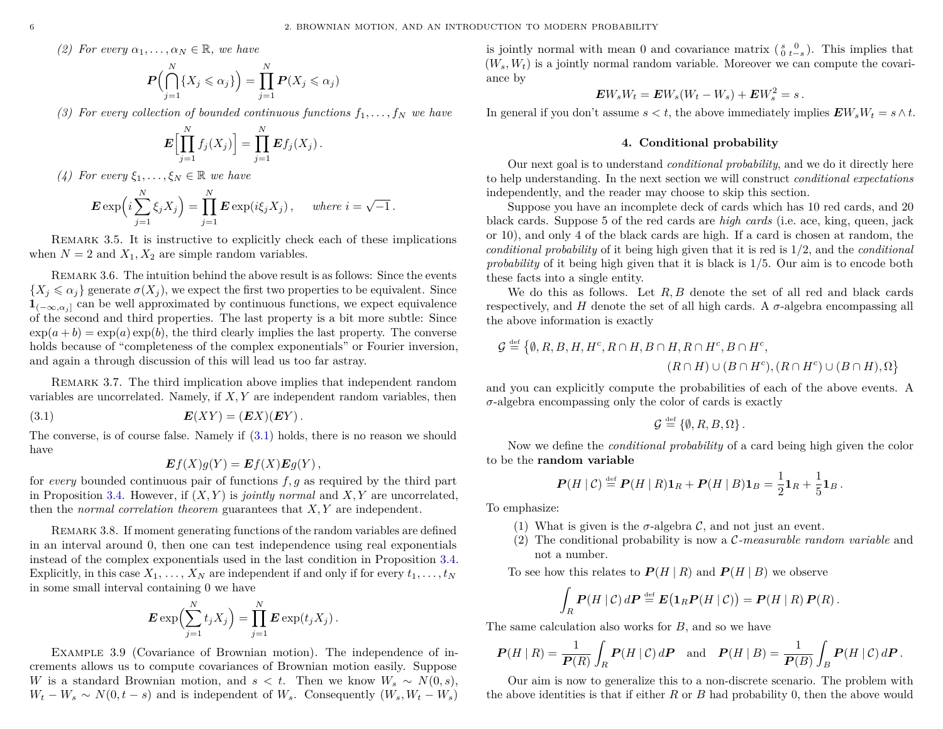*(2) For every*  $\alpha_1, \ldots, \alpha_N \in \mathbb{R}$ *, we have* 

$$
\boldsymbol{P}\Big(\bigcap_{j=1}^N \{X_j \leqslant \alpha_j\}\Big) = \prod_{j=1}^N \boldsymbol{P}(X_j \leqslant \alpha_j)
$$

*(3)* For every collection of bounded continuous functions  $f_1, \ldots, f_N$  we have

$$
\boldsymbol{E}\Bigl[\prod_{j=1}^N f_j(X_j)\Bigr]=\prod_{j=1}^N \boldsymbol{E} f_j(X_j)\,.
$$

*(4) For every*  $\xi_1, \ldots, \xi_N \in \mathbb{R}$  *we have* 

$$
\mathbf{E} \exp\left(i\sum_{j=1}^N \xi_j X_j\right) = \prod_{j=1}^N \mathbf{E} \exp(i\xi_j X_j), \quad \text{where } i = \sqrt{-1}.
$$

Remark 3.5. It is instructive to explicitly check each of these implications when  $N = 2$  and  $X_1, X_2$  are simple random variables.

Remark 3.6. The intuition behind the above result is as follows: Since the events  ${X_i \leq \alpha_i}$  generate  $\sigma(X_i)$ , we expect the first two properties to be equivalent. Since  **can be well approximated by continuous functions, we expect equivalence** of the second and third properties. The last property is a bit more subtle: Since  $\exp(a+b) = \exp(a)\exp(b)$ , the third clearly implies the last property. The converse holds because of "completeness of the complex exponentials" or Fourier inversion, and again a through discussion of this will lead us too far astray.

Remark 3.7. The third implication above implies that independent random variables are uncorrelated. Namely, if *X, Y* are independent random variables, then

$$
E(XY) = (EX)(EY).
$$

The converse, is of course false. Namely if [\(3.1\)](#page-7-1) holds, there is no reason we should have

<span id="page-7-1"></span>
$$
\boldsymbol{E}f(X)g(Y)=\boldsymbol{E}f(X)\boldsymbol{E}g(Y)\,,
$$

for *every* bounded continuous pair of functions *f, g* as required by the third part in Proposition [3.4.](#page-6-1) However, if (*X, Y* ) is *jointly normal* and *X, Y* are uncorrelated, then the *normal correlation theorem* guarantees that *X, Y* are independent.

REMARK 3.8. If moment generating functions of the random variables are defined in an interval around 0, then one can test independence using real exponentials instead of the complex exponentials used in the last condition in Proposition [3.4.](#page-6-1) Explicitly, in this case  $X_1, \ldots, X_N$  are independent if and only if for every  $t_1, \ldots, t_N$ in some small interval containing 0 we have

$$
\boldsymbol{E} \exp\Bigl(\sum_{j=1}^N t_j X_j\Bigr) = \prod_{j=1}^N \boldsymbol{E} \exp(t_j X_j) .
$$

Example 3.9 (Covariance of Brownian motion). The independence of increments allows us to compute covariances of Brownian motion easily. Suppose *W* is a standard Brownian motion, and  $s < t$ . Then we know  $W_s \sim N(0, s)$ ,  $W_t - W_s \sim N(0, t - s)$  and is independent of  $W_s$ . Consequently  $(W_s, W_t - W_s)$ 

is jointly normal with mean 0 and covariance matrix  $\begin{pmatrix} s & 0 \\ 0 & t-s \end{pmatrix}$ . This implies that  $(W_s, W_t)$  is a jointly normal random variable. Moreover we can compute the covariance by

$$
EW_sW_t=EW_s(W_t-W_s)+EW_s^2=s.
$$

In general if you don't assume  $s < t$ , the above immediately implies  $\mathbf{E}W_sW_t = s \wedge t$ .

#### **4. Conditional probability**

<span id="page-7-0"></span>Our next goal is to understand *conditional probability*, and we do it directly here to help understanding. In the next section we will construct *conditional expectations* independently, and the reader may choose to skip this section.

Suppose you have an incomplete deck of cards which has 10 red cards, and 20 black cards. Suppose 5 of the red cards are *high cards* (i.e. ace, king, queen, jack or 10), and only 4 of the black cards are high. If a card is chosen at random, the *conditional probability* of it being high given that it is red is 1*/*2, and the *conditional probability* of it being high given that it is black is 1*/*5. Our aim is to encode both these facts into a single entity.

We do this as follows. Let R, B denote the set of all red and black cards respectively, and *H* denote the set of all high cards. A  $\sigma$ -algebra encompassing all the above information is exactly

$$
\mathcal{G} \stackrel{\text{def}}{=} \{ \emptyset, R, B, H, H^c, R \cap H, B \cap H, R \cap H^c, B \cap H^c, \{ R \cap H^c \} \cup (B \cap H), \Omega \}
$$
\n
$$
(R \cap H) \cup (B \cap H^c), (R \cap H^c) \cup (B \cap H), \Omega \}
$$

and you can explicitly compute the probabilities of each of the above events. A *σ*-algebra encompassing only the color of cards is exactly

$$
\mathcal{G} \stackrel{\text{def}}{=} \{ \emptyset, R, B, \Omega \}.
$$

Now we define the *conditional probability* of a card being high given the color to be the **random variable**

$$
\boldsymbol{P}(H \mid \mathcal{C}) \stackrel{\text{def}}{=} \boldsymbol{P}(H \mid R) \mathbf{1}_R + \boldsymbol{P}(H \mid B) \mathbf{1}_B = \frac{1}{2} \mathbf{1}_R + \frac{1}{5} \mathbf{1}_B.
$$

To emphasize:

- (1) What is given is the  $\sigma$ -algebra C, and not just an event.
- (2) The conditional probability is now a C*-measurable random variable* and not a number.

To see how this relates to  $P(H | R)$  and  $P(H | B)$  we observe

$$
\int_R \boldsymbol{P}(H \mid \mathcal{C}) \, d\boldsymbol{P} \stackrel{\text{\tiny def}}{=} \boldsymbol{E}\big(\boldsymbol{1}_R \boldsymbol{P}(H \mid \mathcal{C})\big) = \boldsymbol{P}(H \mid R) \, \boldsymbol{P}(R) \, .
$$

The same calculation also works for *B*, and so we have

$$
\boldsymbol{P}(H \mid R) = \frac{1}{\boldsymbol{P}(R)} \int_{R} \boldsymbol{P}(H \mid \mathcal{C}) d\boldsymbol{P} \text{ and } \boldsymbol{P}(H \mid B) = \frac{1}{\boldsymbol{P}(B)} \int_{B} \boldsymbol{P}(H \mid \mathcal{C}) d\boldsymbol{P}.
$$

Our aim is now to generalize this to a non-discrete scenario. The problem with the above identities is that if either *R* or *B* had probability 0, then the above would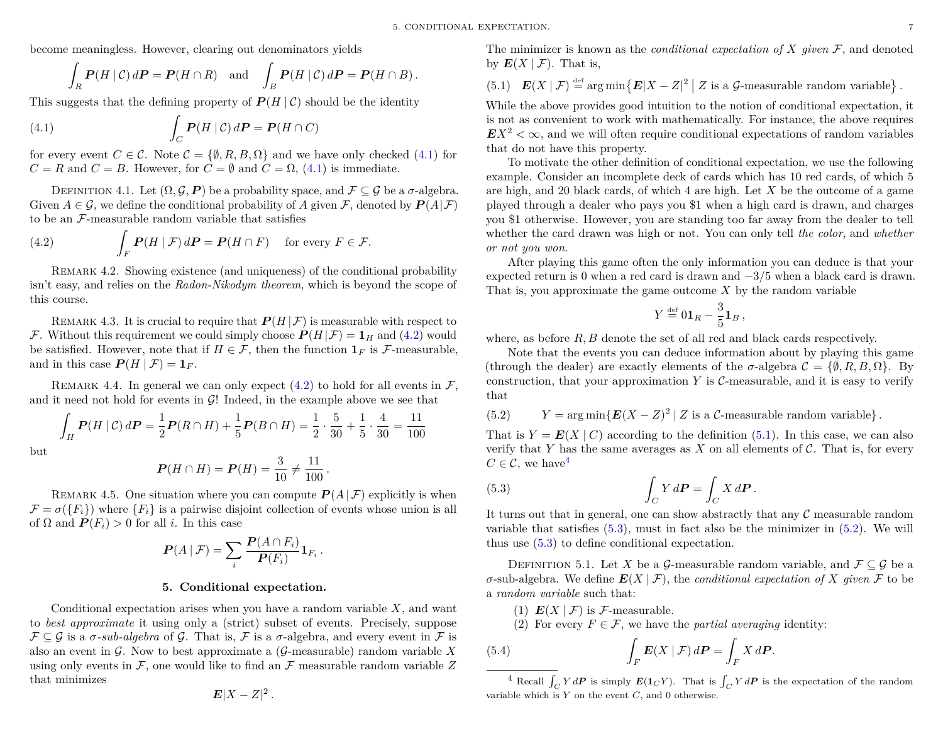become meaningless. However, clearing out denominators yields

<span id="page-8-1"></span>
$$
\int_R \mathbf{P}(H \mid \mathcal{C}) d\mathbf{P} = \mathbf{P}(H \cap R) \text{ and } \int_B \mathbf{P}(H \mid \mathcal{C}) d\mathbf{P} = \mathbf{P}(H \cap B).
$$

This suggests that the defining property of  $P(H | \mathcal{C})$  should be the identity

(4.1) 
$$
\int_C \boldsymbol{P}(H \mid \mathcal{C}) d\boldsymbol{P} = \boldsymbol{P}(H \cap C)
$$

for every event  $C \in \mathcal{C}$ . Note  $\mathcal{C} = \{\emptyset, R, B, \Omega\}$  and we have only checked [\(4.1\)](#page-8-1) for  $C = R$  and  $C = B$ . However, for  $C = \emptyset$  and  $C = \Omega$ , [\(4.1\)](#page-8-1) is immediate.

DEFINITION 4.1. Let  $(\Omega, \mathcal{G}, P)$  be a probability space, and  $\mathcal{F} \subset \mathcal{G}$  be a  $\sigma$ -algebra. Given  $A \in \mathcal{G}$ , we define the conditional probability of A given F, denoted by  $P(A|\mathcal{F})$ to be an F-measurable random variable that satisfies

<span id="page-8-2"></span>(4.2) 
$$
\int_{F} \mathbf{P}(H | \mathcal{F}) d\mathbf{P} = \mathbf{P}(H \cap F) \text{ for every } F \in \mathcal{F}.
$$

Remark 4.2. Showing existence (and uniqueness) of the conditional probability isn't easy, and relies on the *Radon-Nikodym theorem*, which is beyond the scope of this course.

REMARK 4.3. It is crucial to require that  $P(H|\mathcal{F})$  is measurable with respect to F. Without this requirement we could simply choose  $P(H|\mathcal{F}) = 1_H$  and [\(4.2\)](#page-8-2) would be satisfied. However, note that if  $H \in \mathcal{F}$ , then the function  $\mathbf{1}_F$  is  $\mathcal{F}$ -measurable, and in this case  $P(H | \mathcal{F}) = 1_F$ .

REMARK 4.4. In general we can only expect [\(4.2\)](#page-8-2) to hold for all events in  $\mathcal{F}$ . and it need not hold for events in  $G!$  Indeed, in the example above we see that

$$
\int_H \mathbf{P}(H \mid \mathcal{C}) \, d\mathbf{P} = \frac{1}{2} \mathbf{P}(R \cap H) + \frac{1}{5} \mathbf{P}(B \cap H) = \frac{1}{2} \cdot \frac{5}{30} + \frac{1}{5} \cdot \frac{4}{30} = \frac{11}{100}
$$

but

$$
P(H \cap H) = P(H) = \frac{3}{10} \neq \frac{11}{100}.
$$

REMARK 4.5. One situation where you can compute  $P(A | \mathcal{F})$  explicitly is when  $\mathcal{F} = \sigma(\{F_i\})$  where  $\{F_i\}$  is a pairwise disjoint collection of events whose union is all of  $\Omega$  and  $P(F_i) > 0$  for all *i*. In this case

$$
\boldsymbol{P}(A \mid \mathcal{F}) = \sum_i \frac{\boldsymbol{P}(A \cap F_i)}{\boldsymbol{P}(F_i)} \boldsymbol{1}_{F_i}.
$$

#### **5. Conditional expectation.**

<span id="page-8-0"></span>Conditional expectation arises when you have a random variable *X*, and want to *best approximate* it using only a (strict) subset of events. Precisely, suppose  $\mathcal{F} \subseteq \mathcal{G}$  is a  $\sigma$ -sub-algebra of  $\mathcal{G}$ . That is,  $\mathcal{F}$  is a  $\sigma$ -algebra, and every event in  $\mathcal{F}$  is also an event in G. Now to best approximate a (G-measurable) random variable *X* using only events in  $\mathcal F$ , one would like to find an  $\mathcal F$  measurable random variable  $Z$ that minimizes

$$
E|X-Z|^2.
$$

The minimizer is known as the *conditional expectation of*  $X$  *given*  $\mathcal{F}$ , and denoted by  $E(X | \mathcal{F})$ . That is,

<span id="page-8-3"></span>(5.1) 
$$
E(X \mid \mathcal{F}) \stackrel{\text{def}}{=} \arg \min \{ E |X - Z|^2 \mid Z \text{ is a } \mathcal{G}\text{-measurable random variable} \}.
$$

While the above provides good intuition to the notion of conditional expectation, it is not as convenient to work with mathematically. For instance, the above requires  $EX<sup>2</sup> < \infty$ , and we will often require conditional expectations of random variables that do not have this property.

To motivate the other definition of conditional expectation, we use the following example. Consider an incomplete deck of cards which has 10 red cards, of which 5 are high, and 20 black cards, of which 4 are high. Let *X* be the outcome of a game played through a dealer who pays you \$1 when a high card is drawn, and charges you \$1 otherwise. However, you are standing too far away from the dealer to tell whether the card drawn was high or not. You can only tell *the color*, and *whether or not you won*.

After playing this game often the only information you can deduce is that your expected return is 0 when a red card is drawn and −3*/*5 when a black card is drawn. That is, you approximate the game outcome *X* by the random variable

$$
Y \stackrel{\text{def}}{=} 0 \mathbf{1}_R - \frac{3}{5} \mathbf{1}_B,
$$

where, as before R, B denote the set of all red and black cards respectively.

Note that the events you can deduce information about by playing this game (through the dealer) are exactly elements of the  $\sigma$ -algebra  $\mathcal{C} = \{\emptyset, R, B, \Omega\}$ . By construction, that your approximation  $Y$  is  $\mathcal{C}$ -measurable, and it is easy to verify that

<span id="page-8-6"></span>(5.2)  $Y = \arg \min \{ E(X - Z)^2 | Z \text{ is a } C\text{-measurable random variable} \}.$ 

That is  $Y = E(X | C)$  according to the definition [\(5.1\)](#page-8-3). In this case, we can also verify that  $Y$  has the same averages as  $X$  on all elements of  $C$ . That is, for every  $C \in \mathcal{C}$ , we have<sup>[4](#page-8-4)</sup>

<span id="page-8-5"></span>(5.3) 
$$
\int_C Y dP = \int_C X dP.
$$

It turns out that in general, one can show abstractly that any  $\mathcal C$  measurable random variable that satisfies [\(5.3\)](#page-8-5), must in fact also be the minimizer in [\(5.2\)](#page-8-6). We will thus use [\(5.3\)](#page-8-5) to define conditional expectation.

<span id="page-8-8"></span>DEFINITION 5.1. Let *X* be a G-measurable random variable, and  $\mathcal{F} \subseteq \mathcal{G}$  be a  $\sigma$ -sub-algebra. We define  $E(X | \mathcal{F})$ , the *conditional expectation of* X *given*  $\mathcal F$  to be a *random variable* such that:

- (1)  $E(X | \mathcal{F})$  is  $\mathcal{F}\text{-measurable.}$
- <span id="page-8-7"></span>(2) For every  $F \in \mathcal{F}$ , we have the *partial averaging* identity:

(5.4) 
$$
\int_{F} \boldsymbol{E}(X \mid \mathcal{F}) d\boldsymbol{P} = \int_{F} X d\boldsymbol{P}.
$$

<span id="page-8-4"></span><sup>4</sup> Recall  $\int_C Y dP$  is simply  $E(1_CY)$ . That is  $\int_C Y dP$  is the expectation of the random variable which is *Y* on the event *C*, and 0 otherwise.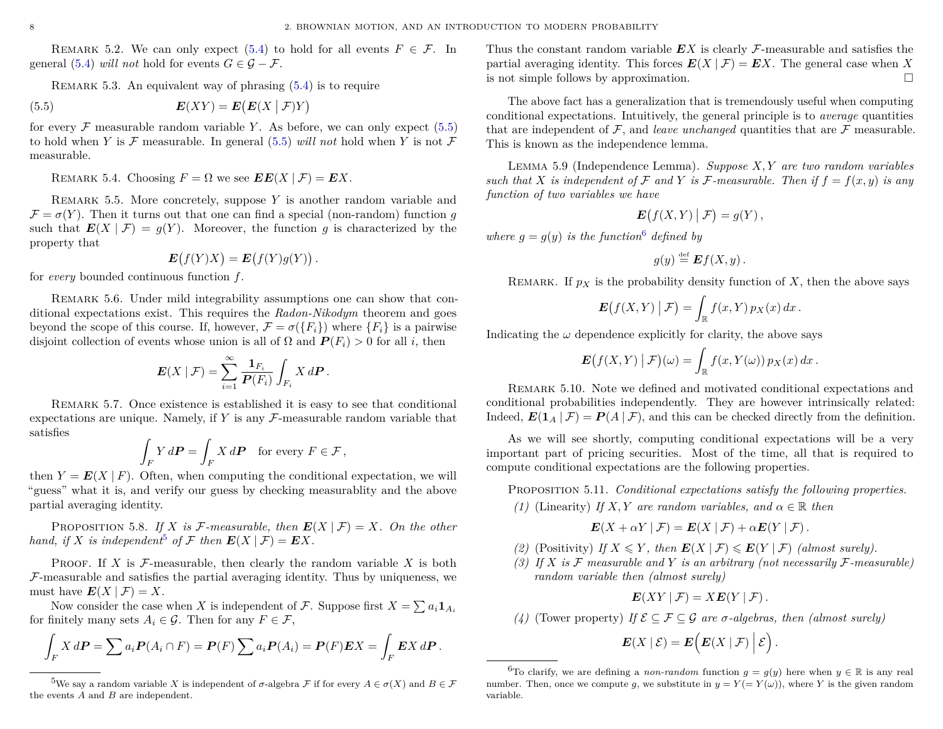REMARK 5.2. We can only expect [\(5.4\)](#page-8-7) to hold for all events  $F \in \mathcal{F}$ . In general [\(5.4\)](#page-8-7) *will not* hold for events  $G \in \mathcal{G} - \mathcal{F}$ .

<span id="page-9-0"></span>REMARK 5.3. An equivalent way of phrasing  $(5.4)$  is to require

(5.5) 
$$
E(XY) = E(E(X | \mathcal{F})Y)
$$

for every  $\mathcal F$  measurable random variable *Y*. As before, we can only expect [\(5.5\)](#page-9-0) to hold when *Y* is  $\mathcal F$  measurable. In general [\(5.5\)](#page-9-0) *will not* hold when *Y* is not  $\mathcal F$ measurable.

<span id="page-9-3"></span>REMARK 5.4. Choosing  $F = \Omega$  we see  $\mathbf{E}E(X | \mathcal{F}) = \mathbf{E}X$ .

Remark 5.5. More concretely, suppose *Y* is another random variable and  $\mathcal{F} = \sigma(Y)$ . Then it turns out that one can find a special (non-random) function *q* such that  $E(X | \mathcal{F}) = g(Y)$ . Moreover, the function *g* is characterized by the property that

$$
\mathbf{E}(f(Y)X) = \mathbf{E}(f(Y)g(Y)).
$$

for *every* bounded continuous function *f*.

Remark 5.6. Under mild integrability assumptions one can show that conditional expectations exist. This requires the *Radon-Nikodym* theorem and goes beyond the scope of this course. If, however,  $\mathcal{F} = \sigma(\{F_i\})$  where  $\{F_i\}$  is a pairwise disjoint collection of events whose union is all of  $\Omega$  and  $P(F_i) > 0$  for all *i*, then

$$
\boldsymbol{E}(X \mid \mathcal{F}) = \sum_{i=1}^{\infty} \frac{\boldsymbol{1}_{F_i}}{\boldsymbol{P}(F_i)} \int_{F_i} X \, d\boldsymbol{P} \, .
$$

Remark 5.7. Once existence is established it is easy to see that conditional expectations are unique. Namely, if  $Y$  is any  $\mathcal{F}\text{-measurable random variable that}$ satisfies

$$
\int_{F} Y d\mathbf{P} = \int_{F} X d\mathbf{P} \text{ for every } F \in \mathcal{F},
$$

then  $Y = E(X | F)$ . Often, when computing the conditional expectation, we will "guess" what it is, and verify our guess by checking measurablity and the above partial averaging identity.

PROPOSITION 5.8. *If X is* F-measurable, then  $E(X | \mathcal{F}) = X$ . On the other *hand, if X is independent*<sup>[5](#page-9-1)</sup> *of*  $\mathcal F$  *then*  $E(X | \mathcal F) = EX$ *.* 

PROOF. If  $X$  is  $\mathcal{F}$ -measurable, then clearly the random variable  $X$  is both  $F$ -measurable and satisfies the partial averaging identity. Thus by uniqueness, we must have  $E(X | \mathcal{F}) = X$ .

Now consider the case when *X* is independent of *F*. Suppose first  $X = \sum a_i \mathbf{1}_{A_i}$ for finitely many sets  $A_i \in \mathcal{G}$ . Then for any  $F \in \mathcal{F}$ ,

$$
\int_F X d\mathbf{P} = \sum a_i \mathbf{P}(A_i \cap F) = \mathbf{P}(F) \sum a_i \mathbf{P}(A_i) = \mathbf{P}(F) \mathbf{E} X = \int_F \mathbf{E} X d\mathbf{P}.
$$

Thus the constant random variable *EX* is clearly F-measurable and satisfies the partial averaging identity. This forces  $E(X | \mathcal{F}) = EX$ . The general case when X is not simple follows by approximation.  $\Box$ 

The above fact has a generalization that is tremendously useful when computing conditional expectations. Intuitively, the general principle is to *average* quantities that are independent of  $\mathcal{F}$ , and *leave unchanged* quantities that are  $\mathcal{F}$  measurable. This is known as the independence lemma.

Lemma 5.9 (Independence Lemma). *Suppose X, Y are two random variables such that X is independent of*  $\mathcal F$  *and*  $Y$  *is*  $\mathcal F$ *-measurable. Then if*  $f = f(x, y)$  *is any function of two variables we have*

$$
\mathbf{E}\big(f(X,Y)\big|\,\mathcal{F}\big)=g(Y)\,,
$$

where  $g = g(y)$  *is the function*<sup>[6](#page-9-2)</sup> defined by

$$
g(y) \stackrel{\text{def}}{=} \mathbf{E} f(X, y) .
$$

REMARK. If  $p_X$  is the probability density function of  $X$ , then the above says

$$
\mathbf{E}\big(f(X,Y)\big|\,\mathcal{F}\big)=\int_{\mathbb{R}}f(x,Y)\,p_X(x)\,dx\,.
$$

Indicating the  $\omega$  dependence explicitly for clarity, the above says

$$
\boldsymbol{E}\big(f(X,Y) \mid \mathcal{F}\big)(\omega) = \int_{\mathbb{R}} f(x,Y(\omega)) \, p_X(x) \, dx \, .
$$

Remark 5.10. Note we defined and motivated conditional expectations and conditional probabilities independently. They are however intrinsically related: Indeed,  $E(1_A | \mathcal{F}) = P(A | \mathcal{F})$ , and this can be checked directly from the definition.

As we will see shortly, computing conditional expectations will be a very important part of pricing securities. Most of the time, all that is required to compute conditional expectations are the following properties.

<span id="page-9-4"></span>Proposition 5.11. *Conditional expectations satisfy the following properties.*

*(1)* (Linearity) *If X,Y are random variables, and*  $\alpha \in \mathbb{R}$  *then* 

$$
\mathbf{E}(X+\alpha Y | \mathcal{F}) = \mathbf{E}(X | \mathcal{F}) + \alpha \mathbf{E}(Y | \mathcal{F}).
$$

- (2) (Positivity) *If*  $X \leq Y$ *, then*  $E(X | \mathcal{F}) \leq E(Y | \mathcal{F})$  (almost surely).
- <span id="page-9-5"></span>(3) If  $X$  is  $\mathcal F$  measurable and  $Y$  is an arbitrary (not necessarily  $\mathcal F$ -measurable) *random variable then (almost surely)*

$$
\boldsymbol{E}(XY \mid \mathcal{F}) = X \boldsymbol{E}(Y \mid \mathcal{F}).
$$

*(4)* (Tower property) *If*  $\mathcal{E} \subseteq \mathcal{F} \subseteq \mathcal{G}$  *are*  $\sigma$ -algebras, then *(almost surely)* 

$$
\boldsymbol{E}(X \mid \mathcal{E}) = \boldsymbol{E}\Big(\boldsymbol{E}(X \mid \mathcal{F})\Big| \mathcal{E}\Big)\,.
$$

<span id="page-9-1"></span><sup>&</sup>lt;sup>5</sup>We say a random variable *X* is independent of  $\sigma$ -algebra  $\mathcal F$  if for every  $A \in \sigma(X)$  and  $B \in \mathcal F$ the events *A* and *B* are independent.

<span id="page-9-2"></span><sup>&</sup>lt;sup>6</sup>To clarify, we are defining a *non-random* function  $q = q(y)$  here when  $y \in \mathbb{R}$  is any real number. Then, once we compute *g*, we substitute in  $y = Y (= Y(\omega))$ , where *Y* is the given random variable.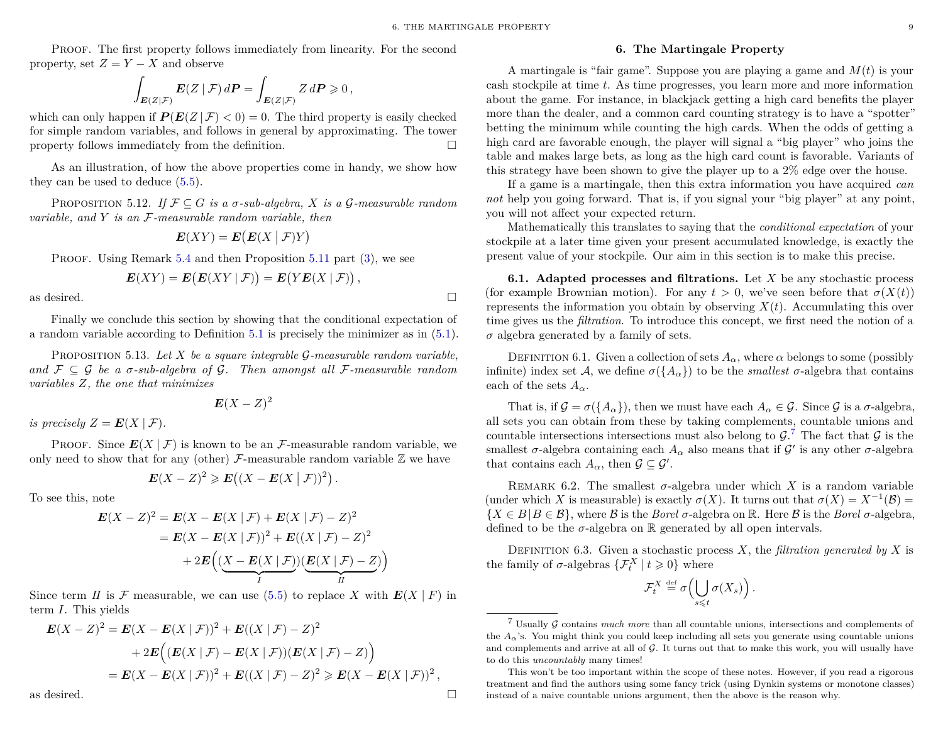Proof. The first property follows immediately from linearity. For the second property, set  $Z = Y - X$  and observe

$$
\int_{\mathbf{E}(Z|\mathcal{F})} \mathbf{E}(Z | \mathcal{F}) d\mathbf{P} = \int_{\mathbf{E}(Z|\mathcal{F})} Z d\mathbf{P} \geqslant 0,
$$

which can only happen if  $P(E(Z | \mathcal{F}) < 0) = 0$ . The third property is easily checked for simple random variables, and follows in general by approximating. The tower property follows immediately from the definition.  $\Box$ 

As an illustration, of how the above properties come in handy, we show how they can be used to deduce [\(5.5\)](#page-9-0).

PROPOSITION 5.12. *If*  $\mathcal{F} \subseteq G$  *is a*  $\sigma$ *-sub-algebra, X is a*  $\mathcal{G}$ *-measurable random variable, and Y is an* F*-measurable random variable, then*

$$
\boldsymbol{E}(XY) = \boldsymbol{E}\big(\boldsymbol{E}(X \mid \mathcal{F})Y\big)
$$

PROOF. Using Remark [5.4](#page-9-3) and then Proposition [5.11](#page-9-4) part [\(3\)](#page-9-5), we see

$$
E(XY) = E(E(XY | \mathcal{F})) = E(YE(X | \mathcal{F})),
$$

as desired.  $\Box$ 

Finally we conclude this section by showing that the conditional expectation of a random variable according to Definition [5.1](#page-8-8) is precisely the minimizer as in [\(5.1\)](#page-8-3).

Proposition 5.13. *Let X be a square integrable* G*-measurable random variable, and*  $\mathcal{F} \subseteq \mathcal{G}$  *be a*  $\sigma$ *-sub-algebra of*  $\mathcal{G}$ *. Then amongst all*  $\mathcal{F}$ *-measurable random variables Z, the one that minimizes*

$$
\boldsymbol{E}(X-Z)^2
$$

*is precisely*  $Z = E(X | \mathcal{F})$ *.* 

PROOF. Since  $E(X | \mathcal{F})$  is known to be an  $\mathcal{F}$ -measurable random variable, we only need to show that for any (other)  $\mathcal{F}$ -measurable random variable  $\mathbb{Z}$  we have

$$
\mathbf{E}(X-Z)^2 \geqslant \mathbf{E}\big((X-\mathbf{E}(X\mid \mathcal{F}))^2\big).
$$

To see this, note

$$
\mathbf{E}(X - Z)^2 = \mathbf{E}(X - \mathbf{E}(X | \mathcal{F}) + \mathbf{E}(X | \mathcal{F}) - Z)^2
$$
  
= 
$$
\mathbf{E}(X - \mathbf{E}(X | \mathcal{F}))^2 + \mathbf{E}((X | \mathcal{F}) - Z)^2
$$
  
+ 
$$
2\mathbf{E}\Big(\underbrace{(X - \mathbf{E}(X | \mathcal{F}))}_{I}\underbrace{(\mathbf{E}(X | \mathcal{F}) - Z)}_{II}\Big)
$$

Since term *II* is F measurable, we can use [\(5.5\)](#page-9-0) to replace X with  $E(X \mid F)$  in term *I*. This yields

$$
\mathbf{E}(X - Z)^2 = \mathbf{E}(X - \mathbf{E}(X | \mathcal{F}))^2 + \mathbf{E}((X | \mathcal{F}) - Z)^2
$$
  
+ 2 $\mathbf{E}((\mathbf{E}(X | \mathcal{F}) - \mathbf{E}(X | \mathcal{F}))( \mathbf{E}(X | \mathcal{F}) - Z))$   
=  $\mathbf{E}(X - \mathbf{E}(X | \mathcal{F}))^2 + \mathbf{E}((X | \mathcal{F}) - Z)^2 \ge \mathbf{E}(X - \mathbf{E}(X | \mathcal{F}))^2$ ,

as desired.  $\Box$ 

#### **6. The Martingale Property**

<span id="page-10-0"></span>A martingale is "fair game". Suppose you are playing a game and *M*(*t*) is your cash stockpile at time *t*. As time progresses, you learn more and more information about the game. For instance, in blackjack getting a high card benefits the player more than the dealer, and a common card counting strategy is to have a "spotter" betting the minimum while counting the high cards. When the odds of getting a high card are favorable enough, the player will signal a "big player" who joins the table and makes large bets, as long as the high card count is favorable. Variants of this strategy have been shown to give the player up to a 2% edge over the house.

If a game is a martingale, then this extra information you have acquired *can not* help you going forward. That is, if you signal your "big player" at any point, you will not affect your expected return.

Mathematically this translates to saying that the *conditional expectation* of your stockpile at a later time given your present accumulated knowledge, is exactly the present value of your stockpile. Our aim in this section is to make this precise.

**6.1. Adapted processes and filtrations.** Let *X* be any stochastic process (for example Brownian motion). For any  $t > 0$ , we've seen before that  $\sigma(X(t))$ represents the information you obtain by observing  $X(t)$ . Accumulating this over time gives us the *filtration*. To introduce this concept, we first need the notion of a  $\sigma$  algebra generated by a family of sets.

DEFINITION 6.1. Given a collection of sets  $A_\alpha$ , where  $\alpha$  belongs to some (possibly infinite) index set A, we define  $\sigma({A_{\alpha}})$  to be the *smallest*  $\sigma$ -algebra that contains each of the sets  $A_{\alpha}$ .

That is, if  $\mathcal{G} = \sigma({A_\alpha})$ , then we must have each  $A_\alpha \in \mathcal{G}$ . Since  $\mathcal{G}$  is a  $\sigma$ -algebra, all sets you can obtain from these by taking complements, countable unions and countable intersections intersections must also belong to  $\mathcal{G}$ .<sup>[7](#page-10-1)</sup> The fact that  $\mathcal{G}$  is the smallest  $\sigma$ -algebra containing each  $A_{\alpha}$  also means that if  $\mathcal{G}'$  is any other  $\sigma$ -algebra that contains each  $A_{\alpha}$ , then  $\mathcal{G} \subseteq \mathcal{G}'$ .

REMARK 6.2. The smallest  $\sigma$ -algebra under which *X* is a random variable (under which *X* is measurable) is exactly  $\sigma(X)$ . It turns out that  $\sigma(X) = X^{-1}(\mathcal{B}) =$  ${X \in B | B \in \mathcal{B} }$ , where B is the *Borel*  $\sigma$ -algebra on R. Here B is the *Borel*  $\sigma$ -algebra, defined to be the  $\sigma$ -algebra on  $\mathbb R$  generated by all open intervals.

DEFINITION 6.3. Given a stochastic process  $X$ , the *filtration generated by*  $X$  is the family of  $\sigma$ -algebras  $\{\mathcal{F}_{t}^{X} \mid t \geq 0\}$  where

$$
\mathcal{F}_t^X \stackrel{\text{def}}{=} \sigma\left(\bigcup_{s\leq t} \sigma(X_s)\right).
$$

<span id="page-10-1"></span><sup>7</sup> Usually G contains *much more* than all countable unions, intersections and complements of the  $A_{\alpha}$ 's. You might think you could keep including all sets you generate using countable unions and complements and arrive at all of  $G$ . It turns out that to make this work, you will usually have to do this *uncountably* many times!

This won't be too important within the scope of these notes. However, if you read a rigorous treatment and find the authors using some fancy trick (using Dynkin systems or monotone classes) instead of a naive countable unions argument, then the above is the reason why.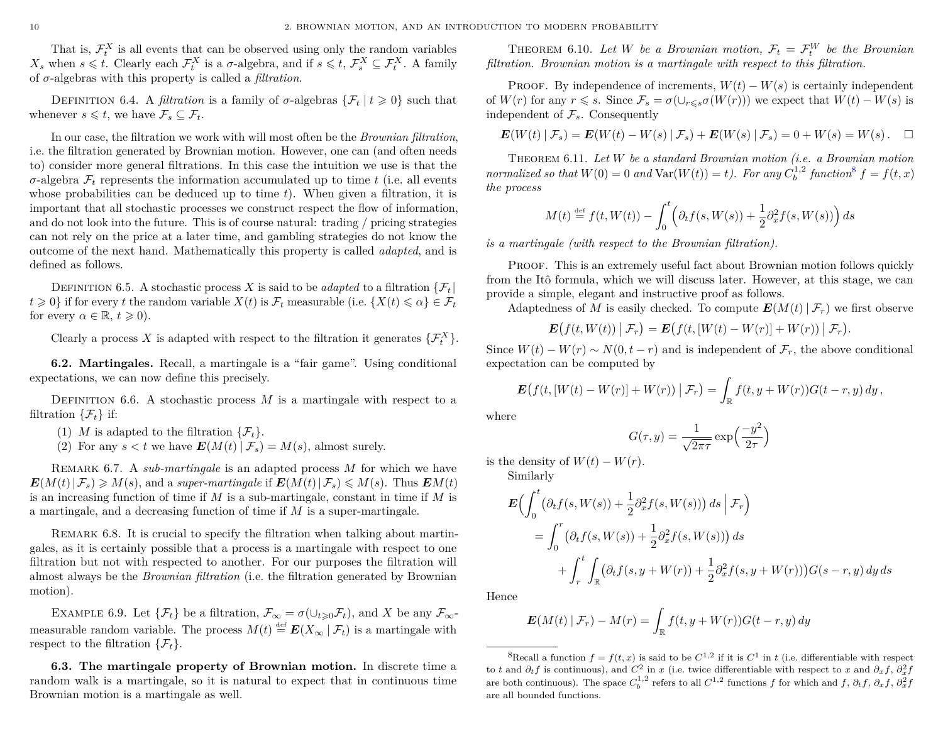That is,  $\mathcal{F}^X_t$  is all events that can be observed using only the random variables *X*<sup>*s*</sup> when  $s \leq t$ . Clearly each  $\mathcal{F}^X_t$  is a *σ*-algebra, and if  $s \leq t$ ,  $\mathcal{F}^X_s \subseteq \mathcal{F}^X_t$ . A family of *σ*-algebras with this property is called a *filtration*.

DEFINITION 6.4. A *filtration* is a family of  $\sigma$ -algebras  $\{\mathcal{F}_t | t \geq 0\}$  such that whenever  $s \leq t$ , we have  $\mathcal{F}_s \subseteq \mathcal{F}_t$ .

In our case, the filtration we work with will most often be the *Brownian filtration*, i.e. the filtration generated by Brownian motion. However, one can (and often needs to) consider more general filtrations. In this case the intuition we use is that the *σ*-algebra F*<sup>t</sup>* represents the information accumulated up to time *t* (i.e. all events whose probabilities can be deduced up to time *t*). When given a filtration, it is important that all stochastic processes we construct respect the flow of information, and do not look into the future. This is of course natural: trading / pricing strategies can not rely on the price at a later time, and gambling strategies do not know the outcome of the next hand. Mathematically this property is called *adapted*, and is defined as follows.

DEFINITION 6.5. A stochastic process *X* is said to be *adapted* to a filtration  $\{F_t\}$  $t \geq 0$ } if for every *t* the random variable  $X(t)$  is  $\mathcal{F}_t$  measurable (i.e.  $\{X(t) \leq \alpha\} \in \mathcal{F}_t$ for every  $\alpha \in \mathbb{R}, t \geq 0$ ).

Clearly a process *X* is adapted with respect to the filtration it generates  $\{\mathcal{F}_{t}^{X}\}.$ 

**6.2. Martingales.** Recall, a martingale is a "fair game". Using conditional expectations, we can now define this precisely.

DEFINITION 6.6. A stochastic process  $M$  is a martingale with respect to a filtration  $\{\mathcal{F}_t\}$  if:

- (1) *M* is adapted to the filtration  $\{\mathcal{F}_t\}.$
- (2) For any  $s < t$  we have  $E(M(t) | \mathcal{F}_s) = M(s)$ , almost surely.

Remark 6.7. A *sub-martingale* is an adapted process *M* for which we have  $E(M(t)|F_s) \ge M(s)$ , and a *super-martingale* if  $E(M(t)|F_s) \le M(s)$ . Thus  $EM(t)$ is an increasing function of time if *M* is a sub-martingale, constant in time if *M* is a martingale, and a decreasing function of time if *M* is a super-martingale.

REMARK 6.8. It is crucial to specify the filtration when talking about martingales, as it is certainly possible that a process is a martingale with respect to one filtration but not with respected to another. For our purposes the filtration will almost always be the *Brownian filtration* (i.e. the filtration generated by Brownian motion).

EXAMPLE 6.9. Let  $\{\mathcal{F}_t\}$  be a filtration,  $\mathcal{F}_{\infty} = \sigma(\cup_{t \geq 0} \mathcal{F}_t)$ , and X be any  $\mathcal{F}_{\infty}$ measurable random variable. The process  $M(t) \stackrel{\text{def}}{=} E(X_\infty \mid \mathcal{F}_t)$  is a martingale with respect to the filtration  $\{\mathcal{F}_t\}.$ 

**6.3. The martingale property of Brownian motion.** In discrete time a random walk is a martingale, so it is natural to expect that in continuous time Brownian motion is a martingale as well.

THEOREM 6.10. Let *W* be a Brownian motion,  $\mathcal{F}_t = \mathcal{F}_t^W$  be the Brownian *filtration. Brownian motion is a martingale with respect to this filtration.*

PROOF. By independence of increments,  $W(t) - W(s)$  is certainly independent of  $W(r)$  for any  $r \le s$ . Since  $\mathcal{F}_s = \sigma(\cup_{r \le s} \sigma(W(r)))$  we expect that  $W(t) - W(s)$  is independent of  $\mathcal{F}_s$ . Consequently

$$
\mathbf{E}(W(t) | \mathcal{F}_s) = \mathbf{E}(W(t) - W(s) | \mathcal{F}_s) + \mathbf{E}(W(s) | \mathcal{F}_s) = 0 + W(s) = W(s). \quad \Box
$$

Theorem 6.11. *Let W be a standard Brownian motion (i.e. a Brownian motion normalized so that*  $W(0) = 0$  *and*  $Var(W(t)) = t$ *). For any*  $C_b^{1,2}$  *function*<sup>[8](#page-11-0)</sup>  $f = f(t, x)$ *the process*

$$
M(t) \stackrel{\text{def}}{=} f(t, W(t)) - \int_0^t \left( \partial_t f(s, W(s)) + \frac{1}{2} \partial_x^2 f(s, W(s)) \right) ds
$$

*is a martingale (with respect to the Brownian filtration).*

Proof. This is an extremely useful fact about Brownian motion follows quickly from the Itô formula, which we will discuss later. However, at this stage, we can provide a simple, elegant and instructive proof as follows.

Adaptedness of *M* is easily checked. To compute  $E(M(t) | \mathcal{F}_r)$  we first observe

$$
\boldsymbol{E}\big(f(t,W(t))\big|\,\mathcal{F}_r\big)=\boldsymbol{E}\big(f(t,[W(t)-W(r)]+W(r))\,\big|\,\mathcal{F}_r\big).
$$

Since  $W(t) - W(r) \sim N(0, t - r)$  and is independent of  $\mathcal{F}_r$ , the above conditional expectation can be computed by

$$
\boldsymbol{E}\big(f(t,[W(t)-W(r)]+W(r))\,\big|\,\mathcal{F}_r\big)=\int_{\mathbb{R}}f(t,y+W(r))G(t-r,y)\,dy\,,
$$

where

$$
G(\tau, y) = \frac{1}{\sqrt{2\pi\tau}} \exp\left(\frac{-y^2}{2\tau}\right)
$$

is the density of  $W(t) - W(r)$ .

Similarly

$$
\mathbf{E}\Big(\int_0^t \big(\partial_t f(s, W(s)) + \frac{1}{2}\partial_x^2 f(s, W(s))\big) ds \Big| \mathcal{F}_r\Big)
$$
  
= 
$$
\int_0^r \big(\partial_t f(s, W(s)) + \frac{1}{2}\partial_x^2 f(s, W(s))\big) ds
$$
  
+ 
$$
\int_r^t \int_{\mathbb{R}} \big(\partial_t f(s, y + W(r)) + \frac{1}{2}\partial_x^2 f(s, y + W(r))\big) G(s - r, y) dy ds
$$

Hence

$$
\mathbf{E}(M(t) | \mathcal{F}_r) - M(r) = \int_{\mathbb{R}} f(t, y + W(r)) G(t - r, y) dy
$$

<span id="page-11-0"></span><sup>&</sup>lt;sup>8</sup>Recall a function  $f = f(t, x)$  is said to be  $C^{1,2}$  if it is  $C^1$  in *t* (i.e. differentiable with respect to *t* and  $\partial_t f$  is continuous), and  $C^2$  in *x* (i.e. twice differentiable with respect to *x* and  $\partial_x f$ ,  $\partial_x^2 f$ are both continuous). The space  $C_b^{1,2}$  refers to all  $C^{1,2}$  functions *f* for which and *f*,  $\partial_t f$ ,  $\partial_x f$ ,  $\partial_x^2 f$ are all bounded functions.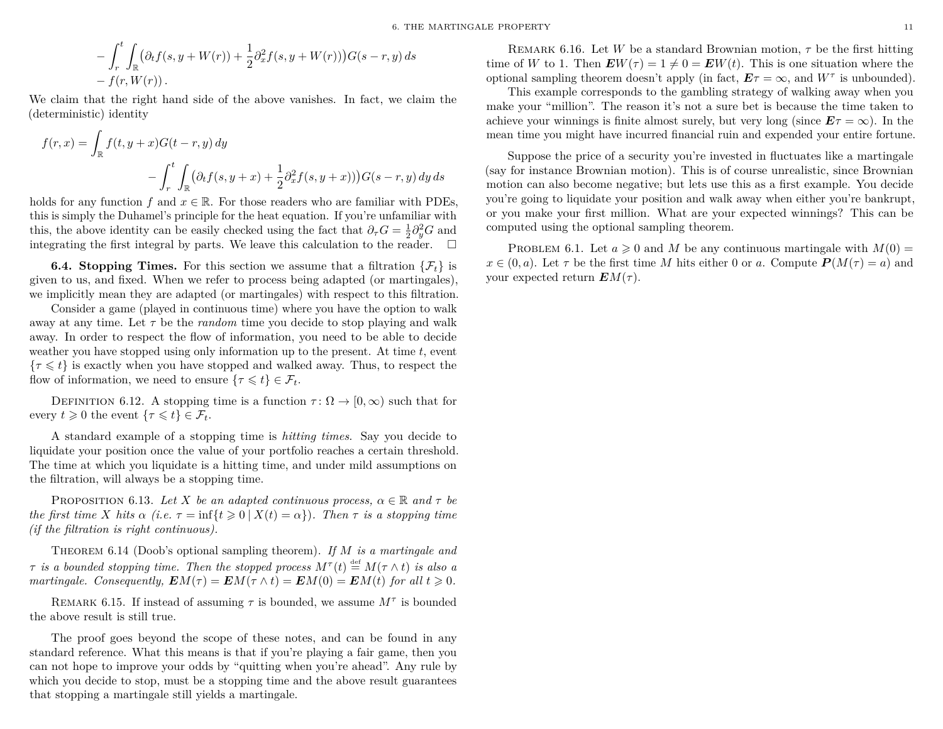$$
-\int_r^t \int_{\mathbb{R}} (\partial_t f(s, y + W(r)) + \frac{1}{2} \partial_x^2 f(s, y + W(r))) G(s - r, y) ds
$$
  
-  $f(r, W(r))$ .

We claim that the right hand side of the above vanishes. In fact, we claim the (deterministic) identity

$$
f(r,x) = \int_{\mathbb{R}} f(t, y+x)G(t-r, y) dy
$$

$$
- \int_{r}^{t} \int_{\mathbb{R}} (\partial_{t} f(s, y+x) + \frac{1}{2} \partial_{x}^{2} f(s, y+x))) G(s-r, y) dy ds
$$

holds for any function *f* and  $x \in \mathbb{R}$ . For those readers who are familiar with PDEs, this is simply the Duhamel's principle for the heat equation. If you're unfamiliar with this, the above identity can be easily checked using the fact that  $\partial_{\tau}G = \frac{1}{2}\partial_y^2 G$  and integrating the first integral by parts. We leave this calculation to the reader.  $\Box$ 

**6.4. Stopping Times.** For this section we assume that a filtration  $\{\mathcal{F}_t\}$  is given to us, and fixed. When we refer to process being adapted (or martingales), we implicitly mean they are adapted (or martingales) with respect to this filtration.

Consider a game (played in continuous time) where you have the option to walk away at any time. Let *τ* be the *random* time you decide to stop playing and walk away. In order to respect the flow of information, you need to be able to decide weather you have stopped using only information up to the present. At time *t*, event  ${\tau \leq t}$  is exactly when you have stopped and walked away. Thus, to respect the flow of information, we need to ensure  $\{\tau \leq t\} \in \mathcal{F}_t$ .

DEFINITION 6.12. A stopping time is a function  $\tau : \Omega \to [0, \infty)$  such that for every  $t \geq 0$  the event  $\{\tau \leq t\} \in \mathcal{F}_t$ .

A standard example of a stopping time is *hitting times*. Say you decide to liquidate your position once the value of your portfolio reaches a certain threshold. The time at which you liquidate is a hitting time, and under mild assumptions on the filtration, will always be a stopping time.

PROPOSITION 6.13. *Let X be an adapted continuous process,*  $\alpha \in \mathbb{R}$  *and*  $\tau$  *be the first time X hits*  $\alpha$  *(i.e.*  $\tau = \inf\{t \geq 0 \mid X(t) = \alpha\}$ ). Then  $\tau$  *is a stopping time (if the filtration is right continuous).*

Theorem 6.14 (Doob's optional sampling theorem). *If M is a martingale and τ is a bounded stopping time. Then the stopped process*  $M^{\tau}(t) \stackrel{\text{def}}{=} M(\tau \wedge t)$  *is also a martingale. Consequently,*  $EM(\tau) = EM(\tau \wedge t) = EM(0) = EM(t)$  *for all*  $t \ge 0$ *.* 

REMARK 6.15. If instead of assuming  $\tau$  is bounded, we assume  $M^{\tau}$  is bounded the above result is still true.

The proof goes beyond the scope of these notes, and can be found in any standard reference. What this means is that if you're playing a fair game, then you can not hope to improve your odds by "quitting when you're ahead". Any rule by which you decide to stop, must be a stopping time and the above result guarantees that stopping a martingale still yields a martingale.

Remark 6.16. Let *W* be a standard Brownian motion, *τ* be the first hitting time of *W* to 1. Then  $\mathbf{E}W(\tau) = 1 \neq 0 = \mathbf{E}W(t)$ . This is one situation where the optional sampling theorem doesn't apply (in fact,  $E\tau = \infty$ , and  $W^{\tau}$  is unbounded).

This example corresponds to the gambling strategy of walking away when you make your "million". The reason it's not a sure bet is because the time taken to achieve your winnings is finite almost surely, but very long (since  $E\tau = \infty$ ). In the mean time you might have incurred financial ruin and expended your entire fortune.

Suppose the price of a security you're invested in fluctuates like a martingale (say for instance Brownian motion). This is of course unrealistic, since Brownian motion can also become negative; but lets use this as a first example. You decide you're going to liquidate your position and walk away when either you're bankrupt, or you make your first million. What are your expected winnings? This can be computed using the optional sampling theorem.

PROBLEM 6.1. Let  $a \ge 0$  and *M* be any continuous martingale with  $M(0) =$  $x \in (0, a)$ . Let  $\tau$  be the first time *M* hits either 0 or *a*. Compute  $P(M(\tau) = a)$  and your expected return  $EM(\tau)$ .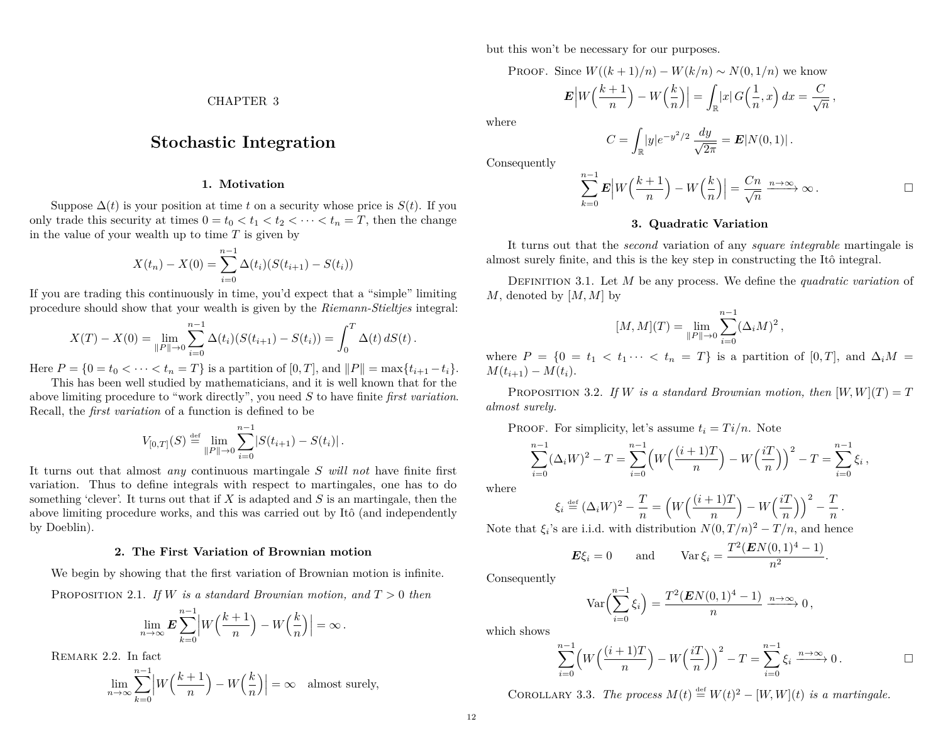CHAPTER 3

# <span id="page-13-0"></span>**Stochastic Integration**

## **1. Motivation**

<span id="page-13-1"></span>Suppose  $\Delta(t)$  is your position at time *t* on a security whose price is  $S(t)$ . If you only trade this security at times  $0 = t_0 < t_1 < t_2 < \cdots < t_n = T$ , then the change in the value of your wealth up to time *T* is given by

$$
X(t_n) - X(0) = \sum_{i=0}^{n-1} \Delta(t_i) (S(t_{i+1}) - S(t_i))
$$

If you are trading this continuously in time, you'd expect that a "simple" limiting procedure should show that your wealth is given by the *Riemann-Stieltjes* integral:

$$
X(T) - X(0) = \lim_{\|P\| \to 0} \sum_{i=0}^{n-1} \Delta(t_i) (S(t_{i+1}) - S(t_i)) = \int_0^T \Delta(t) dS(t).
$$

Here  $P = \{0 = t_0 < \cdots < t_n = T\}$  is a partition of  $[0, T]$ , and  $||P|| = \max\{t_{i+1} - t_i\}$ .

This has been well studied by mathematicians, and it is well known that for the above limiting procedure to "work directly", you need *S* to have finite *first variation*. Recall, the *first variation* of a function is defined to be

$$
V_{[0,T]}(S) \stackrel{\text{def}}{=} \lim_{\|P\| \to 0} \sum_{i=0}^{n-1} |S(t_{i+1}) - S(t_i)|.
$$

It turns out that almost *any* continuous martingale *S will not* have finite first variation. Thus to define integrals with respect to martingales, one has to do something 'clever'. It turns out that if *X* is adapted and *S* is an martingale, then the above limiting procedure works, and this was carried out by Itô (and independently by Doeblin).

#### **2. The First Variation of Brownian motion**

<span id="page-13-2"></span>We begin by showing that the first variation of Brownian motion is infinite. PROPOSITION 2.1. *If W is a standard Brownian motion, and*  $T > 0$  *then* 

$$
\lim_{n \to \infty} E \sum_{k=0}^{n-1} \left| W\left(\frac{k+1}{n}\right) - W\left(\frac{k}{n}\right) \right| = \infty.
$$

REMARK 2.2. In fact

$$
\lim_{n \to \infty} \sum_{k=0}^{n-1} \left| W\left(\frac{k+1}{n}\right) - W\left(\frac{k}{n}\right) \right| = \infty \quad \text{almost surely,}
$$

but this won't be necessary for our purposes.

PROOF. Since  $W((k+1)/n) - W(k/n) \sim N(0, 1/n)$  we know

 $E|W\left(\frac{k+1}{n}\right)$ *n*  $- W(k)$ *n*  $\Big) \Big| = \int$  $\int_{\mathbb{R}}|x|G\Big(\frac{1}{n}\Big)$  $\frac{1}{n}, x$   $\bigg) dx = \frac{C}{\sqrt{n}}$ 

where

$$
C = \int_{\mathbb{R}} |y| e^{-y^2/2} \frac{dy}{\sqrt{2\pi}} = \mathbf{E}|N(0,1)|.
$$

Consequently

$$
\sum_{k=0}^{n-1} \mathbf{E} \left| W\left(\frac{k+1}{n}\right) - W\left(\frac{k}{n}\right) \right| = \frac{Cn}{\sqrt{n}} \xrightarrow{n \to \infty} \infty .
$$

#### **3. Quadratic Variation**

<span id="page-13-3"></span>It turns out that the *second* variation of any *square integrable* martingale is almost surely finite, and this is the key step in constructing the Itô integral.

Definition 3.1. Let *M* be any process. We define the *quadratic variation* of *M*, denoted by [*M, M*] by

$$
[M, M](T) = \lim_{\|P\| \to 0} \sum_{i=0}^{n-1} (\Delta_i M)^2,
$$

where  $P = \{0 = t_1 < t_1 \cdots < t_n = T\}$  is a partition of [0, T], and  $\Delta_i M =$  $M(t_{i+1}) - M(t_i).$ 

PROPOSITION 3.2. *If W is a standard Brownian motion, then*  $[W, W](T) = T$ *almost surely.*

PROOF. For simplicity, let's assume  $t_i = Ti/n$ . Note

$$
\sum_{i=0}^{n-1} (\Delta_i W)^2 - T = \sum_{i=0}^{n-1} \left( W \left( \frac{(i+1)T}{n} \right) - W \left( \frac{iT}{n} \right) \right)^2 - T = \sum_{i=0}^{n-1} \xi_i,
$$

where

$$
\xi_i \stackrel{\text{\tiny def}}{=} (\Delta_i W)^2 - \frac{T}{n} = \left( W \left( \frac{(i+1)T}{n} \right) - W \left( \frac{iT}{n} \right) \right)^2 - \frac{T}{n} \, .
$$

Note that  $\xi_i$ 's are i.i.d. with distribution  $N(0,T/n)^2 - T/n$ , and hence

$$
E\xi_i = 0 \quad \text{and} \quad \text{Var}\,\xi_i = \frac{T^2(EN(0,1)^4 - 1)}{n^2}.
$$

Consequently

$$
\operatorname{Var}\left(\sum_{i=0}^{n-1}\xi_i\right) = \frac{T^2(\mathbf{E}N(0,1)^4-1)}{n} \xrightarrow{n\to\infty} 0,
$$

which shows

$$
\sum_{i=0}^{n-1} \left( W\left(\frac{(i+1)T}{n}\right) - W\left(\frac{iT}{n}\right) \right)^2 - T = \sum_{i=0}^{n-1} \xi_i \xrightarrow{n \to \infty} 0.
$$

COROLLARY 3.3. *The process*  $M(t) \stackrel{\text{def}}{=} W(t)^2 - [W, W](t)$  *is a martingale.*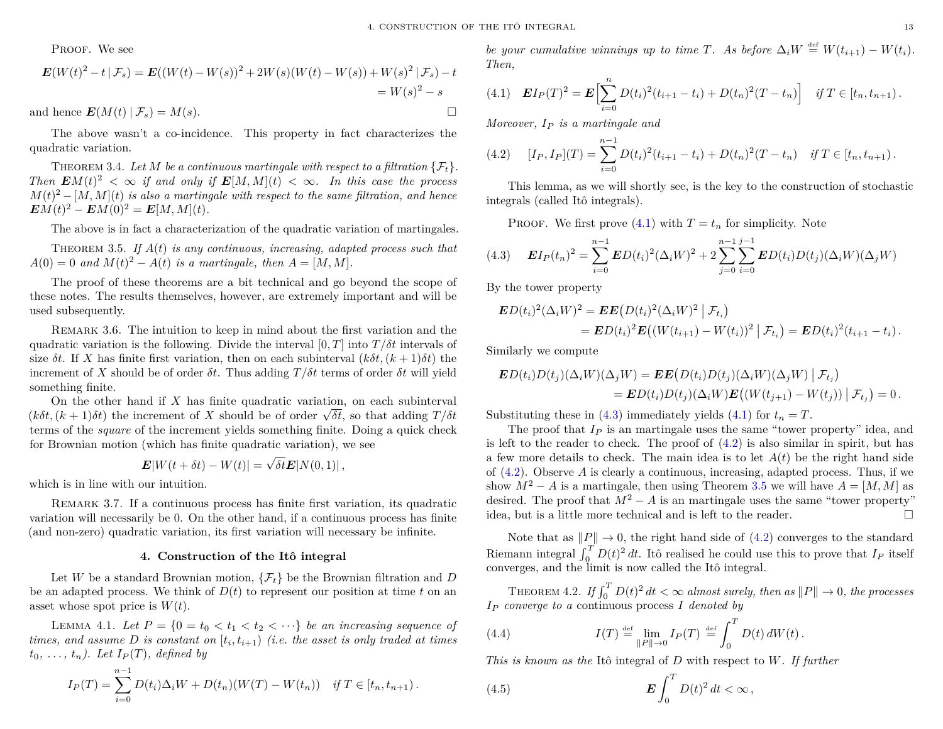PROOF. We see

$$
\mathbf{E}(W(t)^{2} - t | \mathcal{F}_{s}) = \mathbf{E}((W(t) - W(s))^{2} + 2W(s)(W(t) - W(s)) + W(s)^{2} | \mathcal{F}_{s}) - t
$$
\n
$$
= W(s)^{2} - s
$$
\nand hence  $\mathbf{E}(M(t) | \mathcal{F}_{s}) = M(s)$ .

The above wasn't a co-incidence. This property in fact characterizes the quadratic variation.

<span id="page-14-8"></span>THEOREM 3.4. Let M be a continuous martingale with respect to a filtration  $\{\mathcal{F}_t\}$ . *Then*  $\mathbf{E}M(t)^2 < \infty$  *if and only if*  $\mathbf{E}[M,M](t) < \infty$ *. In this case the process*  $M(t)^2 - [M, M](t)$  *is also a martingale with respect to the same filtration, and hence*  $EM(t)^2 - EM(0)^2 = E[M, M](t)$ .

The above is in fact a characterization of the quadratic variation of martingales.

<span id="page-14-4"></span>Theorem 3.5. *If A*(*t*) *is any continuous, increasing, adapted process such that*  $A(0) = 0$  *and*  $M(t)^2 - A(t)$  *is a martingale, then*  $A = [M, M]$ *.* 

The proof of these theorems are a bit technical and go beyond the scope of these notes. The results themselves, however, are extremely important and will be used subsequently.

Remark 3.6. The intuition to keep in mind about the first variation and the quadratic variation is the following. Divide the interval  $[0, T]$  into  $T / \delta t$  intervals of size  $\delta t$ . If *X* has finite first variation, then on each subinterval  $(k\delta t, (k+1)\delta t)$  the increment of *X* should be of order  $\delta t$ . Thus adding  $T/\delta t$  terms of order  $\delta t$  will yield something finite.

On the other hand if *X* has finite quadratic variation, on each subinterval On the other hand if *X* has finite quadratic variation, on each subinterval  $(k\delta t, (k+1)\delta t)$  the increment of *X* should be of order  $\sqrt{\delta t}$ , so that adding  $T/\delta t$ terms of the *square* of the increment yields something finite. Doing a quick check for Brownian motion (which has finite quadratic variation), we see

$$
\mathbf{E}|W(t+\delta t)-W(t)|=\sqrt{\delta t}\mathbf{E}|N(0,1)|,
$$

which is in line with our intuition.

Remark 3.7. If a continuous process has finite first variation, its quadratic variation will necessarily be 0. On the other hand, if a continuous process has finite (and non-zero) quadratic variation, its first variation will necessary be infinite.

#### **4. Construction of the Itô integral**

<span id="page-14-0"></span>Let *W* be a standard Brownian motion,  $\{\mathcal{F}_t\}$  be the Brownian filtration and *D* be an adapted process. We think of  $D(t)$  to represent our position at time t on an asset whose spot price is *W*(*t*).

LEMMA 4.1. Let  $P = \{0 = t_0 < t_1 < t_2 < \cdots\}$  be an increasing sequence of *times, and assume*  $D$  *is constant on*  $[t_i, t_{i+1})$  *(i.e. the asset is only traded at times*  $t_0, \ldots, t_n$ ). Let  $I_P(T)$ , defined by

$$
I_P(T) = \sum_{i=0}^{n-1} D(t_i) \Delta_i W + D(t_n) (W(T) - W(t_n)) \text{ if } T \in [t_n, t_{n+1}).
$$

*be your cumulative winnings up to time T. As before*  $\Delta_i W \stackrel{\text{def}}{=} W(t_{i+1}) - W(t_i)$ *. Then,*

<span id="page-14-1"></span>
$$
(4.1) \quad \mathbf{E} I_P(T)^2 = \mathbf{E} \Big[ \sum_{i=0}^n D(t_i)^2 (t_{i+1} - t_i) + D(t_n)^2 (T - t_n) \Big] \quad \text{if } T \in [t_n, t_{n+1}).
$$

*Moreover, I<sup>P</sup> is a martingale and*

<span id="page-14-3"></span>(4.2) 
$$
[I_P, I_P](T) = \sum_{i=0}^{n-1} D(t_i)^2 (t_{i+1} - t_i) + D(t_n)^2 (T - t_n) \text{ if } T \in [t_n, t_{n+1}).
$$

This lemma, as we will shortly see, is the key to the construction of stochastic integrals (called Itô integrals).

<span id="page-14-2"></span>PROOF. We first prove  $(4.1)$  with  $T = t_n$  for simplicity. Note

(4.3) 
$$
\mathbf{E}I_P(t_n)^2 = \sum_{i=0}^{n-1} \mathbf{E}D(t_i)^2 (\Delta_i W)^2 + 2 \sum_{j=0}^{n-1} \sum_{i=0}^{j-1} \mathbf{E}D(t_i)D(t_j) (\Delta_i W) (\Delta_j W)
$$

By the tower property

$$
\mathbf{E}D(t_i)^2(\Delta_i W)^2 = \mathbf{E}E(D(t_i)^2(\Delta_i W)^2 | \mathcal{F}_{t_i})
$$
  
= 
$$
\mathbf{E}D(t_i)^2 \mathbf{E}((W(t_{i+1}) - W(t_i))^2 | \mathcal{F}_{t_i}) = \mathbf{E}D(t_i)^2(t_{i+1} - t_i).
$$

Similarly we compute

$$
\mathbf{E}D(t_i)D(t_j)(\Delta_i W)(\Delta_j W) = \mathbf{E}E(D(t_i)D(t_j)(\Delta_i W)(\Delta_j W))|\mathcal{F}_{t_j})
$$
  
= 
$$
\mathbf{E}D(t_i)D(t_j)(\Delta_i W)\mathbf{E}((W(t_{j+1}) - W(t_j))|\mathcal{F}_{t_j}) = 0.
$$

Substituting these in [\(4.3\)](#page-14-2) immediately yields [\(4.1\)](#page-14-1) for  $t_n = T$ .

The proof that  $I_P$  is an martingale uses the same "tower property" idea, and is left to the reader to check. The proof of [\(4.2\)](#page-14-3) is also similar in spirit, but has a few more details to check. The main idea is to let  $A(t)$  be the right hand side of [\(4.2\)](#page-14-3). Observe *A* is clearly a continuous, increasing, adapted process. Thus, if we show  $M^2 - A$  is a martingale, then using Theorem [3.5](#page-14-4) we will have  $A = [M, M]$  as desired. The proof that  $M^2 - A$  is an martingale uses the same "tower property" idea, but is a little more technical and is left to the reader.  $\Box$ 

Note that as  $||P|| \rightarrow 0$ , the right hand side of [\(4.2\)](#page-14-3) converges to the standard Riemann integral  $\int_0^T D(t)^2 dt$ . Itô realised he could use this to prove that  $I_P$  itself converges, and the limit is now called the Itô integral.

<span id="page-14-7"></span>THEOREM 4.2. *If*  $\int_0^T D(t)^2 dt < \infty$  *almost surely, then as*  $||P|| \to 0$ *, the processes I<sup>P</sup> converge to a* continuous process *I denoted by*

<span id="page-14-5"></span>(4.4) 
$$
I(T) \stackrel{\text{def}}{=} \lim_{\|P\| \to 0} I_P(T) \stackrel{\text{def}}{=} \int_0^T D(t) dW(t).
$$

*This is known as the* Itô integral of *D* with respect to *W. If further*

<span id="page-14-6"></span>(4.5) 
$$
\mathbf{E} \int_0^T D(t)^2 dt < \infty,
$$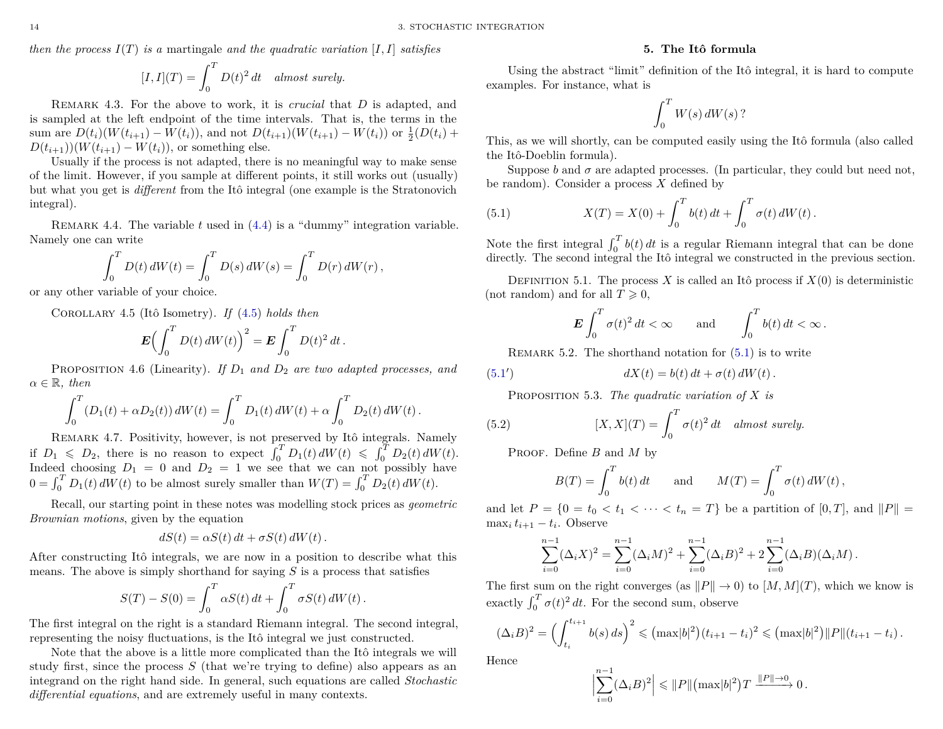*then the process*  $I(T)$  *is a* martingale *and the quadratic variation* [*I, I*] *satisfies* 

$$
[I, I](T) = \int_0^T D(t)^2 dt \quad almost \ surely.
$$

Remark 4.3. For the above to work, it is *crucial* that *D* is adapted, and is sampled at the left endpoint of the time intervals. That is, the terms in the sum are  $D(t_i)(W(t_{i+1}) - W(t_i))$ , and not  $D(t_{i+1})(W(t_{i+1}) - W(t_i))$  or  $\frac{1}{2}(D(t_i) +$  $D(t_{i+1})$  $(W(t_{i+1}) - W(t_i))$ , or something else.

Usually if the process is not adapted, there is no meaningful way to make sense of the limit. However, if you sample at different points, it still works out (usually) but what you get is *different* from the Itô integral (one example is the Stratonovich integral).

REMARK 4.4. The variable  $t$  used in  $(4.4)$  is a "dummy" integration variable. Namely one can write

$$
\int_0^T D(t) dW(t) = \int_0^T D(s) dW(s) = \int_0^T D(r) dW(r),
$$

or any other variable of your choice.

Corollary 4.5 (Itô Isometry). *If* [\(4.5\)](#page-14-6) *holds then*

$$
\boldsymbol{E}\left(\int_0^T D(t) dW(t)\right)^2 = \boldsymbol{E} \int_0^T D(t)^2 dt.
$$

Proposition 4.6 (Linearity). *If D*<sup>1</sup> *and D*<sup>2</sup> *are two adapted processes, and*  $\alpha \in \mathbb{R}$ , then

$$
\int_0^T (D_1(t) + \alpha D_2(t)) dW(t) = \int_0^T D_1(t) dW(t) + \alpha \int_0^T D_2(t) dW(t).
$$

Remark 4.7. Positivity, however, is not preserved by Itô integrals. Namely if  $D_1 \leq D_2$ , there is no reason to expect  $\int_0^T D_1(t) dW(t) \leq \int_0^T D_2(t) dW(t)$ . Indeed choosing  $D_1 = 0$  and  $D_2 = 1$  we see that we can not possibly have  $0 = \int_0^T D_1(t) dW(t)$  to be almost surely smaller than  $W(T) = \int_0^T D_2(t) dW(t)$ .

Recall, our starting point in these notes was modelling stock prices as *geometric Brownian motions*, given by the equation

$$
dS(t) = \alpha S(t) dt + \sigma S(t) dW(t).
$$

After constructing Itô integrals, we are now in a position to describe what this means. The above is simply shorthand for saying *S* is a process that satisfies

$$
S(T) - S(0) = \int_0^T \alpha S(t) dt + \int_0^T \sigma S(t) dW(t).
$$

The first integral on the right is a standard Riemann integral. The second integral, representing the noisy fluctuations, is the Itô integral we just constructed.

Note that the above is a little more complicated than the Itô integrals we will study first, since the process *S* (that we're trying to define) also appears as an integrand on the right hand side. In general, such equations are called *Stochastic differential equations*, and are extremely useful in many contexts.

#### **5. The Itô formula**

<span id="page-15-0"></span>Using the abstract "limit" definition of the Itô integral, it is hard to compute examples. For instance, what is

$$
\int_0^T W(s) \, dW(s)
$$
?

This, as we will shortly, can be computed easily using the Itô formula (also called the Itô-Doeblin formula).

Suppose *b* and  $\sigma$  are adapted processes. (In particular, they could but need not, be random). Consider a process *X* defined by

<span id="page-15-1"></span>(5.1) 
$$
X(T) = X(0) + \int_0^T b(t) dt + \int_0^T \sigma(t) dW(t).
$$

Note the first integral  $\int_0^T b(t) dt$  is a regular Riemann integral that can be done directly. The second integral the Itô integral we constructed in the previous section.

DEFINITION 5.1. The process *X* is called an Itô process if  $X(0)$  is deterministic (not random) and for all  $T \geq 0$ ,

$$
\boldsymbol{E} \int_0^T \sigma(t)^2 dt < \infty \quad \text{and} \quad \int_0^T b(t) dt < \infty \, .
$$

REMARK 5.2. The shorthand notation for  $(5.1)$  is to write

(5.1') 
$$
dX(t) = b(t) dt + \sigma(t) dW(t).
$$

Proposition 5.3. *The quadratic variation of X is*

(5.2) 
$$
[X, X](T) = \int_0^T \sigma(t)^2 dt \quad almost \ surely.
$$

Proof. Define *B* and *M* by

<span id="page-15-2"></span>
$$
B(T) = \int_0^T b(t) dt \quad \text{and} \quad M(T) = \int_0^T \sigma(t) dW(t),
$$

and let  $P = \{0 = t_0 < t_1 < \cdots < t_n = T\}$  be a partition of  $[0, T]$ , and  $||P|| =$  $\max_i t_{i+1} - t_i$ . Observe

$$
\sum_{i=0}^{n-1} (\Delta_i X)^2 = \sum_{i=0}^{n-1} (\Delta_i M)^2 + \sum_{i=0}^{n-1} (\Delta_i B)^2 + 2 \sum_{i=0}^{n-1} (\Delta_i B) (\Delta_i M).
$$

The first sum on the right converges (as  $||P|| \to 0$ ) to  $[M, M](T)$ , which we know is exactly  $\int_0^T \sigma(t)^2 dt$ . For the second sum, observe

$$
(\Delta_i B)^2 = \left(\int_{t_i}^{t_{i+1}} b(s) \, ds\right)^2 \leqslant \left(\max |b|^2\right) (t_{i+1} - t_i)^2 \leqslant \left(\max |b|^2\right) \|P\|(t_{i+1} - t_i).
$$

Hence

$$
\Big|\sum_{i=0}^{n-1} (\Delta_i B)^2\Big| \leq \|P\| \big(\max |b|^2\big) T \xrightarrow{\|P\| \to 0} 0.
$$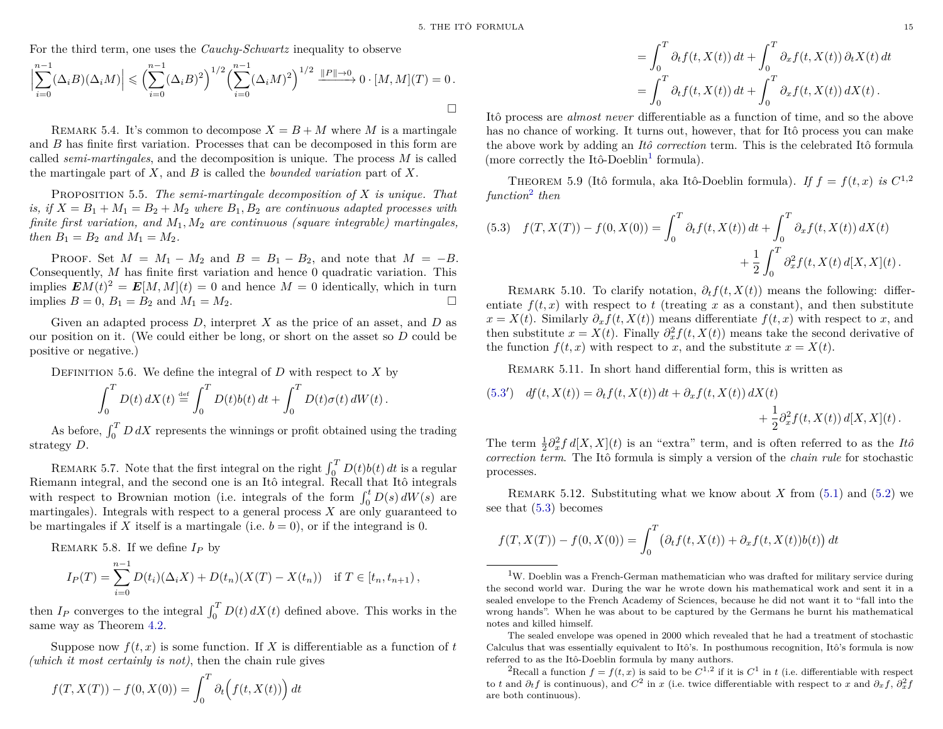For the third term, one uses the *Cauchy-Schwartz* inequality to observe

$$
\left| \sum_{i=0}^{n-1} (\Delta_i B)(\Delta_i M) \right| \leq \left( \sum_{i=0}^{n-1} (\Delta_i B)^2 \right)^{1/2} \left( \sum_{i=0}^{n-1} (\Delta_i M)^2 \right)^{1/2} \xrightarrow{\|P\| \to 0} 0 \cdot [M, M](T) = 0.
$$

REMARK 5.4. It's common to decompose  $X = B + M$  where M is a martingale and *B* has finite first variation. Processes that can be decomposed in this form are called *semi-martingales*, and the decomposition is unique. The process *M* is called the martingale part of *X*, and *B* is called the *bounded variation* part of *X*.

<span id="page-16-3"></span>Proposition 5.5. *The semi-martingale decomposition of X is unique. That is, if*  $X = B_1 + M_1 = B_2 + M_2$  *where*  $B_1, B_2$  *are continuous adapted processes with finite first variation, and M*1*, M*<sup>2</sup> *are continuous (square integrable) martingales, then*  $B_1 = B_2$  *and*  $M_1 = M_2$ *.* 

PROOF. Set  $M = M_1 - M_2$  and  $B = B_1 - B_2$ , and note that  $M = -B$ . Consequently, *M* has finite first variation and hence 0 quadratic variation. This implies  $EM(t)^2 = E[M, M](t) = 0$  and hence  $M = 0$  identically, which in turn implies  $B = 0$ ,  $B_1 = B_2$  and  $M_1 = M_2$ .

Given an adapted process *D*, interpret *X* as the price of an asset, and *D* as our position on it. (We could either be long, or short on the asset so *D* could be positive or negative.)

DEFINITION 5.6. We define the integral of  $D$  with respect to  $X$  by

$$
\int_0^T D(t) dX(t) \stackrel{\text{def}}{=} \int_0^T D(t)b(t) dt + \int_0^T D(t)\sigma(t) dW(t).
$$

As before,  $\int_0^T D dX$  represents the winnings or profit obtained using the trading strategy *D*.

REMARK 5.7. Note that the first integral on the right  $\int_0^T D(t)b(t) dt$  is a regular Riemann integral, and the second one is an Itô integral. Recall that Itô integrals with respect to Brownian motion (i.e. integrals of the form  $\int_0^t D(s) dW(s)$  are martingales). Integrals with respect to a general process *X* are only guaranteed to be martingales if *X* itself is a martingale (i.e.  $b = 0$ ), or if the integrand is 0.

Remark 5.8. If we define *I<sup>P</sup>* by

$$
I_P(T) = \sum_{i=0}^{n-1} D(t_i)(\Delta_i X) + D(t_n)(X(T) - X(t_n)) \text{ if } T \in [t_n, t_{n+1}),
$$

then  $I_P$  converges to the integral  $\int_0^T D(t) dX(t)$  defined above. This works in the same way as Theorem [4.2.](#page-14-7)

Suppose now  $f(t, x)$  is some function. If X is differentiable as a function of t *(which it most certainly is not)*, then the chain rule gives

$$
f(T, X(T)) - f(0, X(0)) = \int_0^T \partial_t \left( f(t, X(t)) \right) dt
$$

$$
= \int_0^T \partial_t f(t, X(t)) dt + \int_0^T \partial_x f(t, X(t)) \partial_t X(t) dt
$$
  
= 
$$
\int_0^T \partial_t f(t, X(t)) dt + \int_0^T \partial_x f(t, X(t)) dX(t).
$$

Itô process are *almost never* differentiable as a function of time, and so the above has no chance of working. It turns out, however, that for Itô process you can make the above work by adding an *Itô correction* term. This is the celebrated Itô formula (more correctly the Itô-Doeblin<sup>[1](#page-16-0)</sup> formula).

THEOREM 5.9 (Itô formula, aka Itô-Doeblin formula). *If*  $f = f(t, x)$  *is*  $C^{1,2}$ *function*[2](#page-16-1) *then*

<span id="page-16-2"></span>(5.3) 
$$
f(T, X(T)) - f(0, X(0)) = \int_0^T \partial_t f(t, X(t)) dt + \int_0^T \partial_x f(t, X(t)) dX(t) + \frac{1}{2} \int_0^T \partial_x^2 f(t, X(t) d[X, X](t).
$$

REMARK 5.10. To clarify notation,  $\partial_t f(t, X(t))$  means the following: differentiate  $f(t, x)$  with respect to  $t$  (treating  $x$  as a constant), and then substitute  $x = X(t)$ . Similarly  $\partial_x f(t, X(t))$  means differentiate  $f(t, x)$  with respect to *x*, and then substitute  $x = X(t)$ . Finally  $\partial_x^2 f(t, X(t))$  means take the second derivative of the function  $f(t, x)$  with respect to *x*, and the substitute  $x = X(t)$ .

REMARK 5.11. In short hand differential form, this is written as

(5.3') 
$$
df(t, X(t)) = \partial_t f(t, X(t)) dt + \partial_x f(t, X(t)) dX(t)
$$
  
  $+ \frac{1}{2} \partial_x^2 f(t, X(t)) d[X, X](t).$ 

The term  $\frac{1}{2}\partial_x^2 f d[X,X](t)$  is an "extra" term, and is often referred to as the *Itô correction term*. The Itô formula is simply a version of the *chain rule* for stochastic processes.

Remark 5.12. Substituting what we know about *X* from [\(5.1\)](#page-15-1) and [\(5.2\)](#page-15-2) we see that [\(5.3\)](#page-16-2) becomes

$$
f(T, X(T)) - f(0, X(0)) = \int_0^T (\partial_t f(t, X(t)) + \partial_x f(t, X(t)) b(t)) dt
$$

<span id="page-16-0"></span><sup>1</sup>W. Doeblin was a French-German mathematician who was drafted for military service during the second world war. During the war he wrote down his mathematical work and sent it in a sealed envelope to the French Academy of Sciences, because he did not want it to "fall into the wrong hands". When he was about to be captured by the Germans he burnt his mathematical notes and killed himself.

The sealed envelope was opened in 2000 which revealed that he had a treatment of stochastic Calculus that was essentially equivalent to Itô's. In posthumous recognition, Itô's formula is now referred to as the Itô-Doeblin formula by many authors.

<span id="page-16-1"></span><sup>2</sup>Recall a function  $f = f(t, x)$  is said to be  $C^{1,2}$  if it is  $C^1$  in *t* (i.e. differentiable with respect to *t* and  $\partial_t f$  is continuous), and  $C^2$  in *x* (i.e. twice differentiable with respect to *x* and  $\partial_x f$ ,  $\partial_x^2 f$ are both continuous).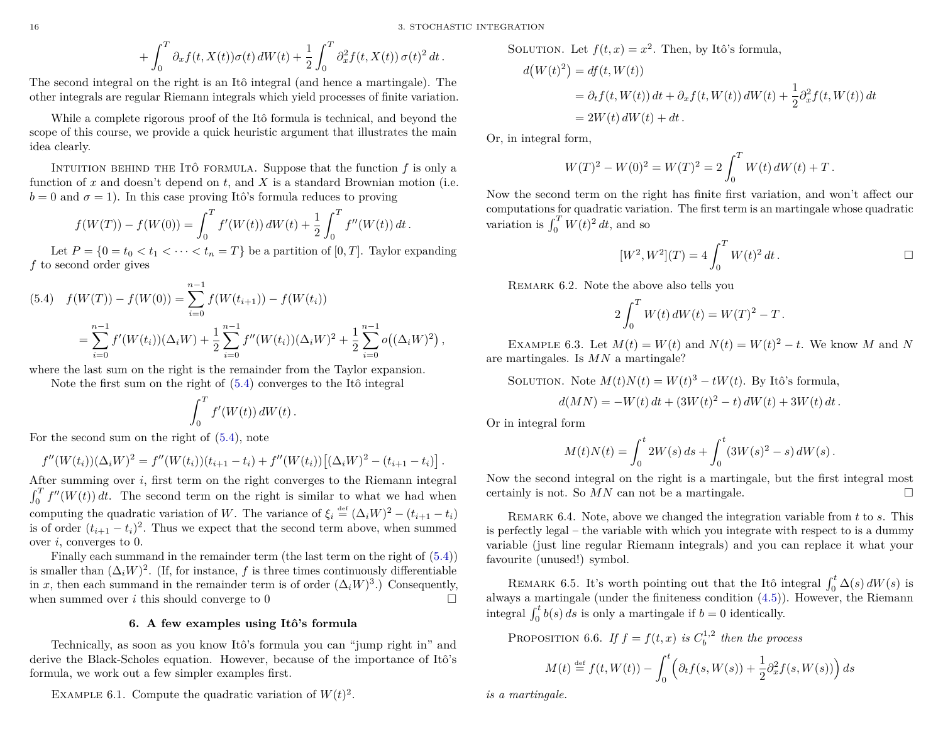16 3. STOCHASTIC INTEGRATION

$$
+\int_0^T \partial_x f(t,X(t))\sigma(t) dW(t) + \frac{1}{2}\int_0^T \partial_x^2 f(t,X(t)) \sigma(t)^2 dt.
$$

The second integral on the right is an Itô integral (and hence a martingale). The other integrals are regular Riemann integrals which yield processes of finite variation.

While a complete rigorous proof of the Itô formula is technical, and beyond the scope of this course, we provide a quick heuristic argument that illustrates the main idea clearly.

INTUITION BEHIND THE ITÔ FORMULA. Suppose that the function  $f$  is only a function of *x* and doesn't depend on *t*, and *X* is a standard Brownian motion (i.e.  $b = 0$  and  $\sigma = 1$ ). In this case proving Itô's formula reduces to proving

$$
f(W(T)) - f(W(0)) = \int_0^T f'(W(t)) dW(t) + \frac{1}{2} \int_0^T f''(W(t)) dt.
$$

Let  $P = \{0 = t_0 < t_1 < \cdots < t_n = T\}$  be a partition of  $[0, T]$ . Taylor expanding *f* to second order gives

<span id="page-17-1"></span>
$$
(5.4) \quad f(W(T)) - f(W(0)) = \sum_{i=0}^{n-1} f(W(t_{i+1})) - f(W(t_i))
$$
  
= 
$$
\sum_{i=0}^{n-1} f'(W(t_i))(\Delta_i W) + \frac{1}{2} \sum_{i=0}^{n-1} f''(W(t_i))(\Delta_i W)^2 + \frac{1}{2} \sum_{i=0}^{n-1} o((\Delta_i W)^2),
$$

where the last sum on the right is the remainder from the Taylor expansion.

Note the first sum on the right of [\(5.4\)](#page-17-1) converges to the Itô integral

$$
\int_0^T f'(W(t))\,dW(t)\,.
$$

For the second sum on the right of [\(5.4\)](#page-17-1), note

$$
f''(W(t_i))(\Delta_i W)^2 = f''(W(t_i))(t_{i+1} - t_i) + f''(W(t_i))[(\Delta_i W)^2 - (t_{i+1} - t_i)].
$$

After summing over *i*, first term on the right converges to the Riemann integral  $\int_0^T f''(W(t)) dt$ . The second term on the right is similar to what we had when computing the quadratic variation of *W*. The variance of  $\xi_i \stackrel{\text{def}}{=} (\Delta_i W)^2 - (t_{i+1} - t_i)$ is of order  $(t_{i+1} - t_i)^2$ . Thus we expect that the second term above, when summed over *i*, converges to 0.

Finally each summand in the remainder term (the last term on the right of [\(5.4\)](#page-17-1)) is smaller than  $(\Delta_i W)^2$ . (If, for instance, *f* is three times continuously differentiable in *x*, then each summand in the remainder term is of order  $(\Delta_i W)^3$ .) Consequently, when summed over *i* this should converge to 0

# **6. A few examples using Itô's formula**

<span id="page-17-0"></span>Technically, as soon as you know Itô's formula you can "jump right in" and derive the Black-Scholes equation. However, because of the importance of Itô's formula, we work out a few simpler examples first.

EXAMPLE 6.1. Compute the quadratic variation of  $W(t)^2$ .

SOLUTION. Let 
$$
f(t, x) = x^2
$$
. Then, by Itô's formula,  
\n
$$
d(W(t)^2) = df(t, W(t))
$$
\n
$$
= \partial_t f(t, W(t)) dt + \partial_x f(t, W(t)) dW(t) + \frac{1}{2} \partial_x^2 f(t, W(t))
$$
\n
$$
= 2W(t) dW(t) + dt.
$$

Or, in integral form,

$$
W(T)^{2} - W(0)^{2} = W(T)^{2} = 2 \int_{0}^{T} W(t) dW(t) + T.
$$

Now the second term on the right has finite first variation, and won't affect our computations for quadratic variation. The first term is an martingale whose quadratic variation is  $\int_0^T W(t)^2 dt$ , and so

$$
[W^2, W^2](T) = 4 \int_0^T W(t)^2 dt.
$$

 $dt$ 

Remark 6.2. Note the above also tells you

$$
2\int_0^T W(t) dW(t) = W(T)^2 - T.
$$

EXAMPLE 6.3. Let  $M(t) = W(t)$  and  $N(t) = W(t)^2 - t$ . We know M and N are martingales. Is *MN* a martingale?

SOLUTION. Note  $M(t)N(t) = W(t)^3 - tW(t)$ . By Itô's formula,

$$
d(MN) = -W(t) dt + (3W(t)^{2} - t) dW(t) + 3W(t) dt.
$$

Or in integral form

$$
M(t)N(t) = \int_0^t 2W(s) \, ds + \int_0^t (3W(s)^2 - s) \, dW(s) \, .
$$

Now the second integral on the right is a martingale, but the first integral most certainly is not. So  $MN$  can not be a martingale.

Remark 6.4. Note, above we changed the integration variable from *t* to *s*. This is perfectly legal – the variable with which you integrate with respect to is a dummy variable (just line regular Riemann integrals) and you can replace it what your favourite (unused!) symbol.

REMARK 6.5. It's worth pointing out that the Itô integral  $\int_0^t \Delta(s) dW(s)$  is always a martingale (under the finiteness condition [\(4.5\)](#page-14-6)). However, the Riemann integral  $\int_0^t b(s) ds$  is only a martingale if  $b = 0$  identically.

PROPOSITION 6.6. *If*  $f = f(t, x)$  *is*  $C_b^{1,2}$  *then the process* 

$$
M(t) \stackrel{\text{def}}{=} f(t, W(t)) - \int_0^t \left( \partial_t f(s, W(s)) + \frac{1}{2} \partial_x^2 f(s, W(s)) \right) ds
$$

*is a martingale.*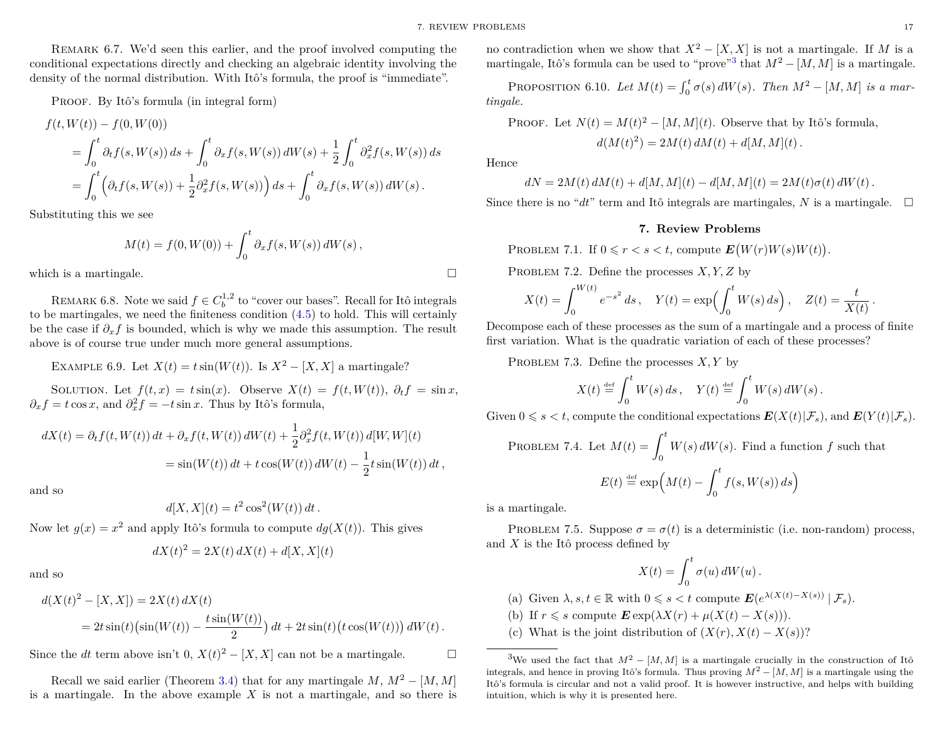Remark 6.7. We'd seen this earlier, and the proof involved computing the conditional expectations directly and checking an algebraic identity involving the density of the normal distribution. With Itô's formula, the proof is "immediate".

PROOF. By Itô's formula (in integral form)

$$
f(t, W(t)) - f(0, W(0))
$$
  
=  $\int_0^t \partial_t f(s, W(s)) ds + \int_0^t \partial_x f(s, W(s)) dW(s) + \frac{1}{2} \int_0^t \partial_x^2 f(s, W(s)) ds$   
=  $\int_0^t \left( \partial_t f(s, W(s)) + \frac{1}{2} \partial_x^2 f(s, W(s)) \right) ds + \int_0^t \partial_x f(s, W(s)) dW(s).$ 

Substituting this we see

$$
M(t) = f(0, W(0)) + \int_0^t \partial_x f(s, W(s)) dW(s),
$$

which is a martingale.  $\Box$ 

REMARK 6.8. Note we said  $f \in C_b^{1,2}$  to "cover our bases". Recall for Itô integrals to be martingales, we need the finiteness condition [\(4.5\)](#page-14-6) to hold. This will certainly be the case if  $\partial_x f$  is bounded, which is why we made this assumption. The result above is of course true under much more general assumptions.

EXAMPLE 6.9. Let  $X(t) = t \sin(W(t))$ . Is  $X^2 - [X, X]$  a martingale?

SOLUTION. Let  $f(t, x) = t \sin(x)$ . Observe  $X(t) = f(t, W(t))$ ,  $\partial_t f = \sin x$ ,  $\partial_x f = t \cos x$ , and  $\partial_x^2 f = -t \sin x$ . Thus by Itô's formula,

$$
dX(t) = \partial_t f(t, W(t)) dt + \partial_x f(t, W(t)) dW(t) + \frac{1}{2} \partial_x^2 f(t, W(t)) d[W, W](t)
$$
  
= sin(W(t)) dt + t cos(W(t)) dW(t) -  $\frac{1}{2}$  t sin(W(t)) dt,

and so

$$
d[X, X](t) = t^2 \cos^2(W(t)) dt.
$$

Now let  $g(x) = x^2$  and apply Itô's formula to compute  $dg(X(t))$ . This gives

$$
dX(t)^{2} = 2X(t) dX(t) + d[X, X](t)
$$

and so

$$
d(X(t)^{2} - [X, X]) = 2X(t) dX(t)
$$
  
=  $2t \sin(t) (\sin(W(t)) - \frac{t \sin(W(t))}{2}) dt + 2t \sin(t) (t \cos(W(t))) dW(t).$ 

Since the *dt* term above isn't 0,  $X(t)^2 - [X, X]$  can not be a martingale.

Recall we said earlier (Theorem [3.4\)](#page-14-8) that for any martingale  $M, M^2 - [M, M]$ is a martingale. In the above example *X* is not a martingale, and so there is no contradiction when we show that  $X^2 - [X, X]$  is not a martingale. If M is a martingale, Itô's formula can be used to "prove"<sup>[3](#page-18-1)</sup> that  $M^2 - [M, M]$  is a martingale.

PROPOSITION 6.10. *Let*  $M(t) = \int_0^t \sigma(s) dW(s)$ . *Then*  $M^2 - [M, M]$  *is a martingale.*

PROOF. Let 
$$
N(t) = M(t)^2 - [M, M](t)
$$
. Observe that by Itô's formula,  

$$
d(M(t)^2) = 2M(t) dM(t) + d[M, M](t).
$$

Hence

$$
dN = 2M(t) dM(t) + d[M, M](t) - d[M, M](t) = 2M(t)\sigma(t) dW(t).
$$

<span id="page-18-0"></span>Since there is no " $dt$ " term and Itô integrals are martingales, *N* is a martingale.  $\Box$ 

#### **7. Review Problems**

PROBLEM 7.1. If  $0 \le r < s < t$ , compute  $E(W(r)W(s)W(t))$ .

PROBLEM 7.2. Define the processes *X, Y, Z* by

$$
X(t) = \int_0^{W(t)} e^{-s^2} ds, \quad Y(t) = \exp\left(\int_0^t W(s) ds\right), \quad Z(t) = \frac{t}{X(t)}
$$

Decompose each of these processes as the sum of a martingale and a process of finite first variation. What is the quadratic variation of each of these processes?

PROBLEM 7.3. Define the processes *X,Y* by

$$
X(t) \stackrel{\text{\tiny def}}{=} \int_0^t W(s) \, ds \,, \quad Y(t) \stackrel{\text{\tiny def}}{=} \int_0^t W(s) \, dW(s) \, .
$$

Given  $0 \le s \le t$ , compute the conditional expectations  $\mathbf{E}(X(t)|\mathcal{F}_s)$ , and  $\mathbf{E}(Y(t)|\mathcal{F}_s)$ .

PROBLEM 7.4. Let 
$$
M(t) = \int_0^t W(s) dW(s)
$$
. Find a function f such that  

$$
E(t) \stackrel{\text{def}}{=} \exp\left(M(t) - \int_0^t f(s, W(s)) ds\right)
$$

is a martingale.

<span id="page-18-2"></span>PROBLEM 7.5. Suppose  $\sigma = \sigma(t)$  is a deterministic (i.e. non-random) process, and *X* is the Itô process defined by

$$
X(t) = \int_0^t \sigma(u) dW(u) .
$$

(a) Given  $\lambda, s, t \in \mathbb{R}$  with  $0 \leq s < t$  compute  $\mathbf{E}(e^{\lambda(X(t)-X(s))} | \mathcal{F}_s)$ .

(b) If  $r \leq s$  compute  $\mathbf{E} \exp(\lambda X(r) + \mu(X(t) - X(s))).$ 

<span id="page-18-1"></span>(c) What is the joint distribution of  $(X(r), X(t) - X(s))$ ?

*.*

<sup>&</sup>lt;sup>3</sup>We used the fact that  $M^2 - [M, M]$  is a martingale crucially in the construction of Itô integrals, and hence in proving Itô's formula. Thus proving  $M^2 - [M, M]$  is a martingale using the Itô's formula is circular and not a valid proof. It is however instructive, and helps with building intuition, which is why it is presented here.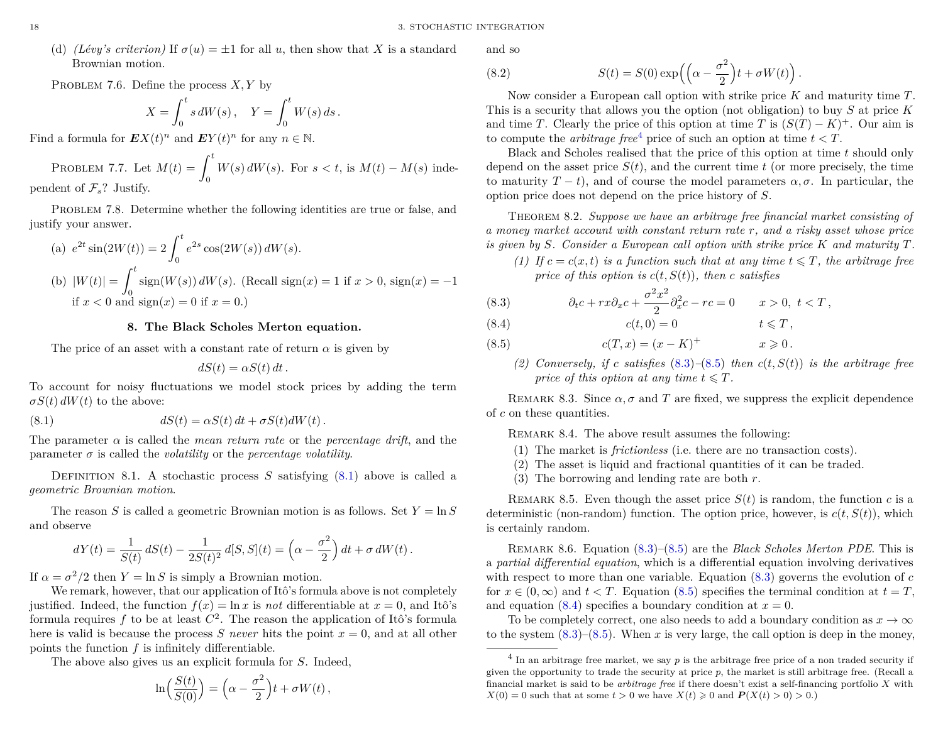(d) *(Lévy's criterion)* If  $\sigma(u) = \pm 1$  for all *u*, then show that *X* is a standard Brownian motion.

PROBLEM 7.6. Define the process  $X, Y$  by

$$
X = \int_0^t s dW(s), \quad Y = \int_0^t W(s) ds.
$$

Find a formula for  $\mathbf{E}X(t)^n$  and  $\mathbf{E}Y(t)^n$  for any  $n \in \mathbb{N}$ .

PROBLEM 7.7. Let 
$$
M(t) = \int_0^t W(s) dW(s)
$$
. For  $s < t$ , is  $M(t) - M(s)$  independent of  $\mathcal{F}_s$ ? Justify.

PROBLEM 7.8. Determine whether the following identities are true or false, and justify your answer.

(a) 
$$
e^{2t} \sin(2W(t)) = 2 \int_0^t e^{2s} \cos(2W(s)) dW(s)
$$
.  
\n(b)  $|W(t)| = \int_0^t \text{sign}(W(s)) dW(s)$ . (Recall sign(x) = 1 if  $x > 0$ , sign(x) = -1  
\nif  $x < 0$  and sign(x) = 0 if  $x = 0$ .)

# **8. The Black Scholes Merton equation.**

<span id="page-19-0"></span>The price of an asset with a constant rate of return  $\alpha$  is given by

<span id="page-19-1"></span>
$$
dS(t) = \alpha S(t) dt.
$$

To account for noisy fluctuations we model stock prices by adding the term  $\sigma S(t) dW(t)$  to the above:

(8.1) 
$$
dS(t) = \alpha S(t) dt + \sigma S(t) dW(t).
$$

The parameter  $\alpha$  is called the *mean return rate* or the *percentage drift*, and the parameter  $\sigma$  is called the *volatility* or the *percentage volatility*.

DEFINITION 8.1. A stochastic process  $S$  satisfying  $(8.1)$  above is called a *geometric Brownian motion*.

The reason *S* is called a geometric Brownian motion is as follows. Set  $Y = \ln S$ and observe

$$
dY(t) = \frac{1}{S(t)} dS(t) - \frac{1}{2S(t)^2} d[S, S](t) = \left(\alpha - \frac{\sigma^2}{2}\right) dt + \sigma dW(t).
$$

If  $\alpha = \sigma^2/2$  then  $Y = \ln S$  is simply a Brownian motion.

We remark, however, that our application of Itô's formula above is not completely justified. Indeed, the function  $f(x) = \ln x$  is *not* differentiable at  $x = 0$ , and Itô's formula requires  $f$  to be at least  $C^2$ . The reason the application of Itô's formula here is valid is because the process *S* never hits the point  $x = 0$ , and at all other points the function *f* is infinitely differentiable.

The above also gives us an explicit formula for *S*. Indeed,

$$
\ln\left(\frac{S(t)}{S(0)}\right) = \left(\alpha - \frac{\sigma^2}{2}\right)t + \sigma W(t),
$$

and so

<span id="page-19-8"></span>(8.2) 
$$
S(t) = S(0) \exp\left(\left(\alpha - \frac{\sigma^2}{2}\right)t + \sigma W(t)\right).
$$

Now consider a European call option with strike price *K* and maturity time *T*. This is a security that allows you the option (not obligation) to buy *S* at price *K* and time *T*. Clearly the price of this option at time *T* is  $(S(T) - K)^+$ . Our aim is to compute the *arbitrage free*<sup>[4](#page-19-2)</sup> price of such an option at time  $t < T$ .

Black and Scholes realised that the price of this option at time *t* should only depend on the asset price  $S(t)$ , and the current time  $t$  (or more precisely, the time to maturity  $T - t$ ), and of course the model parameters  $\alpha, \sigma$ . In particular, the option price does not depend on the price history of *S*.

<span id="page-19-6"></span>Theorem 8.2. *Suppose we have an arbitrage free financial market consisting of a money market account with constant return rate r, and a risky asset whose price is given by S. Consider a European call option with strike price K and maturity T.*

<span id="page-19-7"></span>*(1)* If  $c = c(x, t)$  *is a function such that at any time*  $t \leq T$ *, the arbitrage free price of this option is*  $c(t, S(t))$ *, then c satisfies* 

<span id="page-19-3"></span>(8.3) 
$$
\partial_t c + rx \partial_x c + \frac{\sigma^2 x^2}{2} \partial_x^2 c - rc = 0 \qquad x > 0, \ t < T,
$$

<span id="page-19-5"></span>
$$
(8.4) \t\t c(t,0) = 0 \t\t t \leq T,
$$

- <span id="page-19-9"></span><span id="page-19-4"></span> $c(T, x) = (x - K)^{+}$   $x \ge 0$ .
	- *(2) Conversely, if c satisfies* [\(8.3\)](#page-19-3)*–*[\(8.5\)](#page-19-4) *then c*(*t, S*(*t*)) *is the arbitrage free price of this option at any time*  $t \leq T$ *.*

REMARK 8.3. Since  $\alpha$ ,  $\sigma$  and *T* are fixed, we suppress the explicit dependence of *c* on these quantities.

REMARK 8.4. The above result assumes the following:

- (1) The market is *frictionless* (i.e. there are no transaction costs).
- (2) The asset is liquid and fractional quantities of it can be traded.
- (3) The borrowing and lending rate are both *r*.

REMARK 8.5. Even though the asset price  $S(t)$  is random, the function c is a deterministic (non-random) function. The option price, however, is  $c(t, S(t))$ , which is certainly random.

Remark 8.6. Equation [\(8.3\)](#page-19-3)–[\(8.5\)](#page-19-4) are the *Black Scholes Merton PDE*. This is a *partial differential equation*, which is a differential equation involving derivatives with respect to more than one variable. Equation [\(8.3\)](#page-19-3) governs the evolution of *c* for  $x \in (0, \infty)$  and  $t < T$ . Equation [\(8.5\)](#page-19-4) specifies the terminal condition at  $t = T$ , and equation  $(8.4)$  specifies a boundary condition at  $x = 0$ .

To be completely correct, one also needs to add a boundary condition as  $x \to \infty$ to the system  $(8.3)$ – $(8.5)$ . When *x* is very large, the call option is deep in the money,

<span id="page-19-2"></span><sup>&</sup>lt;sup>4</sup> In an arbitrage free market, we say p is the arbitrage free price of a non traded security if given the opportunity to trade the security at price  $p$ , the market is still arbitrage free. (Recall a financial market is said to be *arbitrage free* if there doesn't exist a self-financing portfolio *X* with  $X(0) = 0$  such that at some  $t > 0$  we have  $X(t) \geq 0$  and  $P(X(t) > 0) > 0$ .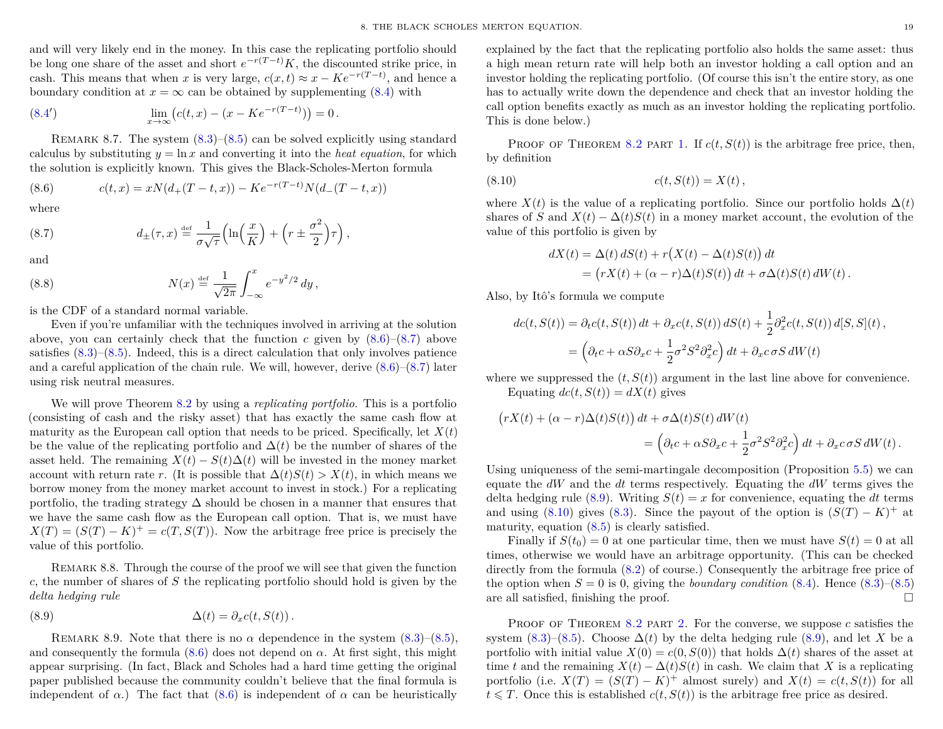and will very likely end in the money. In this case the replicating portfolio should be long one share of the asset and short  $e^{-r(T-t)}K$ , the discounted strike price, in cash. This means that when *x* is very large,  $c(x, t) \approx x - Ke^{-r(T-t)}$ , and hence a boundary condition at  $x = \infty$  can be obtained by supplementing [\(8.4\)](#page-19-5) with

(8.4') 
$$
\lim_{x \to \infty} (c(t,x) - (x - Ke^{-r(T-t)})) = 0.
$$

REMARK 8.7. The system  $(8.3)$ – $(8.5)$  can be solved explicitly using standard calculus by substituting  $y = \ln x$  and converting it into the *heat equation*, for which the solution is explicitly known. This gives the Black-Scholes-Merton formula

<span id="page-20-0"></span>(8.6) 
$$
c(t,x) = xN(d_{+}(T-t,x)) - Ke^{-r(T-t)}N(d_{-}(T-t,x))
$$

where

<span id="page-20-1"></span>(8.7) 
$$
d_{\pm}(\tau,x) \stackrel{\text{def}}{=} \frac{1}{\sigma\sqrt{\tau}} \left( \ln\left(\frac{x}{K}\right) + \left(r \pm \frac{\sigma^2}{2}\right) \tau \right),
$$

and

<span id="page-20-4"></span>(8.8) 
$$
N(x) \stackrel{\text{def}}{=} \frac{1}{\sqrt{2\pi}} \int_{-\infty}^{x} e^{-y^2/2} dy,
$$

is the CDF of a standard normal variable.

Even if you're unfamiliar with the techniques involved in arriving at the solution above, you can certainly check that the function *c* given by  $(8.6)$ – $(8.7)$  above satisfies  $(8.3)$ – $(8.5)$ . Indeed, this is a direct calculation that only involves patience and a careful application of the chain rule. We will, however, derive  $(8.6)$ – $(8.7)$  later using risk neutral measures.

We will prove Theorem [8.2](#page-19-6) by using a *replicating portfolio*. This is a portfolio (consisting of cash and the risky asset) that has exactly the same cash flow at maturity as the European call option that needs to be priced. Specifically, let  $X(t)$ be the value of the replicating portfolio and  $\Delta(t)$  be the number of shares of the asset held. The remaining  $X(t) - S(t)\Delta(t)$  will be invested in the money market account with return rate *r*. (It is possible that  $\Delta(t)S(t) > X(t)$ , in which means we borrow money from the money market account to invest in stock.) For a replicating portfolio, the trading strategy  $\Delta$  should be chosen in a manner that ensures that we have the same cash flow as the European call option. That is, we must have  $X(T) = (S(T) - K)^{+} = c(T, S(T))$ . Now the arbitrage free price is precisely the value of this portfolio.

REMARK 8.8. Through the course of the proof we will see that given the function *c*, the number of shares of *S* the replicating portfolio should hold is given by the *delta hedging rule*

<span id="page-20-2"></span>(8.9) 
$$
\Delta(t) = \partial_x c(t, S(t)).
$$

REMARK 8.9. Note that there is no  $\alpha$  dependence in the system  $(8.3)$ – $(8.5)$ , and consequently the formula  $(8.6)$  does not depend on  $\alpha$ . At first sight, this might appear surprising. (In fact, Black and Scholes had a hard time getting the original paper published because the community couldn't believe that the final formula is independent of  $\alpha$ .) The fact that [\(8.6\)](#page-20-0) is independent of  $\alpha$  can be heuristically

explained by the fact that the replicating portfolio also holds the same asset: thus a high mean return rate will help both an investor holding a call option and an investor holding the replicating portfolio. (Of course this isn't the entire story, as one has to actually write down the dependence and check that an investor holding the call option benefits exactly as much as an investor holding the replicating portfolio. This is done below.)

PROOF OF THEOREM [8.2](#page-19-6) PART [1.](#page-19-7) If  $c(t, S(t))$  is the arbitrage free price, then, by definition

$$
(8.10) \t\t c(t, S(t)) = X(t),
$$

where  $X(t)$  is the value of a replicating portfolio. Since our portfolio holds  $\Delta(t)$ shares of *S* and  $X(t) - \Delta(t)S(t)$  in a money market account, the evolution of the value of this portfolio is given by

<span id="page-20-3"></span>
$$
dX(t) = \Delta(t) dS(t) + r(X(t) - \Delta(t)S(t)) dt
$$
  
= 
$$
(rX(t) + (\alpha - r)\Delta(t)S(t)) dt + \sigma \Delta(t)S(t) dW(t).
$$

Also, by Itô's formula we compute

$$
dc(t, S(t)) = \partial_t c(t, S(t)) dt + \partial_x c(t, S(t)) dS(t) + \frac{1}{2} \partial_x^2 c(t, S(t)) d[S, S](t),
$$
  
= 
$$
\left( \partial_t c + \alpha S \partial_x c + \frac{1}{2} \sigma^2 S^2 \partial_x^2 c \right) dt + \partial_x c \sigma S dW(t)
$$

where we suppressed the  $(t, S(t))$  argument in the last line above for convenience. Equating  $dc(t, S(t)) = dX(t)$  gives

$$
(rX(t) + (\alpha - r)\Delta(t)S(t)) dt + \sigma \Delta(t)S(t) dW(t)
$$
  
= 
$$
(\partial_t c + \alpha S \partial_x c + \frac{1}{2}\sigma^2 S^2 \partial_x^2 c) dt + \partial_x c \sigma S dW(t).
$$

Using uniqueness of the semi-martingale decomposition (Proposition [5.5\)](#page-16-3) we can equate the *dW* and the *dt* terms respectively. Equating the *dW* terms gives the delta hedging rule [\(8.9\)](#page-20-2). Writing  $S(t) = x$  for convenience, equating the *dt* terms and using [\(8.10\)](#page-20-3) gives [\(8.3\)](#page-19-3). Since the payout of the option is  $(S(T) - K)^+$  at maturity, equation [\(8.5\)](#page-19-4) is clearly satisfied.

Finally if  $S(t_0) = 0$  at one particular time, then we must have  $S(t) = 0$  at all times, otherwise we would have an arbitrage opportunity. (This can be checked directly from the formula [\(8.2\)](#page-19-8) of course.) Consequently the arbitrage free price of the option when  $S = 0$  is 0, giving the *boundary condition*  $(8.4)$ . Hence  $(8.3)$ – $(8.5)$ are all satisfied, finishing the proof.  $\Box$ 

PROOF OF THEOREM [8.2](#page-19-6) PART [2.](#page-19-9) For the converse, we suppose  $c$  satisfies the system [\(8.3\)](#page-19-3)–[\(8.5\)](#page-19-4). Choose  $\Delta(t)$  by the delta hedging rule [\(8.9\)](#page-20-2), and let *X* be a portfolio with initial value  $X(0) = c(0, S(0))$  that holds  $\Delta(t)$  shares of the asset at time *t* and the remaining  $X(t) - \Delta(t)S(t)$  in cash. We claim that X is a replicating portfolio (i.e.  $X(T) = (S(T) - K)^+$  almost surely) and  $X(t) = c(t, S(t))$  for all  $t \leq T$ . Once this is established  $c(t, S(t))$  is the arbitrage free price as desired.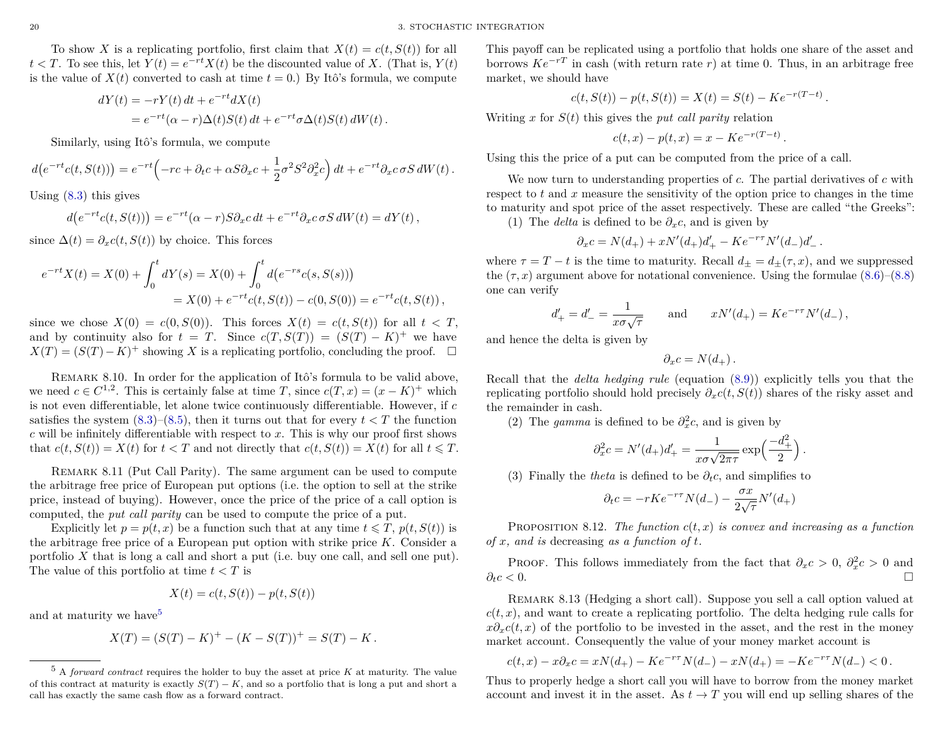To show X is a replicating portfolio, first claim that  $X(t) = c(t, S(t))$  for all  $t < T$ . To see this, let  $Y(t) = e^{-rt}X(t)$  be the discounted value of *X*. (That is,  $Y(t)$ ) is the value of  $X(t)$  converted to cash at time  $t = 0$ .) By Itô's formula, we compute

$$
dY(t) = -rY(t) dt + e^{-rt} dX(t)
$$
  
= 
$$
e^{-rt}(\alpha - r)\Delta(t)S(t) dt + e^{-rt}\sigma\Delta(t)S(t) dW(t).
$$

Similarly, using Itô's formula, we compute

$$
d(e^{-rt}c(t,S(t))) = e^{-rt} \left(-rc + \partial_t c + \alpha S \partial_x c + \frac{1}{2}\sigma^2 S^2 \partial_x^2 c\right) dt + e^{-rt} \partial_x c \sigma S dW(t).
$$

Using [\(8.3\)](#page-19-3) this gives

$$
d(e^{-rt}c(t,S(t))) = e^{-rt}(\alpha - r)S\partial_x c dt + e^{-rt}\partial_x c \sigma S dW(t) = dY(t),
$$

since  $\Delta(t) = \partial_x c(t, S(t))$  by choice. This forces

$$
e^{-rt}X(t) = X(0) + \int_0^t dY(s) = X(0) + \int_0^t d(e^{-rs}c(s, S(s)))
$$
  
= X(0) + e^{-rt}c(t, S(t)) - c(0, S(0)) = e^{-rt}c(t, S(t)),

since we chose  $X(0) = c(0, S(0))$ . This forces  $X(t) = c(t, S(t))$  for all  $t < T$ , and by continuity also for  $t = T$ . Since  $c(T, S(T)) = (S(T) - K)^+$  we have  $X(T) = (S(T) - K)^+$  showing *X* is a replicating portfolio, concluding the proof.  $\square$ 

Remark 8.10. In order for the application of Itô's formula to be valid above, we need  $c \in C^{1,2}$ . This is certainly false at time *T*, since  $c(T, x) = (x - K)^+$  which is not even differentiable, let alone twice continuously differentiable. However, if *c* satisfies the system  $(8.3)$ – $(8.5)$ , then it turns out that for every  $t < T$  the function *c* will be infinitely differentiable with respect to *x*. This is why our proof first shows that  $c(t, S(t)) = X(t)$  for  $t < T$  and not directly that  $c(t, S(t)) = X(t)$  for all  $t \leq T$ .

Remark 8.11 (Put Call Parity). The same argument can be used to compute the arbitrage free price of European put options (i.e. the option to sell at the strike price, instead of buying). However, once the price of the price of a call option is computed, the *put call parity* can be used to compute the price of a put.

Explicitly let  $p = p(t, x)$  be a function such that at any time  $t \leq T$ ,  $p(t, S(t))$  is the arbitrage free price of a European put option with strike price *K*. Consider a portfolio *X* that is long a call and short a put (i.e. buy one call, and sell one put). The value of this portfolio at time *t < T* is

$$
X(t) = c(t, S(t)) - p(t, S(t))
$$

and at maturity we have<sup>[5](#page-21-0)</sup>

$$
X(T) = (S(T) - K)^{+} - (K - S(T))^{+} = S(T) - K.
$$

This payoff can be replicated using a portfolio that holds one share of the asset and borrows  $Ke^{-rT}$  in cash (with return rate *r*) at time 0. Thus, in an arbitrage free market, we should have

$$
c(t, S(t)) - p(t, S(t)) = X(t) = S(t) - Ke^{-r(T-t)}.
$$

Writing *x* for  $S(t)$  this gives the *put call parity* relation

$$
c(t, x) - p(t, x) = x - Ke^{-r(T-t)}.
$$

Using this the price of a put can be computed from the price of a call.

We now turn to understanding properties of *c*. The partial derivatives of *c* with respect to *t* and *x* measure the sensitivity of the option price to changes in the time to maturity and spot price of the asset respectively. These are called "the Greeks":

(1) The *delta* is defined to be  $\partial_x c$ , and is given by

$$
\partial_x c = N(d_+) + xN'(d_+)d'_+ - Ke^{-r\tau}N'(d_-)d'_-.
$$

where  $\tau = T - t$  is the time to maturity. Recall  $d_{\pm} = d_{\pm}(\tau, x)$ , and we suppressed the  $(\tau, x)$  argument above for notational convenience. Using the formulae  $(8.6)$ – $(8.8)$ one can verify

$$
d'_{+} = d'_{-} = \frac{1}{x\sigma\sqrt{\tau}}
$$
 and  $xN'(d_{+}) = Ke^{-r\tau}N'(d_{-}),$ 

and hence the delta is given by

$$
\partial_x c = N(d_+).
$$

Recall that the *delta hedging rule* (equation [\(8.9\)](#page-20-2)) explicitly tells you that the replicating portfolio should hold precisely  $\partial_x c(t, S(t))$  shares of the risky asset and the remainder in cash.

(2) The *gamma* is defined to be  $\partial_x^2 c$ , and is given by

$$
\partial_x^2 c = N'(d_+) d_+' = \frac{1}{x\sigma\sqrt{2\pi\tau}} \exp\left(\frac{-d_+^2}{2}\right)
$$

*.*

(3) Finally the *theta* is defined to be  $\partial_t c$ , and simplifies to

$$
\partial_t c = -rKe^{-r\tau}N(d_-) - \frac{\sigma x}{2\sqrt{\tau}}N'(d_+)
$$

PROPOSITION 8.12. *The function*  $c(t, x)$  *is convex and increasing as a function of x, and is* decreasing *as a function of t.*

PROOF. This follows immediately from the fact that  $\partial_x c > 0$ ,  $\partial_x^2 c > 0$  and *∂tc <* 0.

Remark 8.13 (Hedging a short call). Suppose you sell a call option valued at  $c(t, x)$ , and want to create a replicating portfolio. The delta hedging rule calls for  $x\partial_x c(t, x)$  of the portfolio to be invested in the asset, and the rest in the money market account. Consequently the value of your money market account is

$$
c(t,x) - x\partial_x c = xN(d_+) - Ke^{-r\tau}N(d_-) - xN(d_+) = -Ke^{-r\tau}N(d_-) < 0.
$$

Thus to properly hedge a short call you will have to borrow from the money market account and invest it in the asset. As  $t \to T$  you will end up selling shares of the

<span id="page-21-0"></span><sup>5</sup> A *forward contract* requires the holder to buy the asset at price *K* at maturity. The value of this contract at maturity is exactly  $S(T) - K$ , and so a portfolio that is long a put and short a call has exactly the same cash flow as a forward contract.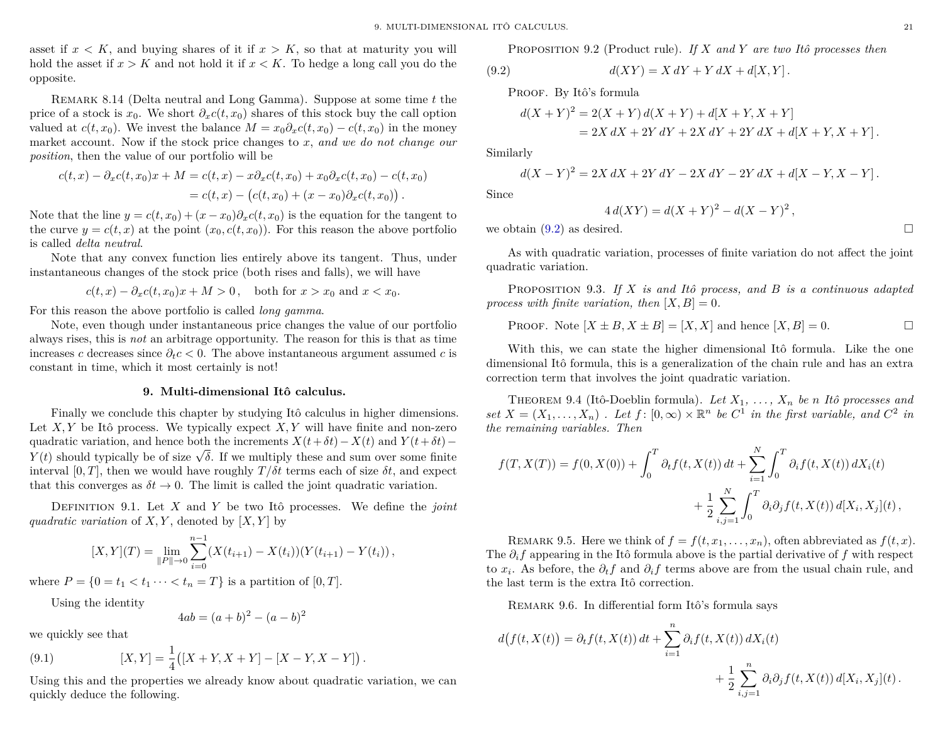asset if  $x < K$ , and buying shares of it if  $x > K$ , so that at maturity you will hold the asset if  $x > K$  and not hold it if  $x < K$ . To hedge a long call you do the opposite.

Remark 8.14 (Delta neutral and Long Gamma). Suppose at some time *t* the price of a stock is  $x_0$ . We short  $\partial_x c(t, x_0)$  shares of this stock buy the call option valued at  $c(t, x_0)$ . We invest the balance  $M = x_0 \partial_x c(t, x_0) - c(t, x_0)$  in the money market account. Now if the stock price changes to *x*, *and we do not change our position*, then the value of our portfolio will be

$$
c(t,x) - \partial_x c(t,x_0)x + M = c(t,x) - x\partial_x c(t,x_0) + x_0\partial_x c(t,x_0) - c(t,x_0)
$$
  
= 
$$
c(t,x) - (c(t,x_0) + (x-x_0)\partial_x c(t,x_0)).
$$

Note that the line  $y = c(t, x_0) + (x - x_0) \partial_x c(t, x_0)$  is the equation for the tangent to the curve  $y = c(t, x)$  at the point  $(x_0, c(t, x_0))$ . For this reason the above portfolio is called *delta neutral*.

Note that any convex function lies entirely above its tangent. Thus, under instantaneous changes of the stock price (both rises and falls), we will have

$$
c(t,x) - \partial_x c(t,x_0)x + M > 0, \quad \text{both for } x > x_0 \text{ and } x < x_0.
$$

For this reason the above portfolio is called *long gamma*.

Note, even though under instantaneous price changes the value of our portfolio always rises, this is *not* an arbitrage opportunity. The reason for this is that as time increases *c* decreases since  $\partial_t c < 0$ . The above instantaneous argument assumed *c* is constant in time, which it most certainly is not!

#### **9. Multi-dimensional Itô calculus.**

<span id="page-22-0"></span>Finally we conclude this chapter by studying Itô calculus in higher dimensions. Let  $X, Y$  be Itô process. We typically expect  $X, Y$  will have finite and non-zero quadratic variation, and hence both the increments  $X(t + \delta t) - X(t)$  and  $Y(t + \delta t)$ quadratic variation, and nence both the increments  $\Lambda(t + \delta t) - \Lambda(t)$  and  $\dot{I}(t + \delta t) - Y(t)$  should typically be of size  $\sqrt{\delta}$ . If we multiply these and sum over some finite interval [0, T], then we would have roughly  $T/\delta t$  terms each of size  $\delta t$ , and expect that this converges as  $\delta t \to 0$ . The limit is called the joint quadratic variation.

Definition 9.1. Let *X* and *Y* be two Itô processes. We define the *joint quadratic variation* of *X,Y*, denoted by  $[X, Y]$  by

$$
[X,Y](T) = \lim_{\|P\| \to 0} \sum_{i=0}^{n-1} (X(t_{i+1}) - X(t_i))(Y(t_{i+1}) - Y(t_i)),
$$

where  $P = \{0 = t_1 < t_1 \cdots < t_n = T\}$  is a partition of [0, T].

Using the identity

<span id="page-22-2"></span>
$$
4ab = (a+b)^2 - (a-b)^2
$$

we quickly see that

(9.1) 
$$
[X,Y] = \frac{1}{4} ([X+Y,X+Y] - [X-Y,X-Y]).
$$

Using this and the properties we already know about quadratic variation, we can quickly deduce the following.

PROPOSITION 9.2 (Product rule). If X and Y are two Itô processes then  
(9.2) 
$$
d(XY) = X dY + Y dX + d[X, Y].
$$

PROOF. By Itô's formula

<span id="page-22-1"></span>
$$
d(X + Y)^{2} = 2(X + Y) d(X + Y) + d[X + Y, X + Y]
$$
  
= 2X dX + 2Y dY + 2X dY + 2Y dX + d[X + Y, X + Y].

Similarly

$$
d(X - Y)^{2} = 2X dX + 2Y dY - 2X dY - 2Y dX + d[X - Y, X - Y].
$$

Since

$$
4 d(XY) = d(X + Y)^{2} - d(X - Y)^{2},
$$

we obtain  $(9.2)$  as desired.

As with quadratic variation, processes of finite variation do not affect the joint quadratic variation.

Proposition 9.3. *If X is and Itô process, and B is a continuous adapted process with finite variation, then*  $[X, B] = 0$ *.* 

PROOF. Note 
$$
[X \pm B, X \pm B] = [X, X]
$$
 and hence  $[X, B] = 0$ .

With this, we can state the higher dimensional Itô formula. Like the one dimensional Itô formula, this is a generalization of the chain rule and has an extra correction term that involves the joint quadratic variation.

THEOREM 9.4 (Itô-Doeblin formula). Let  $X_1, \ldots, X_n$  be *n* Itô processes and *set*  $X = (X_1, \ldots, X_n)$ . Let  $f: [0, \infty) \times \mathbb{R}^n$  be  $C^1$  in the first variable, and  $C^2$  in *the remaining variables. Then*

$$
f(T, X(T)) = f(0, X(0)) + \int_0^T \partial_t f(t, X(t)) dt + \sum_{i=1}^N \int_0^T \partial_i f(t, X(t)) dX_i(t) + \frac{1}{2} \sum_{i,j=1}^N \int_0^T \partial_i \partial_j f(t, X(t)) d[X_i, X_j](t),
$$

REMARK 9.5. Here we think of  $f = f(t, x_1, \ldots, x_n)$ , often abbreviated as  $f(t, x)$ . The *∂if* appearing in the Itô formula above is the partial derivative of *f* with respect to *x<sup>i</sup>* . As before, the *∂tf* and *∂if* terms above are from the usual chain rule, and the last term is the extra Itô correction.

REMARK 9.6. In differential form Itô's formula says

$$
d(f(t, X(t))) = \partial_t f(t, X(t)) dt + \sum_{i=1}^n \partial_i f(t, X(t)) dX_i(t)
$$

$$
+ \frac{1}{2} \sum_{i,j=1}^n \partial_i \partial_j f(t, X(t)) d[X_i, X_j](t).
$$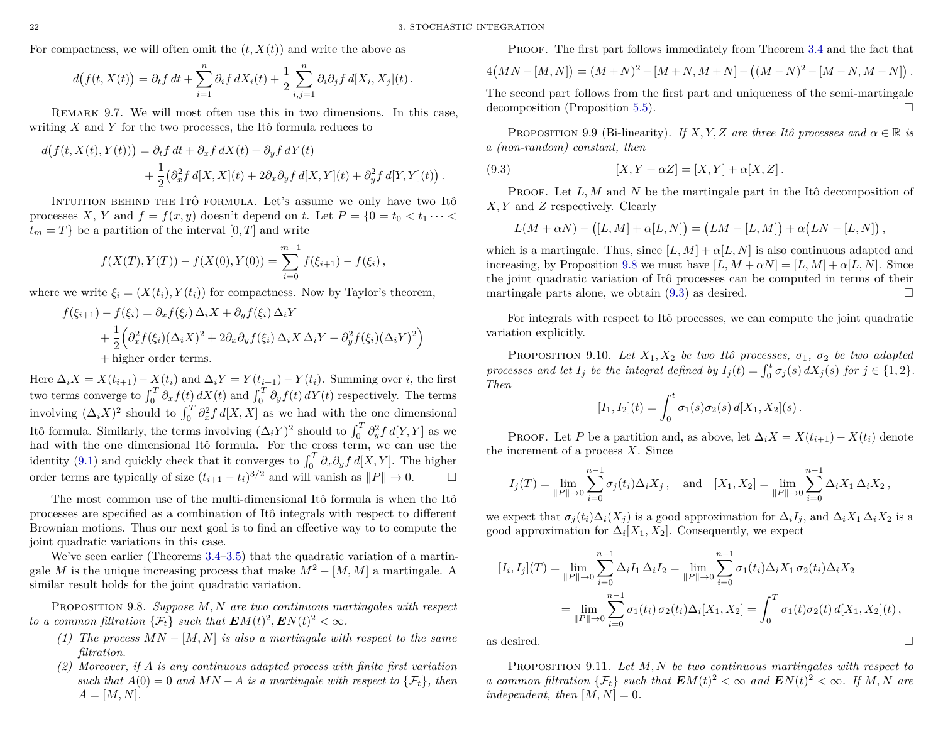For compactness, we will often omit the  $(t, X(t))$  and write the above as

$$
d(f(t,X(t))) = \partial_t f dt + \sum_{i=1}^n \partial_i f dX_i(t) + \frac{1}{2} \sum_{i,j=1}^n \partial_i \partial_j f d[X_i, X_j](t).
$$

Remark 9.7. We will most often use this in two dimensions. In this case, writing *X* and *Y* for the two processes, the Itô formula reduces to

$$
d(f(t, X(t), Y(t))) = \partial_t f dt + \partial_x f dX(t) + \partial_y f dY(t)
$$
  
+ 
$$
\frac{1}{2} (\partial_x^2 f d[X, X](t) + 2 \partial_x \partial_y f d[X, Y](t) + \partial_y^2 f d[Y, Y](t)).
$$

INTUITION BEHIND THE ITÔ FORMULA. Let's assume we only have two Itô processes *X*, *Y* and  $f = f(x, y)$  doesn't depend on *t*. Let  $P = \{0 = t_0 < t_1 \cdots < t\}$  $t_m = T$ } be a partition of the interval  $[0, T]$  and write

$$
f(X(T), Y(T)) - f(X(0), Y(0)) = \sum_{i=0}^{m-1} f(\xi_{i+1}) - f(\xi_i),
$$

where we write  $\xi_i = (X(t_i), Y(t_i))$  for compactness. Now by Taylor's theorem,

$$
f(\xi_{i+1}) - f(\xi_i) = \partial_x f(\xi_i) \Delta_i X + \partial_y f(\xi_i) \Delta_i Y
$$
  
+ 
$$
\frac{1}{2} \Big( \partial_x^2 f(\xi_i) (\Delta_i X)^2 + 2 \partial_x \partial_y f(\xi_i) \Delta_i X \Delta_i Y + \partial_y^2 f(\xi_i) (\Delta_i Y)^2 \Big)
$$
  
+ higher order terms.

Here  $\Delta_i X = X(t_{i+1}) - X(t_i)$  and  $\Delta_i Y = Y(t_{i+1}) - Y(t_i)$ . Summing over *i*, the first two terms converge to  $\int_0^T \partial_x f(t) dX(t)$  and  $\int_0^T \partial_y f(t) dY(t)$  respectively. The terms involving  $(\Delta_i X)^2$  should to  $\int_0^T \partial_x^2 f d[X,X]$  as we had with the one dimensional Itô formula. Similarly, the terms involving  $(\Delta_i Y)^2$  should to  $\int_0^T \partial_y^2 f d[Y, Y]$  as we had with the one dimensional Itô formula. For the cross term, we can use the identity [\(9.1\)](#page-22-2) and quickly check that it converges to  $\int_0^T \partial_x \partial_y f d[X, Y]$ . The higher order terms are typically of size  $(t_{i+1} - t_i)^{3/2}$  and will vanish as  $||P|| \to 0$ .

The most common use of the multi-dimensional Itô formula is when the Itô processes are specified as a combination of Itô integrals with respect to different Brownian motions. Thus our next goal is to find an effective way to to compute the joint quadratic variations in this case.

We've seen earlier (Theorems [3.4](#page-14-8)[–3.5\)](#page-14-4) that the quadratic variation of a martingale *M* is the unique increasing process that make  $M^2 - [M, M]$  a martingale. A similar result holds for the joint quadratic variation.

<span id="page-23-0"></span>Proposition 9.8. *Suppose M, N are two continuous martingales with respect to a common filtration*  $\{\mathcal{F}_t\}$  *such that*  $\mathbf{E}M(t)^2, \mathbf{E}N(t)^2 < \infty$ *.* 

- *(1) The process*  $MN [M, N]$  *is also a martingale with respect to the same filtration.*
- *(2) Moreover, if A is any continuous adapted process with finite first variation such that*  $A(0) = 0$  *and*  $MN - A$  *is a martingale with respect to*  $\{\mathcal{F}_t\}$ *, then*  $A = [M, N].$

PROOF. The first part follows immediately from Theorem 3.4 and the fact that  
\n
$$
4\big( MN - [M, N] \big) = (M + N)^2 - [M + N, M + N] - \big( (M - N)^2 - [M - N, M - N] \big).
$$

The second part follows from the first part and uniqueness of the semi-martingale decomposition (Proposition [5.5\)](#page-16-3).

PROPOSITION 9.9 (Bi-linearity). *If X,Y,Z* are three Itô processes and  $\alpha \in \mathbb{R}$  is *a (non-random) constant, then*

(9.3) 
$$
[X, Y + \alpha Z] = [X, Y] + \alpha [X, Z].
$$

PROOF. Let L, M and N be the martingale part in the Itô decomposition of *X, Y* and *Z* respectively. Clearly

<span id="page-23-1"></span>
$$
L(M+\alpha N)-([L,M]+\alpha [L,N])=(LM-[L,M])+\alpha (LN-[L,N])\,,
$$

which is a martingale. Thus, since  $[L, M] + \alpha[L, N]$  is also continuous adapted and increasing, by Proposition [9.8](#page-23-0) we must have  $[L, M + \alpha N] = [L, M] + \alpha [L, N]$ . Since the joint quadratic variation of Itô processes can be computed in terms of their martingale parts alone, we obtain  $(9.3)$  as desired.

For integrals with respect to Itô processes, we can compute the joint quadratic variation explicitly.

PROPOSITION 9.10. *Let*  $X_1, X_2$  *be two Itô processes,*  $\sigma_1$ ,  $\sigma_2$  *be two adapted processes and let*  $I_j$  *be the integral defined by*  $I_j(t) = \int_0^t \sigma_j(s) dX_j(s)$  *for*  $j \in \{1, 2\}$ *. Then*

$$
[I_1, I_2](t) = \int_0^t \sigma_1(s)\sigma_2(s) d[X_1, X_2](s).
$$

PROOF. Let *P* be a partition and, as above, let  $\Delta_i X = X(t_{i+1}) - X(t_i)$  denote the increment of a process *X*. Since

$$
I_j(T) = \lim_{\|P\| \to 0} \sum_{i=0}^{n-1} \sigma_j(t_i) \Delta_i X_j, \text{ and } [X_1, X_2] = \lim_{\|P\| \to 0} \sum_{i=0}^{n-1} \Delta_i X_1 \Delta_i X_2,
$$

we expect that  $\sigma_j(t_i)\Delta_i(X_j)$  is a good approximation for  $\Delta_i I_j$ , and  $\Delta_i X_1 \Delta_i X_2$  is a good approximation for  $\Delta_i[X_1, X_2]$ . Consequently, we expect

$$
[I_i, I_j](T) = \lim_{\|P\| \to 0} \sum_{i=0}^{n-1} \Delta_i I_1 \, \Delta_i I_2 = \lim_{\|P\| \to 0} \sum_{i=0}^{n-1} \sigma_1(t_i) \Delta_i X_1 \, \sigma_2(t_i) \Delta_i X_2
$$
  
= 
$$
\lim_{\|P\| \to 0} \sum_{i=0}^{n-1} \sigma_1(t_i) \, \sigma_2(t_i) \Delta_i [X_1, X_2] = \int_0^T \sigma_1(t) \sigma_2(t) \, d[X_1, X_2](t),
$$

as desired.  $\Box$ 

Proposition 9.11. *Let M, N be two continuous martingales with respect to a common filtration*  $\{\mathcal{F}_t\}$  *such that*  $\mathbf{E}M(t)^2 < \infty$  *and*  $\mathbf{E}N(t)^2 < \infty$ *. If*  $M, N$  *are independent, then*  $[M, N] = 0$ *.* 

$$
\Box
$$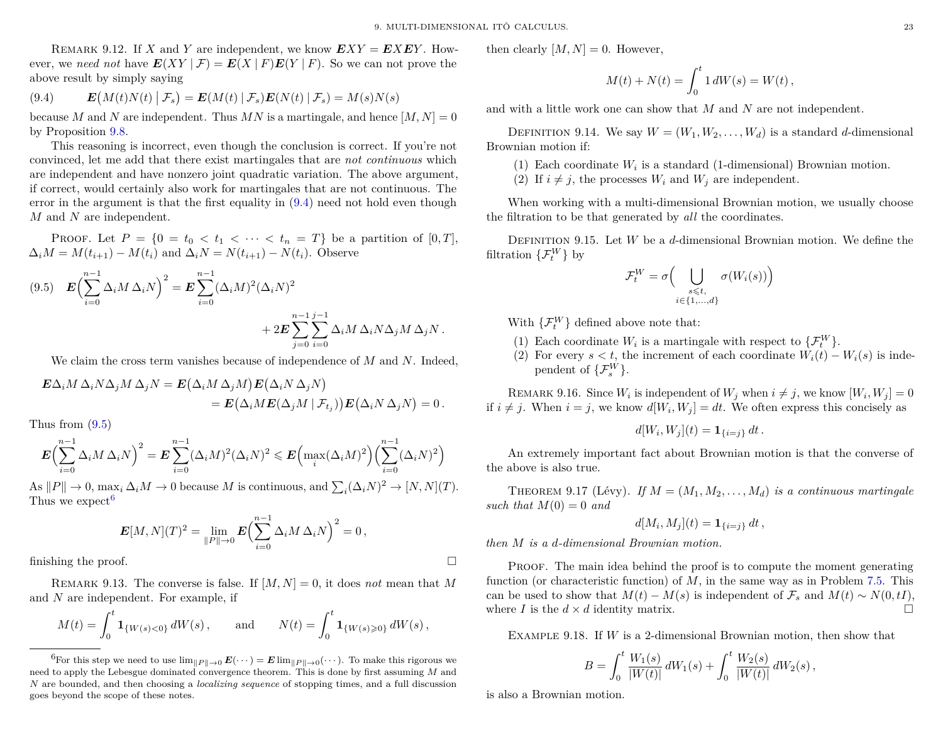REMARK 9.12. If *X* and *Y* are independent, we know  $EXY = EXEY$ . However, we need not have  $E(XY | \mathcal{F}) = E(X | F)E(Y | F)$ . So we can not prove the above result by simply saying

<span id="page-24-0"></span>(9.4) 
$$
\boldsymbol{E}\big(M(t)N(t)\big| \mathcal{F}_s\big) = \boldsymbol{E}(M(t)\big| \mathcal{F}_s)\boldsymbol{E}(N(t)\big| \mathcal{F}_s) = M(s)N(s)
$$

because *M* and *N* are independent. Thus *MN* is a martingale, and hence  $[M, N] = 0$ by Proposition [9.8.](#page-23-0)

This reasoning is incorrect, even though the conclusion is correct. If you're not convinced, let me add that there exist martingales that are *not continuous* which are independent and have nonzero joint quadratic variation. The above argument, if correct, would certainly also work for martingales that are not continuous. The error in the argument is that the first equality in [\(9.4\)](#page-24-0) need not hold even though *M* and *N* are independent.

**PROOF.** Let  $P = \{0 = t_0 < t_1 < \cdots < t_n = T\}$  be a partition of  $[0, T]$ ,  $\Delta_i M = M(t_{i+1}) - M(t_i)$  and  $\Delta_i N = N(t_{i+1}) - N(t_i)$ . Observe

<span id="page-24-1"></span>(9.5) 
$$
\mathbf{E} \Biggl( \sum_{i=0}^{n-1} \Delta_i M \Delta_i N \Biggr)^2 = \mathbf{E} \sum_{i=0}^{n-1} (\Delta_i M)^2 (\Delta_i N)^2 + 2 \mathbf{E} \sum_{j=0}^{n-1} \sum_{i=0}^{j-1} \Delta_i M \Delta_i N \Delta_j M \Delta_j N.
$$

We claim the cross term vanishes because of independence of *M* and *N*. Indeed,

$$
\mathbf{E}\Delta_i M \Delta_i N \Delta_j M \Delta_j N = \mathbf{E} (\Delta_i M \Delta_j M) \mathbf{E} (\Delta_i N \Delta_j N) \n= \mathbf{E} (\Delta_i M \mathbf{E} (\Delta_j M \mid \mathcal{F}_{t_j})) \mathbf{E} (\Delta_i N \Delta_j N) = 0.
$$

Thus from [\(9.5\)](#page-24-1)

$$
\boldsymbol{E}\Big(\sum_{i=0}^{n-1}\Delta_i M \Delta_i N\Big)^2 = \boldsymbol{E}\sum_{i=0}^{n-1}(\Delta_i M)^2 (\Delta_i N)^2 \leqslant \boldsymbol{E}\Big(\max_i(\Delta_i M)^2\Big)\Big(\sum_{i=0}^{n-1}(\Delta_i N)^2\Big)
$$

As  $||P|| \to 0$ ,  $\max_i \Delta_i M \to 0$  because *M* is continuous, and  $\sum_i (\Delta_i N)^2 \to [N, N](T)$ . Thus we expect<sup>[6](#page-24-2)</sup>

$$
\boldsymbol{E}[M,N](T)^2 = \lim_{\|P\| \to 0} \boldsymbol{E} \Bigl( \sum_{i=0}^{n-1} \Delta_i M \, \Delta_i N \Bigr)^2 = 0 \,,
$$
   
 finishing the proof.

REMARK 9.13. The converse is false. If  $[M, N] = 0$ , it does *not* mean that M and *N* are independent. For example, if

$$
M(t) = \int_0^t \mathbf{1}_{\{W(s) < 0\}} dW(s) \,, \quad \text{and} \quad N(t) = \int_0^t \mathbf{1}_{\{W(s) \geq 0\}} dW(s) \,,
$$

then clearly  $[M, N] = 0$ . However,

$$
M(t) + N(t) = \int_0^t 1 \, dW(s) = W(t) \,,
$$

and with a little work one can show that *M* and *N* are not independent.

DEFINITION 9.14. We say  $W = (W_1, W_2, \ldots, W_d)$  is a standard *d*-dimensional Brownian motion if:

- (1) Each coordinate  $W_i$  is a standard (1-dimensional) Brownian motion.
- (2) If  $i \neq j$ , the processes  $W_i$  and  $W_j$  are independent.

When working with a multi-dimensional Brownian motion, we usually choose the filtration to be that generated by *all* the coordinates.

Definition 9.15. Let *W* be a *d*-dimensional Brownian motion. We define the filtration  $\{\mathcal{F}^W_t\}$  by

$$
\mathcal{F}_t^W = \sigma \Big( \bigcup_{\substack{s \leq t, \\ i \in \{1, \ldots, d\}}} \sigma(W_i(s)) \Big)
$$

With  $\{\mathcal{F}_t^W\}$  defined above note that:

- (1) Each coordinate  $W_i$  is a martingale with respect to  $\{\mathcal{F}_t^W\}$ .
- (2) For every  $s < t$ , the increment of each coordinate  $W_i(t) W_i(s)$  is independent of  $\{\mathcal{F}_s^W\}$ .

REMARK 9.16. Since  $W_i$  is independent of  $W_j$  when  $i \neq j$ , we know  $[W_i, W_j] = 0$ if  $i \neq j$ . When  $i = j$ , we know  $d[W_i, W_j] = dt$ . We often express this concisely as

$$
d[W_i, W_j](t) = \mathbf{1}_{\{i=j\}} dt.
$$

An extremely important fact about Brownian motion is that the converse of the above is also true.

THEOREM 9.17 (Lévy). If  $M = (M_1, M_2, \ldots, M_d)$  is a continuous martingale *such that*  $M(0) = 0$  *and* 

$$
d[M_i, M_j](t) = \mathbf{1}_{\{i=j\}} dt,
$$

*then M is a d-dimensional Brownian motion.*

Proof. The main idea behind the proof is to compute the moment generating function (or characteristic function) of *M*, in the same way as in Problem [7.5.](#page-18-2) This can be used to show that  $M(t) - M(s)$  is independent of  $\mathcal{F}_s$  and  $M(t) \sim N(0, tI)$ , where *I* is the  $d \times d$  identity matrix.

Example 9.18. If *W* is a 2-dimensional Brownian motion, then show that

$$
B=\int_0^t \frac{W_1(s)}{|W(t)|}\,dW_1(s)+\int_0^t \frac{W_2(s)}{|W(t)|}\,dW_2(s)\,,
$$

is also a Brownian motion.

<span id="page-24-2"></span><sup>&</sup>lt;sup>6</sup>For this step we need to use  $\lim_{\|P\| \to 0} E(\cdots) = E \lim_{\|P\| \to 0} (\cdots)$ . To make this rigorous we need to apply the Lebesgue dominated convergence theorem. This is done by first assuming *M* and *N* are bounded, and then choosing a *localizing sequence* of stopping times, and a full discussion goes beyond the scope of these notes.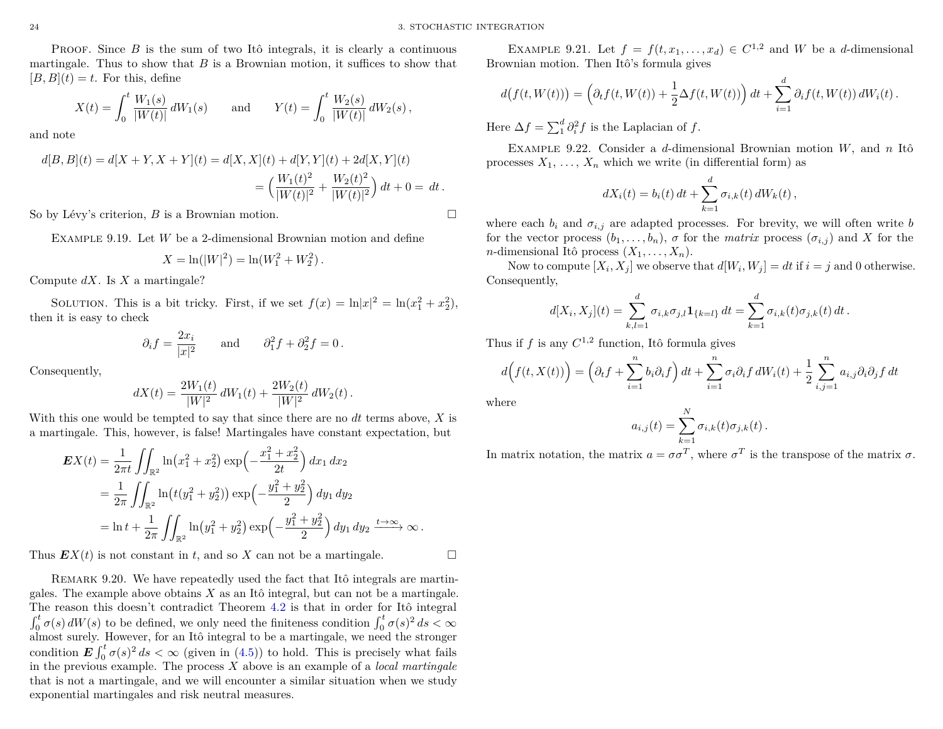PROOF. Since *B* is the sum of two Itô integrals, it is clearly a continuous martingale. Thus to show that *B* is a Brownian motion, it suffices to show that  $[B, B](t) = t$ . For this, define

$$
X(t) = \int_0^t \frac{W_1(s)}{|W(t)|} dW_1(s) \quad \text{and} \quad Y(t) = \int_0^t \frac{W_2(s)}{|W(t)|} dW_2(s) \,,
$$

and note

$$
d[B,B](t) = d[X+Y,X+Y](t) = d[X,X](t) + d[Y,Y](t) + 2d[X,Y](t)
$$
  
= 
$$
\left(\frac{W_1(t)^2}{|W(t)|^2} + \frac{W_2(t)^2}{|W(t)|^2}\right)dt + 0 = dt.
$$

So by Lévy's criterion, *B* is a Brownian motion.

Example 9.19. Let *W* be a 2-dimensional Brownian motion and define

$$
X = \ln(|W|^2) = \ln(W_1^2 + W_2^2).
$$

Compute *dX*. Is *X* a martingale?

SOLUTION. This is a bit tricky. First, if we set  $f(x) = \ln|x|^2 = \ln(x_1^2 + x_2^2)$ , then it is easy to check

$$
\partial_i f = \frac{2x_i}{|x|^2}
$$
 and  $\partial_1^2 f + \partial_2^2 f = 0$ .

Consequently,

$$
dX(t) = \frac{2W_1(t)}{|W|^2} dW_1(t) + \frac{2W_2(t)}{|W|^2} dW_2(t).
$$

With this one would be tempted to say that since there are no *dt* terms above, *X* is a martingale. This, however, is false! Martingales have constant expectation, but

$$
\mathbf{E}X(t) = \frac{1}{2\pi t} \iint_{\mathbb{R}^2} \ln(x_1^2 + x_2^2) \exp\left(-\frac{x_1^2 + x_2^2}{2t}\right) dx_1 dx_2
$$
  
=  $\frac{1}{2\pi} \iint_{\mathbb{R}^2} \ln(t(y_1^2 + y_2^2)) \exp\left(-\frac{y_1^2 + y_2^2}{2}\right) dy_1 dy_2$   
=  $\ln t + \frac{1}{2\pi} \iint_{\mathbb{R}^2} \ln(y_1^2 + y_2^2) \exp\left(-\frac{y_1^2 + y_2^2}{2}\right) dy_1 dy_2 \xrightarrow{t \to \infty} \infty.$ 

Thus  $EX(t)$  is not constant in *t*, and so *X* can not be a martingale.

REMARK 9.20. We have repeatedly used the fact that Itô integrals are martingales. The example above obtains *X* as an Itô integral, but can not be a martingale. The reason this doesn't contradict Theorem [4.2](#page-14-7) is that in order for Itô integral  $\int_0^t \sigma(s) dW(s)$  to be defined, we only need the finiteness condition  $\int_0^t \sigma(s)^2 ds < \infty$ almost surely. However, for an Itô integral to be a martingale, we need the stronger condition  $\mathbf{E} \int_0^t \sigma(s)^2 ds < \infty$  (given in [\(4.5\)](#page-14-6)) to hold. This is precisely what fails in the previous example. The process *X* above is an example of a *local martingale* that is not a martingale, and we will encounter a similar situation when we study exponential martingales and risk neutral measures.

EXAMPLE 9.21. Let  $f = f(t, x_1, \ldots, x_d) \in C^{1,2}$  and *W* be a *d*-dimensional Brownian motion. Then Itô's formula gives

$$
d(f(t, W(t))) = \left(\partial_t f(t, W(t)) + \frac{1}{2}\Delta f(t, W(t))\right)dt + \sum_{i=1}^d \partial_i f(t, W(t)) dW_i(t).
$$

Here  $\Delta f = \sum_{i=1}^{d} \partial_i^2 f$  is the Laplacian of *f*.

Example 9.22. Consider a *d*-dimensional Brownian motion *W*, and *n* Itô processes  $X_1, \ldots, X_n$  which we write (in differential form) as

$$
dX_i(t) = b_i(t) dt + \sum_{k=1}^d \sigma_{i,k}(t) dW_k(t),
$$

where each  $b_i$  and  $\sigma_{i,j}$  are adapted processes. For brevity, we will often write *b* for the vector process  $(b_1, \ldots, b_n)$ ,  $\sigma$  for the *matrix* process  $(\sigma_{i,j})$  and X for the *n*-dimensional Itô process  $(X_1, \ldots, X_n)$ .

Now to compute  $[X_i, X_j]$  we observe that  $d[W_i, W_j] = dt$  if  $i = j$  and 0 otherwise. Consequently,

$$
d[X_i, X_j](t) = \sum_{k,l=1}^d \sigma_{i,k} \sigma_{j,l} \mathbf{1}_{\{k=l\}} dt = \sum_{k=1}^d \sigma_{i,k}(t) \sigma_{j,k}(t) dt.
$$

Thus if  $f$  is any  $C^{1,2}$  function, Itô formula gives

$$
d\Big(f(t,X(t))\Big) = \left(\partial_t f + \sum_{i=1}^n b_i \partial_i f\right) dt + \sum_{i=1}^n \sigma_i \partial_i f dW_i(t) + \frac{1}{2} \sum_{i,j=1}^n a_{i,j} \partial_i \partial_j f dt
$$

where

$$
a_{i,j}(t) = \sum_{k=1}^N \sigma_{i,k}(t)\sigma_{j,k}(t).
$$

In matrix notation, the matrix  $a = \sigma \sigma^T$ , where  $\sigma^T$  is the transpose of the matrix  $\sigma$ .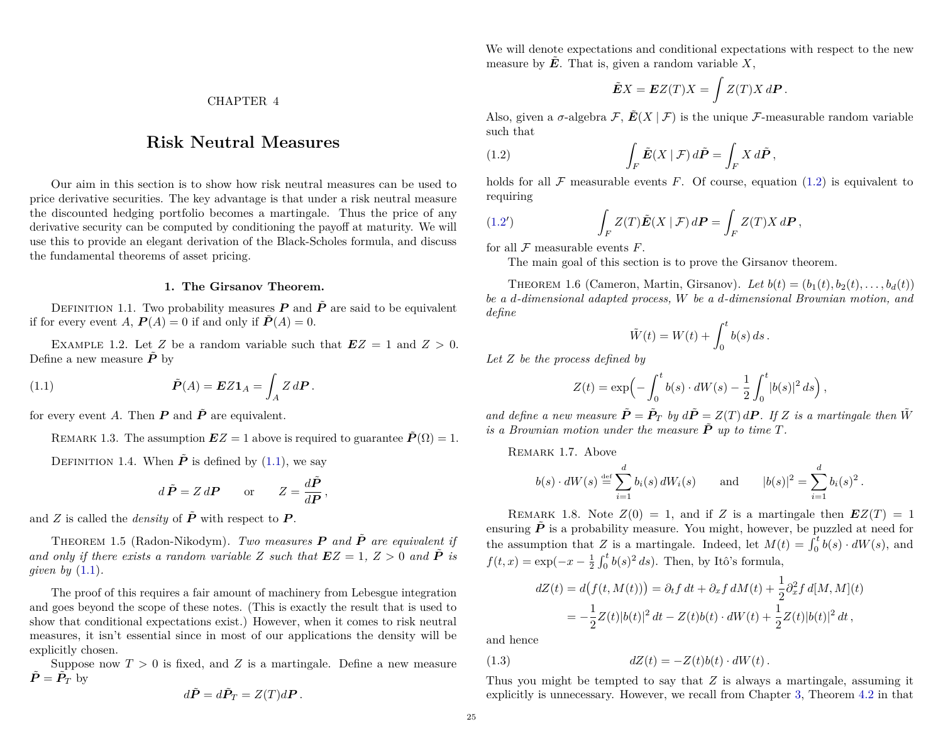CHAPTER 4

# **Risk Neutral Measures**

<span id="page-26-0"></span>Our aim in this section is to show how risk neutral measures can be used to price derivative securities. The key advantage is that under a risk neutral measure the discounted hedging portfolio becomes a martingale. Thus the price of any derivative security can be computed by conditioning the payoff at maturity. We will use this to provide an elegant derivation of the Black-Scholes formula, and discuss the fundamental theorems of asset pricing.

## <span id="page-26-2"></span>**1. The Girsanov Theorem.**

<span id="page-26-1"></span>DEFINITION 1.1. Two probability measures  $P$  and  $\tilde{P}$  are said to be equivalent if for every event *A*,  $P(A) = 0$  if and only if  $\tilde{P}(A) = 0$ .

EXAMPLE 1.2. Let *Z* be a random variable such that  $EZ = 1$  and  $Z > 0$ . Define a new measure  $\tilde{P}$  by

(1.1) 
$$
\tilde{P}(A) = EZ\mathbf{1}_A = \int_A Z \, dP.
$$

for every event *A*. Then  $P$  and  $\tilde{P}$  are equivalent.

REMARK 1.3. The assumption  $EZ = 1$  above is required to guarantee  $\tilde{P}(\Omega) = 1$ .

DEFINITION 1.4. When  $\tilde{P}$  is defined by [\(1.1\)](#page-26-2), we say

$$
d\tilde{P} = Z dP
$$
 or  $Z = \frac{d\tilde{P}}{dP}$ ,

and *Z* is called the *density* of  $\tilde{P}$  with respect to  $P$ .

THEOREM 1.5 (Radon-Nikodym). *Two measures*  $P$  *and*  $\tilde{P}$  *are equivalent if* and only if there exists a random variable *Z* such that  $EZ = 1, Z > 0$  and  $\tilde{P}$  is *given by* [\(1.1\)](#page-26-2)*.*

The proof of this requires a fair amount of machinery from Lebesgue integration and goes beyond the scope of these notes. (This is exactly the result that is used to show that conditional expectations exist.) However, when it comes to risk neutral measures, it isn't essential since in most of our applications the density will be explicitly chosen.

Suppose now  $T > 0$  is fixed, and  $Z$  is a martingale. Define a new measure  $\tilde{\boldsymbol{P}} = \tilde{\boldsymbol{P}_T}$  by

$$
d\tilde{\boldsymbol{P}} = d\tilde{\boldsymbol{P}}_T = Z(T)d\boldsymbol{P}.
$$

We will denote expectations and conditional expectations with respect to the new measure by  $E$ . That is, given a random variable  $X$ ,

<span id="page-26-3"></span>
$$
\tilde{E}X = EZ(T)X = \int Z(T)X dP.
$$

Also, given a  $\sigma$ -algebra  $\mathcal{F}, \tilde{E}(X | \mathcal{F})$  is the unique  $\mathcal{F}$ -measurable random variable such that

(1.2) 
$$
\int_{F} \tilde{E}(X | \mathcal{F}) d\tilde{P} = \int_{F} X d\tilde{P},
$$

holds for all  $\mathcal F$  measurable events  $F$ . Of course, equation [\(1.2\)](#page-26-3) is equivalent to requiring

(1.2') 
$$
\int_{F} Z(T) \tilde{E}(X | \mathcal{F}) d\mathbf{P} = \int_{F} Z(T) X d\mathbf{P},
$$

for all  $\mathcal F$  measurable events  $F$ .

The main goal of this section is to prove the Girsanov theorem.

<span id="page-26-4"></span>THEOREM 1.6 (Cameron, Martin, Girsanov). Let  $b(t) = (b_1(t), b_2(t), \ldots, b_d(t))$ *be a d-dimensional adapted process, W be a d-dimensional Brownian motion, and define*

$$
\tilde{W}(t) = W(t) + \int_0^t b(s) \, ds \, .
$$

*Let Z be the process defined by*

$$
Z(t) = \exp\left(-\int_0^t b(s) \cdot dW(s) - \frac{1}{2} \int_0^t |b(s)|^2 ds\right),\,
$$

*and define a new measure*  $\tilde{P} = \tilde{P}_T$  *by*  $d\tilde{P} = Z(T) dP$ . If *Z is a martingale then*  $\tilde{W}$ *is a Brownian motion under the measure*  $\tilde{P}$  *up to time*  $T$ *.* 

REMARK 1.7. Above

$$
b(s) \cdot dW(s) \stackrel{\text{def}}{=} \sum_{i=1}^d b_i(s) dW_i(s)
$$
 and  $|b(s)|^2 = \sum_{i=1}^d b_i(s)^2$ .

REMARK 1.8. Note  $Z(0) = 1$ , and if *Z* is a martingale then  $EZ(T) = 1$ ensuring  $\tilde{P}$  is a probability measure. You might, however, be puzzled at need for the assumption that *Z* is a martingale. Indeed, let  $M(t) = \int_0^t b(s) \cdot dW(s)$ , and  $f(t, x) = \exp(-x - \frac{1}{2} \int_0^t b(s)^2 ds)$ . Then, by Itô's formula,

<span id="page-26-5"></span>
$$
dZ(t) = d(f(t, M(t))) = \partial_t f dt + \partial_x f dM(t) + \frac{1}{2} \partial_x^2 f d[M, M](t)
$$
  
=  $-\frac{1}{2} Z(t) |b(t)|^2 dt - Z(t) b(t) \cdot dW(t) + \frac{1}{2} Z(t) |b(t)|^2 dt$ ,

and hence

(1.3)  $dZ(t) = -Z(t)b(t) \cdot dW(t)$ .

Thus you might be tempted to say that *Z* is always a martingale, assuming it explicitly is unnecessary. However, we recall from Chapter [3,](#page-13-0) Theorem [4.2](#page-14-7) in that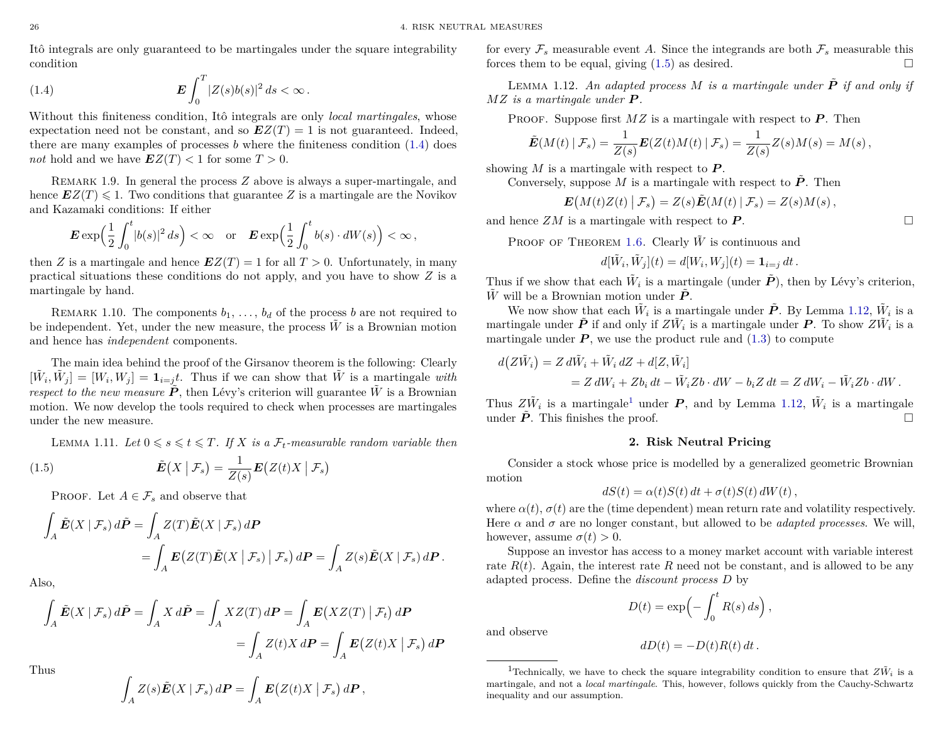Itô integrals are only guaranteed to be martingales under the square integrability condition

<span id="page-27-1"></span>(1.4) 
$$
\mathbf{E} \int_0^T |Z(s)b(s)|^2 ds < \infty.
$$

Without this finiteness condition, Itô integrals are only *local martingales*, whose expectation need not be constant, and so  $EZ(T) = 1$  is not guaranteed. Indeed, there are many examples of processes *b* where the finiteness condition [\(1.4\)](#page-27-1) does *not* hold and we have  $EZ(T) < 1$  for some  $T > 0$ .

Remark 1.9. In general the process *Z* above is always a super-martingale, and hence  $EZ(T) \leq 1$ . Two conditions that guarantee *Z* is a martingale are the Novikov and Kazamaki conditions: If either

$$
\boldsymbol{E}\exp\Bigl(\frac{1}{2}\int_0^t\lvert b(s)\rvert^2\,ds\Bigr)<\infty\quad\text{or}\quad \boldsymbol{E}\exp\Bigl(\frac{1}{2}\int_0^t b(s)\cdot dW(s)\Bigr)<\infty\,,
$$

then *Z* is a martingale and hence  $EZ(T) = 1$  for all  $T > 0$ . Unfortunately, in many practical situations these conditions do not apply, and you have to show *Z* is a martingale by hand.

REMARK 1.10. The components  $b_1, \ldots, b_d$  of the process *b* are not required to be independent. Yet, under the new measure, the process  $\tilde{W}$  is a Brownian motion and hence has *independent* components.

The main idea behind the proof of the Girsanov theorem is the following: Clearly  $[\tilde{W}_i, \tilde{W}_j] = [W_i, W_j] = \mathbf{1}_{i=j}t$ . Thus if we can show that  $\tilde{W}$  is a martingale *with respect to the new measure*  $\tilde{P}$ , then Lévy's criterion will guarantee  $\tilde{W}$  is a Brownian motion. We now develop the tools required to check when processes are martingales under the new measure.

<span id="page-27-2"></span>LEMMA 1.11. Let  $0 \le s \le t \le T$ . If X is a  $\mathcal{F}_t$ -measurable random variable then

(1.5) 
$$
\tilde{E}(X | \mathcal{F}_s) = \frac{1}{Z(s)} E(Z(t)X | \mathcal{F}_s)
$$

PROOF. Let  $A \in \mathcal{F}_s$  and observe that

$$
\int_{A} \tilde{E}(X | \mathcal{F}_s) d\tilde{P} = \int_{A} Z(T) \tilde{E}(X | \mathcal{F}_s) dP
$$
  
= 
$$
\int_{A} E(Z(T) \tilde{E}(X | \mathcal{F}_s) | \mathcal{F}_s) dP = \int_{A} Z(s) \tilde{E}(X | \mathcal{F}_s) dP.
$$

Also,

$$
\int_{A} \tilde{E}(X | \mathcal{F}_s) d\tilde{P} = \int_{A} X d\tilde{P} = \int_{A} XZ(T) dP = \int_{A} E(XZ(T) | \mathcal{F}_t) dP
$$
\n
$$
= \int_{A} Z(t)X dP = \int_{A} E(Z(t)X | \mathcal{F}_s) dP
$$
\nwhere

Thus

$$
\int_A Z(s)\tilde{E}(X \mid \mathcal{F}_s) dP = \int_A E(Z(t)X \mid \mathcal{F}_s) dP,
$$

for every  $\mathcal{F}_s$  measurable event A. Since the integrands are both  $\mathcal{F}_s$  measurable this forces them to be equal, giving  $(1.5)$  as desired.

<span id="page-27-3"></span>LEMMA 1.12. An adapted process  $M$  is a martingale under  $\tilde{P}$  if and only if *MZ is a martingale under P .*

PROOF. Suppose first  $MZ$  is a martingale with respect to  $P$ . Then

$$
\tilde{E}(M(t) | \mathcal{F}_s) = \frac{1}{Z(s)} E(Z(t)M(t) | \mathcal{F}_s) = \frac{1}{Z(s)} Z(s)M(s) = M(s),
$$

showing  $M$  is a martingale with respect to  $P$ .

Conversely, suppose *M* is a martingale with respect to  $\tilde{P}$ . Then

$$
\boldsymbol{E}\big(M(t)Z(t)\big|\,\mathcal{F}_s\big)=Z(s)\tilde{\boldsymbol{E}}(M(t)\,|\,\mathcal{F}_s)=Z(s)M(s)\,,
$$

and hence  $ZM$  is a martingale with respect to  $P$ .

PROOF OF THEOREM [1.6.](#page-26-4) Clearly  $\tilde{W}$  is continuous and

$$
d[\tilde{W}_i, \tilde{W}_j](t) = d[W_i, W_j](t) = \mathbf{1}_{i=j} dt.
$$

Thus if we show that each  $\tilde{W}_i$  is a martingale (under  $\tilde{P}$ ), then by Lévy's criterion,  $\tilde{W}$  will be a Brownian motion under  $\tilde{P}$ .

We now show that each  $\tilde{W}_i$  is a martingale under  $\tilde{P}$ . By Lemma [1.12,](#page-27-3)  $\tilde{W}_i$  is a martingale under  $\tilde{P}$  if and only if  $Z\tilde{W}_i$  is a martingale under  $P$ . To show  $Z\tilde{W}_i$  is a martingale under  $P$ , we use the product rule and  $(1.3)$  to compute

$$
d(Z\tilde{W}_i) = Z d\tilde{W}_i + \tilde{W}_i dZ + d[Z, \tilde{W}_i]
$$
  
=  $Z dW_i + Zb_i dt - \tilde{W}_i Zb \cdot dW - b_i Z dt = Z dW_i - \tilde{W}_i Zb \cdot dW.$ 

Thus  $Z\tilde{W}_i$  is a martingale<sup>[1](#page-27-4)</sup> under *P*, and by Lemma [1.12,](#page-27-3)  $\tilde{W}_i$  is a martingale under  $\ddot{P}$ . This finishes the proof.

## **2. Risk Neutral Pricing**

<span id="page-27-0"></span>Consider a stock whose price is modelled by a generalized geometric Brownian motion

$$
dS(t) = \alpha(t)S(t) dt + \sigma(t)S(t) dW(t),
$$

where  $\alpha(t)$ ,  $\sigma(t)$  are the (time dependent) mean return rate and volatility respectively. Here  $\alpha$  and  $\sigma$  are no longer constant, but allowed to be *adapted processes*. We will, however, assume  $\sigma(t) > 0$ .

Suppose an investor has access to a money market account with variable interest rate  $R(t)$ . Again, the interest rate R need not be constant, and is allowed to be any adapted process. Define the *discount process D* by

$$
D(t) = \exp\left(-\int_0^t R(s) \, ds\right),\,
$$

and observe

$$
dD(t) = -D(t)R(t) dt.
$$

<span id="page-27-4"></span><sup>1</sup>Technically, we have to check the square integrability condition to ensure that  $Z\tilde{W}_i$  is a martingale, and not a *local martingale*. This, however, follows quickly from the Cauchy-Schwartz inequality and our assumption.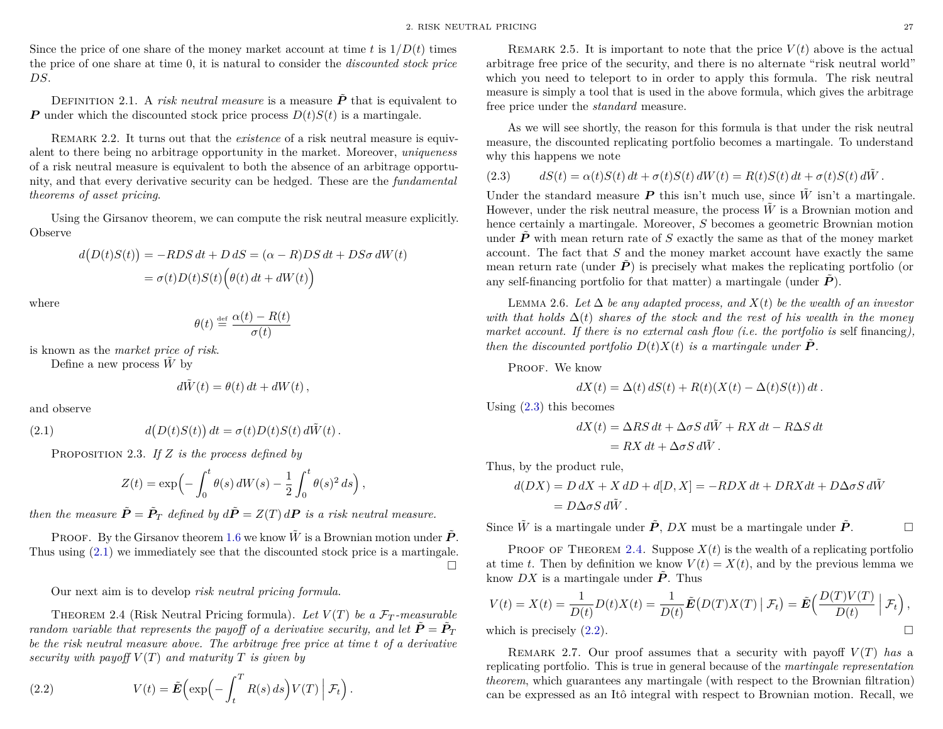Since the price of one share of the money market account at time *t* is  $1/D(t)$  times the price of one share at time 0, it is natural to consider the *discounted stock price DS*.

DEFINITION 2.1. A *risk neutral measure* is a measure  $\tilde{P}$  that is equivalent to *P* under which the discounted stock price process  $D(t)S(t)$  is a martingale.

REMARK 2.2. It turns out that the *existence* of a risk neutral measure is equivalent to there being no arbitrage opportunity in the market. Moreover, *uniqueness* of a risk neutral measure is equivalent to both the absence of an arbitrage opportunity, and that every derivative security can be hedged. These are the *fundamental theorems of asset pricing*.

Using the Girsanov theorem, we can compute the risk neutral measure explicitly. Observe

$$
d(D(t)S(t)) = -RDS dt + D dS = (\alpha - R)DS dt + DS\sigma dW(t)
$$

$$
= \sigma(t)D(t)S(t) (\theta(t) dt + dW(t))
$$

where

$$
\theta(t) \stackrel{\text{def}}{=} \frac{\alpha(t) - R(t)}{\sigma(t)}
$$

is known as the *market price of risk*.

Define a new process  $\tilde{W}$  by

<span id="page-28-0"></span>
$$
d\tilde{W}(t) = \theta(t) dt + dW(t),
$$

and observe

 $(2.1)$  $(D(t)S(t)) dt = \sigma(t)D(t)S(t) d\tilde{W}(t)$ .

Proposition 2.3. *If Z is the process defined by*

$$
Z(t) = \exp\left(-\int_0^t \theta(s) \, dW(s) - \frac{1}{2} \int_0^t \theta(s)^2 \, ds\right),\,
$$

*then the measure*  $\tilde{P} = \tilde{P}_T$  *defined by*  $d\tilde{P} = Z(T) dP$  *is a risk neutral measure.* 

PROOF. By the Girsanov theorem [1.6](#page-26-4) we know  $\tilde{W}$  is a Brownian motion under  $\tilde{P}$ . Thus using [\(2.1\)](#page-28-0) we immediately see that the discounted stock price is a martingale.  $\Box$ 

Our next aim is to develop *risk neutral pricing formula*.

<span id="page-28-2"></span>THEOREM 2.4 (Risk Neutral Pricing formula). Let  $V(T)$  be a  $\mathcal{F}_T$ -measurable *random variable that represents the payoff of a derivative security, and let*  $\tilde{P} = \tilde{P}_T$ *be the risk neutral measure above. The arbitrage free price at time t of a derivative security with payoff*  $V(T)$  *and maturity*  $T$  *is given by* 

<span id="page-28-3"></span>(2.2) 
$$
V(t) = \tilde{E}\left(\exp\left(-\int_t^T R(s) \, ds\right) V(T) \mid \mathcal{F}_t\right).
$$

REMARK 2.5. It is important to note that the price  $V(t)$  above is the actual arbitrage free price of the security, and there is no alternate "risk neutral world" which you need to teleport to in order to apply this formula. The risk neutral measure is simply a tool that is used in the above formula, which gives the arbitrage free price under the *standard* measure.

As we will see shortly, the reason for this formula is that under the risk neutral measure, the discounted replicating portfolio becomes a martingale. To understand why this happens we note

<span id="page-28-1"></span>(2.3) 
$$
dS(t) = \alpha(t)S(t) dt + \sigma(t)S(t) dW(t) = R(t)S(t) dt + \sigma(t)S(t) d\tilde{W}.
$$

Under the standard measure  $P$  this isn't much use, since  $\tilde{W}$  isn't a martingale. However, under the risk neutral measure, the process  $\tilde{W}$  is a Brownian motion and hence certainly a martingale. Moreover, *S* becomes a geometric Brownian motion under  $\tilde{P}$  with mean return rate of *S* exactly the same as that of the money market account. The fact that *S* and the money market account have exactly the same mean return rate (under  $\vec{P}$ ) is precisely what makes the replicating portfolio (or any self-financing portfolio for that matter) a martingale (under  $\tilde{P}$ ).

Lemma 2.6. *Let* ∆ *be any adapted process, and X*(*t*) *be the wealth of an investor with that holds*  $\Delta(t)$  *shares of the stock and the rest of his wealth in the money market account. If there is no external cash flow (i.e. the portfolio is self financing), then the discounted portfolio*  $D(t)X(t)$  *is a martingale under*  $\dot{P}$ *.* 

PROOF. We know

$$
dX(t) = \Delta(t) dS(t) + R(t)(X(t) - \Delta(t)S(t)) dt.
$$

Using  $(2.3)$  this becomes

$$
dX(t) = \Delta RS dt + \Delta \sigma S d\tilde{W} + RX dt - R\Delta S dt
$$
  
= RX dt +  $\Delta \sigma S d\tilde{W}$ .

Thus, by the product rule,

$$
d(DX) = D dX + X dD + d[D, X] = -RDX dt + DRX dt + D\Delta \sigma S d\tilde{W}
$$
  
=  $D\Delta \sigma S d\tilde{W}$ .

Since  $\tilde{W}$  is a martingale under  $\tilde{P}$ , *DX* must be a martingale under  $\tilde{P}$ .

PROOF OF THEOREM [2.4.](#page-28-2) Suppose  $X(t)$  is the wealth of a replicating portfolio at time *t*. Then by definition we know  $V(t) = X(t)$ , and by the previous lemma we know  $DX$  is a martingale under  $\tilde{P}$ . Thus

$$
V(t) = X(t) = \frac{1}{D(t)}D(t)X(t) = \frac{1}{D(t)}\tilde{E}(D(T)X(T) | \mathcal{F}_t) = \tilde{E}\left(\frac{D(T)V(T)}{D(t)} | \mathcal{F}_t\right),
$$
  
which is precisely (2.2).

 $\mathop{\mathrm{ich}}$  is precisely  $(2.2)$ .

REMARK 2.7. Our proof assumes that a security with payoff  $V(T)$  has a replicating portfolio. This is true in general because of the *martingale representation theorem*, which guarantees any martingale (with respect to the Brownian filtration) can be expressed as an Itô integral with respect to Brownian motion. Recall, we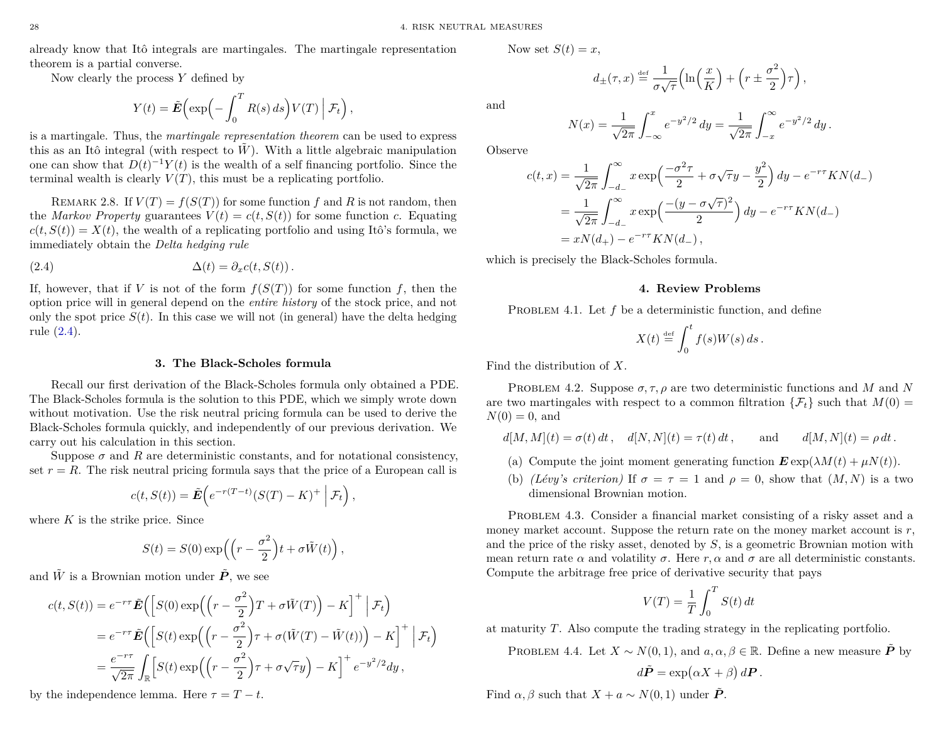already know that Itô integrals are martingales. The martingale representation theorem is a partial converse.

Now clearly the process *Y* defined by

$$
Y(t) = \tilde{E}\left(\exp\left(-\int_0^T R(s) \, ds\right) V(T) \mid \mathcal{F}_t\right)
$$

*,*

is a martingale. Thus, the *martingale representation theorem* can be used to express this as an Itô integral (with respect to  $W$ ). With a little algebraic manipulation one can show that  $D(t)^{-1}Y(t)$  is the wealth of a self financing portfolio. Since the terminal wealth is clearly  $V(T)$ , this must be a replicating portfolio.

REMARK 2.8. If  $V(T) = f(S(T))$  for some function f and R is not random, then the *Markov Property* guarantees  $V(t) = c(t, S(t))$  for some function *c*. Equating  $c(t, S(t)) = X(t)$ , the wealth of a replicating portfolio and using Itô's formula, we immediately obtain the *Delta hedging rule*

(2.4) 
$$
\Delta(t) = \partial_x c(t, S(t)).
$$

If, however, that if *V* is not of the form  $f(S(T))$  for some function *f*, then the option price will in general depend on the *entire history* of the stock price, and not only the spot price  $S(t)$ . In this case we will not (in general) have the delta hedging rule [\(2.4\)](#page-29-2).

# <span id="page-29-2"></span>**3. The Black-Scholes formula**

<span id="page-29-0"></span>Recall our first derivation of the Black-Scholes formula only obtained a PDE. The Black-Scholes formula is the solution to this PDE, which we simply wrote down without motivation. Use the risk neutral pricing formula can be used to derive the Black-Scholes formula quickly, and independently of our previous derivation. We carry out his calculation in this section.

Suppose  $\sigma$  and R are deterministic constants, and for notational consistency, set  $r = R$ . The risk neutral pricing formula says that the price of a European call is

$$
c(t, S(t)) = \tilde{E}\left(e^{-r(T-t)}(S(T) - K)^+\middle|\mathcal{F}_t\right),\,
$$

where *K* is the strike price. Since

$$
S(t) = S(0) \exp\left(\left(r - \frac{\sigma^2}{2}\right)t + \sigma \tilde{W}(t)\right),\,
$$

and  $\tilde{W}$  is a Brownian motion under  $\tilde{P}$ , we see

$$
c(t, S(t)) = e^{-r\tau} \tilde{E}\left( \left[ S(0) \exp\left( \left( r - \frac{\sigma^2}{2} \right) T + \sigma \tilde{W}(T) \right) - K \right]^+ \middle| \mathcal{F}_t \right)
$$
  

$$
= e^{-r\tau} \tilde{E}\left( \left[ S(t) \exp\left( \left( r - \frac{\sigma^2}{2} \right) \tau + \sigma (\tilde{W}(T) - \tilde{W}(t)) \right) - K \right]^+ \middle| \mathcal{F}_t \right)
$$
  

$$
= \frac{e^{-r\tau}}{\sqrt{2\pi}} \int_{\mathbb{R}} \left[ S(t) \exp\left( \left( r - \frac{\sigma^2}{2} \right) \tau + \sigma \sqrt{\tau} y \right) - K \right]^+ e^{-y^2/2} dy,
$$

by the independence lemma. Here  $\tau = T - t$ .

Now set 
$$
S(t) = x
$$
,

and

$$
N(x) = \frac{1}{\sqrt{2\pi}} \int_{-\infty}^{x} e^{-y^2/2} dy = \frac{1}{\sqrt{2\pi}} \int_{-x}^{\infty} e^{-y^2/2} dy.
$$

 $\left(\ln\left(\frac{x}{K}\right)\right)$ 

 $+r \pm \frac{\sigma^2}{2}$ 

2 *τ ,*

Observe

$$
c(t,x) = \frac{1}{\sqrt{2\pi}} \int_{-d_{-}}^{\infty} x \exp\left(\frac{-\sigma^2 \tau}{2} + \sigma \sqrt{\tau} y - \frac{y^2}{2}\right) dy - e^{-r\tau} K N(d_{-})
$$
  
= 
$$
\frac{1}{\sqrt{2\pi}} \int_{-d_{-}}^{\infty} x \exp\left(\frac{-(y - \sigma \sqrt{\tau})^2}{2}\right) dy - e^{-r\tau} K N(d_{-})
$$
  
= 
$$
x N(d_{+}) - e^{-r\tau} K N(d_{-}),
$$

<span id="page-29-1"></span>which is precisely the Black-Scholes formula.

 $d_{\pm}(\tau,x) \stackrel{\text{\tiny def}}{=} \frac{1}{\tau}$ 

*σ* √ *τ*

### **4. Review Problems**

PROBLEM 4.1. Let f be a deterministic function, and define

$$
X(t) \stackrel{\text{def}}{=} \int_0^t f(s)W(s) \, ds \, .
$$

Find the distribution of *X*.

PROBLEM 4.2. Suppose  $\sigma, \tau, \rho$  are two deterministic functions and *M* and *N* are two martingales with respect to a common filtration  $\{\mathcal{F}_t\}$  such that  $M(0)$  =  $N(0) = 0$ , and

$$
d[M,M](t)=\sigma(t)\,dt\,,\quad d[N,N](t)=\tau(t)\,dt\,,\qquad\text{and}\qquad d[M,N](t)=\rho\,dt\,.
$$

- (a) Compute the joint moment generating function  $\mathbf{E} \exp(\lambda M(t) + \mu N(t))$ .
- (b) *(Lévy's criterion)* If  $\sigma = \tau = 1$  and  $\rho = 0$ , show that  $(M, N)$  is a two dimensional Brownian motion.

PROBLEM 4.3. Consider a financial market consisting of a risky asset and a money market account. Suppose the return rate on the money market account is  $r$ , and the price of the risky asset, denoted by *S*, is a geometric Brownian motion with mean return rate  $\alpha$  and volatility  $\sigma$ . Here  $r, \alpha$  and  $\sigma$  are all deterministic constants. Compute the arbitrage free price of derivative security that pays

$$
V(T) = \frac{1}{T} \int_0^T S(t) dt
$$

at maturity *T*. Also compute the trading strategy in the replicating portfolio.

PROBLEM 4.4. Let  $X \sim N(0, 1)$ , and  $a, \alpha, \beta \in \mathbb{R}$ . Define a new measure  $\tilde{P}$  by

$$
d\tilde{P} = \exp(\alpha X + \beta) dP.
$$

Find  $\alpha, \beta$  such that  $X + a \sim N(0, 1)$  under  $\tilde{P}$ .